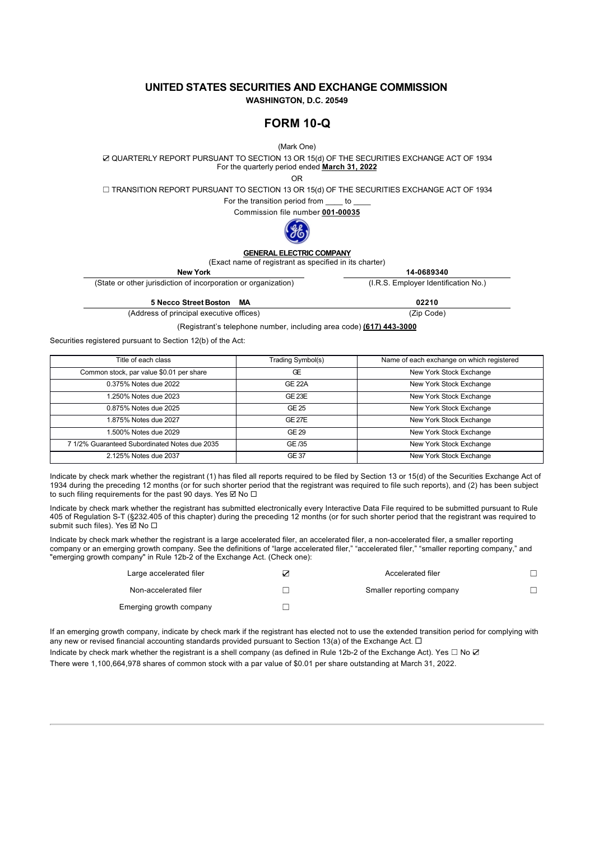# **UNITED STATES SECURITIES AND EXCHANGE COMMISSION**

**WASHINGTON, D.C. 20549**

# **FORM 10-Q**

(Mark One)

☑ QUARTERLY REPORT PURSUANT TO SECTION 13 OR 15(d) OF THE SECURITIES EXCHANGE ACT OF 1934 For the quarterly period ended **March 31, 2022**

OR

☐ TRANSITION REPORT PURSUANT TO SECTION 13 OR 15(d) OF THE SECURITIES EXCHANGE ACT OF 1934

For the transition period from \_\_\_\_\_ to

Commission file number **001-00035**



## **GENERAL ELECTRIC COMPANY**

(Exact name of registrant as specified in its charter) **New York 14-0689340** (State or other jurisdiction of incorporation or organization) (I.R.S. Employer Identification No.) **5 Necco Street Boston MA 02210**

(Address of principal executive offices) (Zip Code)

(Registrant's telephone number, including area code) **(617) 443-3000**

Securities registered pursuant to Section 12(b) of the Act:

| Title of each class                           | Trading Symbol(s) | Name of each exchange on which registered |
|-----------------------------------------------|-------------------|-------------------------------------------|
| Common stock, par value \$0.01 per share      | Œ                 | New York Stock Exchange                   |
| 0.375% Notes due 2022                         | <b>GE 22A</b>     | New York Stock Exchange                   |
| 1.250% Notes due 2023                         | $GE$ 23 $E$       | New York Stock Exchange                   |
| 0.875% Notes due 2025                         | GE 25             | New York Stock Exchange                   |
| 1.875% Notes due 2027                         | <b>GE 27E</b>     | New York Stock Exchange                   |
| 1.500% Notes due 2029                         | GE 29             | New York Stock Exchange                   |
| 7 1/2% Guaranteed Subordinated Notes due 2035 | GE /35            | New York Stock Exchange                   |
| 2.125% Notes due 2037                         | <b>GE 37</b>      | New York Stock Exchange                   |

Indicate by check mark whether the registrant (1) has filed all reports required to be filed by Section 13 or 15(d) of the Securities Exchange Act of 1934 during the preceding 12 months (or for such shorter period that the registrant was required to file such reports), and (2) has been subject to such filing requirements for the past 90 days. Yes  $\boxtimes$  No  $\Box$ 

Indicate by check mark whether the registrant has submitted electronically every Interactive Data File required to be submitted pursuant to Rule 405 of Regulation S-T (§232.405 of this chapter) during the preceding 12 months (or for such shorter period that the registrant was required to submit such files). Yes  $\boxtimes$  No  $\square$ 

Indicate by check mark whether the registrant is a large accelerated filer, an accelerated filer, a non-accelerated filer, a smaller reporting company or an emerging growth company. See the definitions of "large accelerated filer," "accelerated filer," "smaller reporting company," and "emerging growth company" in Rule 12b-2 of the Exchange Act. (Check one):

| Large accelerated filer | Accelerated filer         |  |
|-------------------------|---------------------------|--|
| Non-accelerated filer   | Smaller reporting company |  |
| Emerging growth company |                           |  |

If an emerging growth company, indicate by check mark if the registrant has elected not to use the extended transition period for complying with any new or revised financial accounting standards provided pursuant to Section 13(a) of the Exchange Act.  $\Box$ 

Indicate by check mark whether the registrant is a shell company (as defined in Rule 12b-2 of the Exchange Act). Yes  $\Box$  No  $\Box$ 

There were 1,100,664,978 shares of common stock with a par value of \$0.01 per share outstanding at March 31, 2022.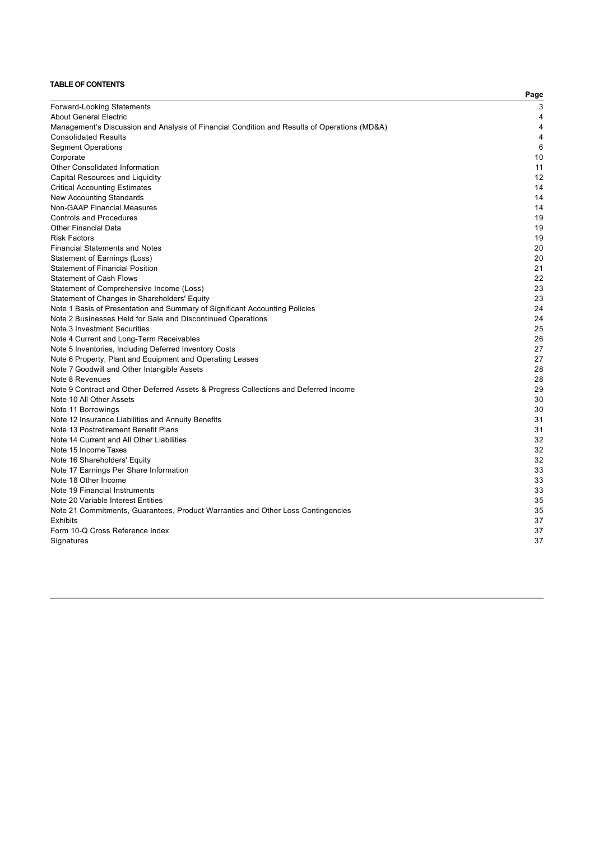# **TABLE OF CONTENTS**

<span id="page-1-0"></span>

|                                                                                              | Page     |
|----------------------------------------------------------------------------------------------|----------|
| <b>Forward-Looking Statements</b>                                                            | 3        |
| <b>About General Electric</b>                                                                | 4        |
| Management's Discussion and Analysis of Financial Condition and Results of Operations (MD&A) | 4        |
| <b>Consolidated Results</b>                                                                  | 4        |
| <b>Segment Operations</b>                                                                    | 6        |
| Corporate                                                                                    | 10       |
| Other Consolidated Information                                                               | 11       |
| Capital Resources and Liquidity                                                              | 12       |
| <b>Critical Accounting Estimates</b>                                                         | 14       |
| <b>New Accounting Standards</b>                                                              | 14       |
| <b>Non-GAAP Financial Measures</b>                                                           | 14       |
| <b>Controls and Procedures</b>                                                               | 19       |
| <b>Other Financial Data</b>                                                                  | 19       |
| <b>Risk Factors</b>                                                                          | 19       |
| <b>Financial Statements and Notes</b>                                                        | 20       |
| Statement of Earnings (Loss)                                                                 | 20       |
| <b>Statement of Financial Position</b>                                                       | 21       |
| <b>Statement of Cash Flows</b>                                                               | 22       |
| Statement of Comprehensive Income (Loss)                                                     | 23       |
| Statement of Changes in Shareholders' Equity                                                 | 23       |
| Note 1 Basis of Presentation and Summary of Significant Accounting Policies                  | 24       |
| Note 2 Businesses Held for Sale and Discontinued Operations                                  | 24       |
| Note 3 Investment Securities                                                                 | 25       |
| Note 4 Current and Long-Term Receivables                                                     | 26       |
| Note 5 Inventories, Including Deferred Inventory Costs                                       | 27       |
| Note 6 Property, Plant and Equipment and Operating Leases                                    | 27       |
| Note 7 Goodwill and Other Intangible Assets                                                  | 28       |
| Note 8 Revenues                                                                              | 28       |
| Note 9 Contract and Other Deferred Assets & Progress Collections and Deferred Income         | 29       |
| Note 10 All Other Assets                                                                     | 30       |
| Note 11 Borrowings                                                                           | 30       |
| Note 12 Insurance Liabilities and Annuity Benefits                                           | 31       |
| Note 13 Postretirement Benefit Plans                                                         | 31       |
| Note 14 Current and All Other Liabilities                                                    | 32       |
| Note 15 Income Taxes                                                                         | 32       |
| Note 16 Shareholders' Equity                                                                 | 32       |
| Note 17 Earnings Per Share Information                                                       | 33       |
| Note 18 Other Income                                                                         | 33       |
| Note 19 Financial Instruments                                                                | 33       |
| Note 20 Variable Interest Entities                                                           | 35       |
| Note 21 Commitments, Guarantees, Product Warranties and Other Loss Contingencies             | 35       |
| <b>Exhibits</b>                                                                              | 37       |
| Form 10-Q Cross Reference Index                                                              | 37<br>37 |
| Signatures                                                                                   |          |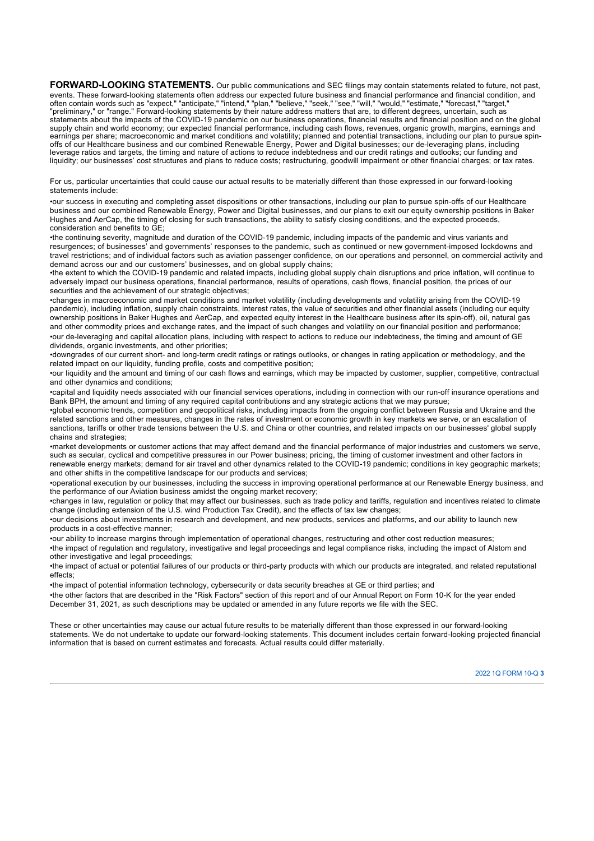FORWARD-LOOKING STATEMENTS. Our public communications and SEC filings may contain statements related to future, not past, events. These forward-looking statements often address our expected future business and financial performance and financial condition, and often contain words such as "expect," "anticipate," "intend," "plan," "believe," "seek," "see," "will," "would," "estimate," "forecast," "target," "preliminary," or "range." Forward-looking statements by their nature address matters that are, to different degrees, uncertain, such as statements about the impacts of the COVID-19 pandemic on our business operations, financial results and financial position and on the global supply chain and world economy; our expected financial performance, including cash flows, revenues, organic growth, margins, earnings and earnings per share; macroeconomic and market conditions and volatility; planned and potential transactions, including our plan to pursue spinoffs of our Healthcare business and our combined Renewable Energy, Power and Digital businesses; our de-leveraging plans, including leverage ratios and targets, the timing and nature of actions to reduce indebtedness and our credit ratings and outlooks; our funding and liquidity; our businesses' cost structures and plans to reduce costs; restructuring, goodwill impairment or other financial charges; or tax rates.

For us, particular uncertainties that could cause our actual results to be materially different than those expressed in our forward-looking statements include:

•our success in executing and completing asset dispositions or other transactions, including our plan to pursue spin-offs of our Healthcare business and our combined Renewable Energy, Power and Digital businesses, and our plans to exit our equity ownership positions in Baker Hughes and AerCap, the timing of closing for such transactions, the ability to satisfy closing conditions, and the expected proceeds, consideration and benefits to GE;

•the continuing severity, magnitude and duration of the COVID-19 pandemic, including impacts of the pandemic and virus variants and resurgences; of businesses' and governments' responses to the pandemic, such as continued or new government-imposed lockdowns and travel restrictions; and of individual factors such as aviation passenger confidence, on our operations and personnel, on commercial activity and demand across our and our customers' businesses, and on global supply chains;

•the extent to which the COVID-19 pandemic and related impacts, including global supply chain disruptions and price inflation, will continue to adversely impact our business operations, financial performance, results of operations, cash flows, financial position, the prices of our securities and the achievement of our strategic objectives;

•changes in macroeconomic and market conditions and market volatility (including developments and volatility arising from the COVID-19 pandemic), including inflation, supply chain constraints, interest rates, the value of securities and other financial assets (including our equity ownership positions in Baker Hughes and AerCap, and expected equity interest in the Healthcare business after its spin-off), oil, natural gas and other commodity prices and exchange rates, and the impact of such changes and volatility on our financial position and performance; •our de-leveraging and capital allocation plans, including with respect to actions to reduce our indebtedness, the timing and amount of GE dividends, organic investments, and other priorities;

•downgrades of our current short- and long-term credit ratings or ratings outlooks, or changes in rating application or methodology, and the related impact on our liquidity, funding profile, costs and competitive position;

•our liquidity and the amount and timing of our cash flows and earnings, which may be impacted by customer, supplier, competitive, contractual and other dynamics and conditions;

•capital and liquidity needs associated with our financial services operations, including in connection with our run-off insurance operations and Bank BPH, the amount and timing of any required capital contributions and any strategic actions that we may pursue;

•global economic trends, competition and geopolitical risks, including impacts from the ongoing conflict between Russia and Ukraine and the related sanctions and other measures, changes in the rates of investment or economic growth in key markets we serve, or an escalation of sanctions, tariffs or other trade tensions between the U.S. and China or other countries, and related impacts on our businesses' global supply chains and strategies;

•market developments or customer actions that may affect demand and the financial performance of major industries and customers we serve, such as secular, cyclical and competitive pressures in our Power business; pricing, the timing of customer investment and other factors in renewable energy markets; demand for air travel and other dynamics related to the COVID-19 pandemic; conditions in key geographic markets; and other shifts in the competitive landscape for our products and services;

•operational execution by our businesses, including the success in improving operational performance at our Renewable Energy business, and the performance of our Aviation business amidst the ongoing market recovery;

•changes in law, regulation or policy that may affect our businesses, such as trade policy and tariffs, regulation and incentives related to climate change (including extension of the U.S. wind Production Tax Credit), and the effects of tax law changes;

•our decisions about investments in research and development, and new products, services and platforms, and our ability to launch new products in a cost-effective manner;

•our ability to increase margins through implementation of operational changes, restructuring and other cost reduction measures; •the impact of regulation and regulatory, investigative and legal proceedings and legal compliance risks, including the impact of Alstom and other investigative and legal proceedings;

•the impact of actual or potential failures of our products or third-party products with which our products are integrated, and related reputational effects;

•the impact of potential information technology, cybersecurity or data security breaches at GE or third parties; and •the other factors that are described in the "Risk Factors" section of this report and of our Annual Report on Form 10-K for the year ended December 31, 2021, as such descriptions may be updated or amended in any future reports we file with the SEC.

<span id="page-2-0"></span>These or other uncertainties may cause our actual future results to be materially different than those expressed in our forward-looking statements. We do not undertake to update our forward-looking statements. This document includes certain forward-looking projected financial information that is based on current estimates and forecasts. Actual results could differ materially.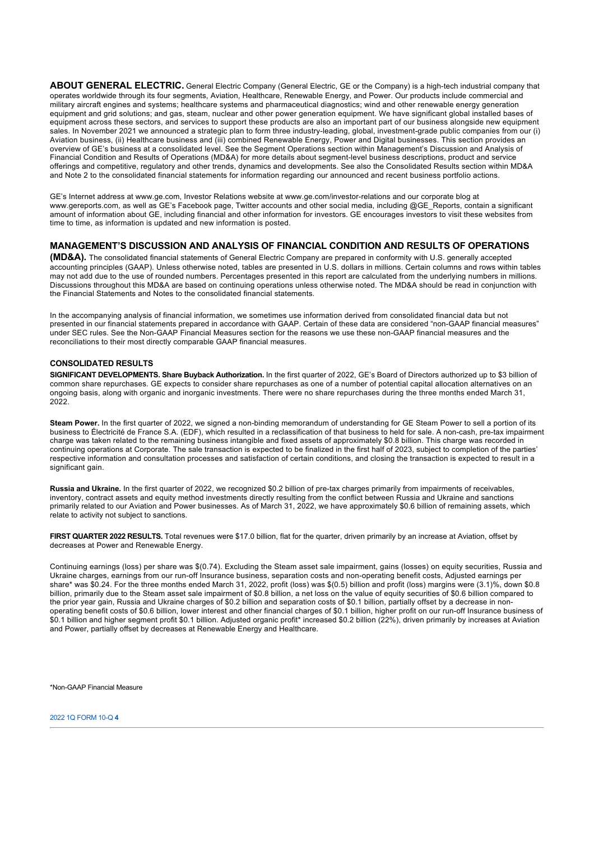**ABOUT GENERAL ELECTRIC.** General Electric Company (General Electric, GE or the Company) is a high-tech industrial company that operates worldwide through its four segments, Aviation, Healthcare, Renewable Energy, and Power. Our products include commercial and military aircraft engines and systems; healthcare systems and pharmaceutical diagnostics; wind and other renewable energy generation equipment and grid solutions; and gas, steam, nuclear and other power generation equipment. We have significant global installed bases of equipment across these sectors, and services to support these products are also an important part of our business alongside new equipment sales. In November 2021 we announced a strategic plan to form three industry-leading, global, investment-grade public companies from our (i) Aviation business, (ii) Healthcare business and (iii) combined Renewable Energy, Power and Digital businesses. This section provides an overview of GE's business at a consolidated level. See the Segment Operations section within Management's Discussion and Analysis of Financial Condition and Results of Operations (MD&A) for more details about segment-level business descriptions, product and service offerings and competitive, regulatory and other trends, dynamics and developments. See also the Consolidated Results section within MD&A and Note 2 to the consolidated financial statements for information regarding our announced and recent business portfolio actions.

GE's Internet address at www.ge.com, Investor Relations website at www.ge.com/investor-relations and our corporate blog at www.gereports.com, as well as GE's Facebook page, Twitter accounts and other social media, including @GE\_Reports, contain a significant amount of information about GE, including financial and other information for investors. GE encourages investors to visit these websites from time to time, as information is updated and new information is posted.

# <span id="page-3-0"></span>**MANAGEMENT'S DISCUSSION AND ANALYSIS OF FINANCIAL CONDITION AND RESULTS OF OPERATIONS**

**(MD&A).** The consolidated financial statements of General Electric Company are prepared in conformity with U.S. generally accepted accounting principles (GAAP). Unless otherwise noted, tables are presented in U.S. dollars in millions. Certain columns and rows within tables may not add due to the use of rounded numbers. Percentages presented in this report are calculated from the underlying numbers in millions. Discussions throughout this MD&A are based on continuing operations unless otherwise noted. The MD&A should be read in conjunction with the Financial Statements and Notes to the consolidated financial statements.

In the accompanying analysis of financial information, we sometimes use information derived from consolidated financial data but not presented in our financial statements prepared in accordance with GAAP. Certain of these data are considered "non-GAAP financial measures" under SEC rules. See the Non-GAAP Financial Measures section for the reasons we use these non-GAAP financial measures and the reconciliations to their most directly comparable GAAP financial measures.

### <span id="page-3-1"></span>**CONSOLIDATED RESULTS**

**SIGNIFICANT DEVELOPMENTS. Share Buyback Authorization.** In the first quarter of 2022, GE's Board of Directors authorized up to \$3 billion of common share repurchases. GE expects to consider share repurchases as one of a number of potential capital allocation alternatives on an ongoing basis, along with organic and inorganic investments. There were no share repurchases during the three months ended March 31, 2022

**Steam Power.** In the first quarter of 2022, we signed a non-binding memorandum of understanding for GE Steam Power to sell a portion of its business to Électricité de France S.A. (EDF), which resulted in a reclassification of that business to held for sale. A non-cash, pre-tax impairment charge was taken related to the remaining business intangible and fixed assets of approximately \$0.8 billion. This charge was recorded in continuing operations at Corporate. The sale transaction is expected to be finalized in the first half of 2023, subject to completion of the parties' respective information and consultation processes and satisfaction of certain conditions, and closing the transaction is expected to result in a significant gain.

**Russia and Ukraine.** In the first quarter of 2022, we recognized \$0.2 billion of pre-tax charges primarily from impairments of receivables. inventory, contract assets and equity method investments directly resulting from the conflict between Russia and Ukraine and sanctions primarily related to our Aviation and Power businesses. As of March 31, 2022, we have approximately \$0.6 billion of remaining assets, which relate to activity not subject to sanctions.

**FIRST QUARTER 2022 RESULTS.** Total revenues were \$17.0 billion, flat for the quarter, driven primarily by an increase at Aviation, offset by decreases at Power and Renewable Energy.

Continuing earnings (loss) per share was \$(0.74). Excluding the Steam asset sale impairment, gains (losses) on equity securities, Russia and Ukraine charges, earnings from our run-off Insurance business, separation costs and non-operating benefit costs, Adjusted earnings per share\* was \$0.24. For the three months ended March 31, 2022, profit (loss) was \$(0.5) billion and profit (loss) margins were (3.1)%, down \$0.8 billion, primarily due to the Steam asset sale impairment of \$0.8 billion, a net loss on the value of equity securities of \$0.6 billion compared to the prior year gain, Russia and Ukraine charges of \$0.2 billion and separation costs of \$0.1 billion, partially offset by a decrease in nonoperating benefit costs of \$0.6 billion, lower interest and other financial charges of \$0.1 billion, higher profit on our run-off Insurance business of \$0.1 billion and higher segment profit \$0.1 billion. Adjusted organic profit\* increased \$0.2 billion (22%), driven primarily by increases at Aviation and Power, partially offset by decreases at Renewable Energy and Healthcare.

\*Non-GAAP Financial Measure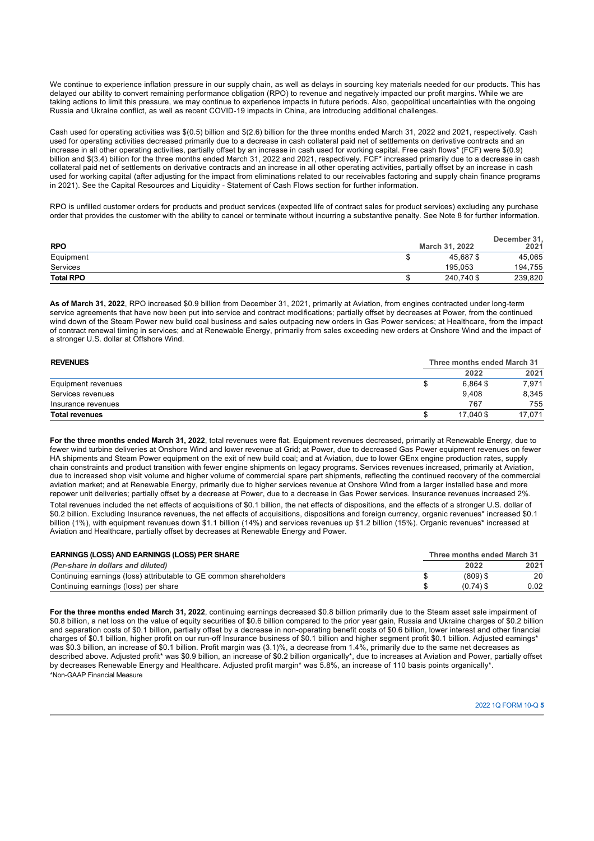We continue to experience inflation pressure in our supply chain, as well as delays in sourcing key materials needed for our products. This has delayed our ability to convert remaining performance obligation (RPO) to revenue and negatively impacted our profit margins. While we are taking actions to limit this pressure, we may continue to experience impacts in future periods. Also, geopolitical uncertainties with the ongoing Russia and Ukraine conflict, as well as recent COVID-19 impacts in China, are introducing additional challenges.

Cash used for operating activities was \$(0.5) billion and \$(2.6) billion for the three months ended March 31, 2022 and 2021, respectively. Cash used for operating activities decreased primarily due to a decrease in cash collateral paid net of settlements on derivative contracts and an increase in all other operating activities, partially offset by an increase in cash used for working capital. Free cash flows\* (FCF) were \$(0.9) billion and \$(3.4) billion for the three months ended March 31, 2022 and 2021, respectively. FCF\* increased primarily due to a decrease in cash collateral paid net of settlements on derivative contracts and an increase in all other operating activities, partially offset by an increase in cash used for working capital (after adjusting for the impact from eliminations related to our receivables factoring and supply chain finance programs in 2021). See the Capital Resources and Liquidity - Statement of Cash Flows section for further information.

RPO is unfilled customer orders for products and product services (expected life of contract sales for product services) excluding any purchase order that provides the customer with the ability to cancel or terminate without incurring a substantive penalty. See Note 8 for further information.

|                  |                | December 31, |
|------------------|----------------|--------------|
| <b>RPO</b>       | March 31, 2022 | 2021         |
| Equipment        | 45.687\$       | 45,065       |
| Services         | 195.053        | 194,755      |
| <b>Total RPO</b> | 240,740\$      | 239,820      |

**As of March 31, 2022**, RPO increased \$0.9 billion from December 31, 2021, primarily at Aviation, from engines contracted under long-term service agreements that have now been put into service and contract modifications; partially offset by decreases at Power, from the continued wind down of the Steam Power new build coal business and sales outpacing new orders in Gas Power services; at Healthcare, from the impact of contract renewal timing in services; and at Renewable Energy, primarily from sales exceeding new orders at Onshore Wind and the impact of a stronger U.S. dollar at Offshore Wind.

| <b>REVENUES</b>       | Three months ended March 31 |          |        |
|-----------------------|-----------------------------|----------|--------|
|                       |                             | 2022     | 2021   |
| Equipment revenues    | S                           | 6.864\$  | 7.971  |
| Services revenues     |                             | 9.408    | 8,345  |
| Insurance revenues    |                             | 767      | 755    |
| <b>Total revenues</b> |                             | 17.040\$ | 17.071 |

**For the three months ended March 31, 2022**, total revenues were flat. Equipment revenues decreased, primarily at Renewable Energy, due to fewer wind turbine deliveries at Onshore Wind and lower revenue at Grid; at Power, due to decreased Gas Power equipment revenues on fewer HA shipments and Steam Power equipment on the exit of new build coal; and at Aviation, due to lower GEnx engine production rates, supply chain constraints and product transition with fewer engine shipments on legacy programs. Services revenues increased, primarily at Aviation, due to increased shop visit volume and higher volume of commercial spare part shipments, reflecting the continued recovery of the commercial aviation market; and at Renewable Energy, primarily due to higher services revenue at Onshore Wind from a larger installed base and more repower unit deliveries; partially offset by a decrease at Power, due to a decrease in Gas Power services. Insurance revenues increased 2%. Total revenues included the net effects of acquisitions of \$0.1 billion, the net effects of dispositions, and the effects of a stronger U.S. dollar of \$0.2 billion. Excluding Insurance revenues, the net effects of acquisitions, dispositions and foreign currency, organic revenues\* increased \$0.1 billion (1%), with equipment revenues down \$1.1 billion (14%) and services revenues up \$1.2 billion (15%). Organic revenues\* increased at Aviation and Healthcare, partially offset by decreases at Renewable Energy and Power.

| <b>EARNINGS (LOSS) AND EARNINGS (LOSS) PER SHARE</b>              |  | Three months ended March 31 |      |  |
|-------------------------------------------------------------------|--|-----------------------------|------|--|
| (Per-share in dollars and diluted)                                |  | 2022                        | 2021 |  |
| Continuing earnings (loss) attributable to GE common shareholders |  | $(809)$ \$                  | 20   |  |
| Continuing earnings (loss) per share                              |  | $(0.74)$ \$                 | 0.02 |  |

<span id="page-4-0"></span>**For the three months ended March 31, 2022**, continuing earnings decreased \$0.8 billion primarily due to the Steam asset sale impairment of \$0.8 billion, a net loss on the value of equity securities of \$0.6 billion compared to the prior year gain, Russia and Ukraine charges of \$0.2 billion and separation costs of \$0.1 billion, partially offset by a decrease in non-operating benefit costs of \$0.6 billion, lower interest and other financial charges of \$0.1 billion, higher profit on our run-off Insurance business of \$0.1 billion and higher segment profit \$0.1 billion. Adjusted earnings\* was \$0.3 billion, an increase of \$0.1 billion. Profit margin was (3.1)%, a decrease from 1.4%, primarily due to the same net decreases as described above. Adjusted profit\* was \$0.9 billion, an increase of \$0.2 billion organically\*, due to increases at Aviation and Power, partially offset by decreases Renewable Energy and Healthcare. Adjusted profit margin\* was 5.8%, an increase of 110 basis points organically\*. \*Non-GAAP Financial Measure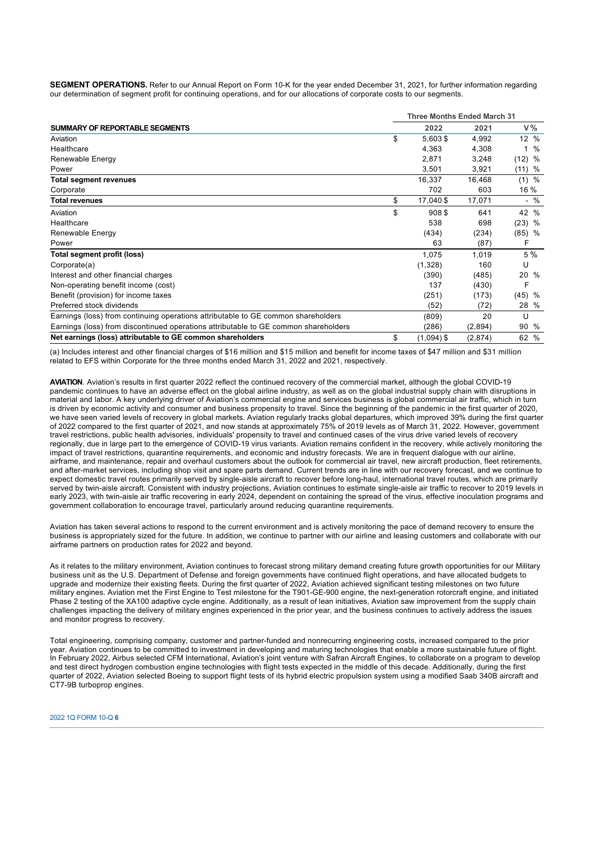**SEGMENT OPERATIONS.** Refer to our Annual Report on Form 10-K for the year ended December 31, 2021, for further information regarding our determination of segment profit for continuing operations, and for our allocations of corporate costs to our segments.

|                                                                                     |    | <b>Three Months Ended March 31</b> |         |          |  |
|-------------------------------------------------------------------------------------|----|------------------------------------|---------|----------|--|
| <b>SUMMARY OF REPORTABLE SEGMENTS</b>                                               |    | 2022                               | 2021    | $V\%$    |  |
| Aviation                                                                            | \$ | 5,603\$                            | 4,992   | 12 %     |  |
| Healthcare                                                                          |    | 4,363                              | 4,308   | $\%$     |  |
| Renewable Energy                                                                    |    | 2,871                              | 3,248   | $(12)$ % |  |
| Power                                                                               |    | 3,501                              | 3,921   | (11) %   |  |
| <b>Total segment revenues</b>                                                       |    | 16,337                             | 16,468  | $(1)$ %  |  |
| Corporate                                                                           |    | 702                                | 603     | 16 %     |  |
| <b>Total revenues</b>                                                               | \$ | 17,040\$                           | 17,071  | - %      |  |
| Aviation                                                                            | \$ | 908\$                              | 641     | 42 %     |  |
| Healthcare                                                                          |    | 538                                | 698     | $(23)$ % |  |
| Renewable Energy                                                                    |    | (434)                              | (234)   | $(85)$ % |  |
| Power                                                                               |    | 63                                 | (87)    | F        |  |
| Total segment profit (loss)                                                         |    | 1.075                              | 1.019   | 5 %      |  |
| Corporate(a)                                                                        |    | (1,328)                            | 160     | U        |  |
| Interest and other financial charges                                                |    | (390)                              | (485)   | 20 %     |  |
| Non-operating benefit income (cost)                                                 |    | 137                                | (430)   | F        |  |
| Benefit (provision) for income taxes                                                |    | (251)                              | (173)   | $(45)$ % |  |
| Preferred stock dividends                                                           |    | (52)                               | (72)    | 28 %     |  |
| Earnings (loss) from continuing operations attributable to GE common shareholders   |    | (809)                              | 20      | U        |  |
| Earnings (loss) from discontinued operations attributable to GE common shareholders |    | (286)                              | (2,894) | 90 %     |  |
| Net earnings (loss) attributable to GE common shareholders                          | \$ | $(1,094)$ \$                       | (2,874) | 62 %     |  |

(a) Includes interest and other financial charges of \$16 million and \$15 million and benefit for income taxes of \$47 million and \$31 million related to EFS within Corporate for the three months ended March 31, 2022 and 2021, respectively.

**AVIATION** Aviation's results in first quarter 2022 reflect the continued recovery of the commercial market, although the global COVID-19 pandemic continues to have an adverse effect on the global airline industry, as well as on the global industrial supply chain with disruptions in material and labor. A key underlying driver of Aviation's commercial engine and services business is global commercial air traffic, which in turn is driven by economic activity and consumer and business propensity to travel. Since the beginning of the pandemic in the first quarter of 2020, we have seen varied levels of recovery in global markets. Aviation regularly tracks global departures, which improved 39% during the first quarter of 2022 compared to the first quarter of 2021, and now stands at approximately 75% of 2019 levels as of March 31, 2022. However, government travel restrictions, public health advisories, individuals' propensity to travel and continued cases of the virus drive varied levels of recovery regionally, due in large part to the emergence of COVID-19 virus variants. Aviation remains confident in the recovery, while actively monitoring the impact of travel restrictions, quarantine requirements, and economic and industry forecasts. We are in frequent dialogue with our airline, airframe, and maintenance, repair and overhaul customers about the outlook for commercial air travel, new aircraft production, fleet retirements, and after-market services, including shop visit and spare parts demand. Current trends are in line with our recovery forecast, and we continue to expect domestic travel routes primarily served by single-aisle aircraft to recover before long-haul, international travel routes, which are primarily served by twin-aisle aircraft. Consistent with industry projections, Aviation continues to estimate single-aisle air traffic to recover to 2019 levels in early 2023, with twin-aisle air traffic recovering in early 2024, dependent on containing the spread of the virus, effective inoculation programs and government collaboration to encourage travel, particularly around reducing quarantine requirements.

Aviation has taken several actions to respond to the current environment and is actively monitoring the pace of demand recovery to ensure the business is appropriately sized for the future. In addition, we continue to partner with our airline and leasing customers and collaborate with our airframe partners on production rates for 2022 and beyond.

As it relates to the military environment, Aviation continues to forecast strong military demand creating future growth opportunities for our Military business unit as the U.S. Department of Defense and foreign governments have continued flight operations, and have allocated budgets to upgrade and modernize their existing fleets. During the first quarter of 2022, Aviation achieved significant testing milestones on two future military engines. Aviation met the First Engine to Test milestone for the T901-GE-900 engine, the next-generation rotorcraft engine, and initiated Phase 2 testing of the XA100 adaptive cycle engine. Additionally, as a result of lean initiatives, Aviation saw improvement from the supply chain challenges impacting the delivery of military engines experienced in the prior year, and the business continues to actively address the issues and monitor progress to recovery.

Total engineering, comprising company, customer and partner-funded and nonrecurring engineering costs, increased compared to the prior year. Aviation continues to be committed to investment in developing and maturing technologies that enable a more sustainable future of flight. In February 2022, Airbus selected CFM International, Aviation's joint venture with Safran Aircraft Engines, to collaborate on a program to develop and test direct hydrogen combustion engine technologies with flight tests expected in the middle of this decade. Additionally, during the first quarter of 2022, Aviation selected Boeing to support flight tests of its hybrid electric propulsion system using a modified Saab 340B aircraft and CT7-9B turboprop engines.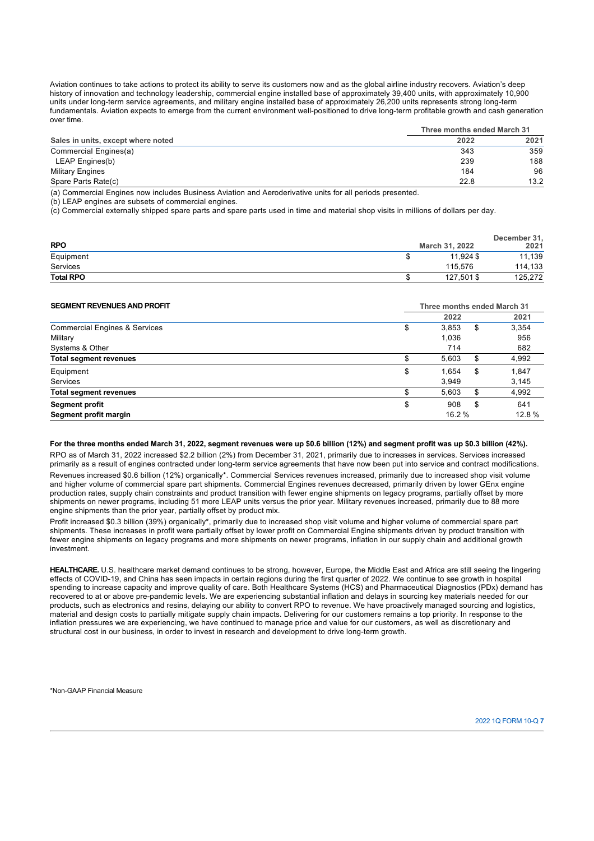Aviation continues to take actions to protect its ability to serve its customers now and as the global airline industry recovers. Aviation's deep history of innovation and technology leadership, commercial engine installed base of approximately 39,400 units, with approximately 10,900 units under long-term service agreements, and military engine installed base of approximately 26,200 units represents strong long-term fundamentals. Aviation expects to emerge from the current environment well-positioned to drive long-term profitable growth and cash generation over time.

|                                    |      | Three months ended March 31 |  |
|------------------------------------|------|-----------------------------|--|
| Sales in units, except where noted | 2022 | 2021                        |  |
| Commercial Engines(a)              | 343  | 359                         |  |
| LEAP Engines(b)                    | 239  | 188                         |  |
| <b>Military Engines</b>            | 184  | 96                          |  |
| Spare Parts Rate(c)                | 22.8 | 13.2                        |  |

(a) Commercial Engines now includes Business Aviation and Aeroderivative units for all periods presented.

(b) LEAP engines are subsets of commercial engines.

(c) Commercial externally shipped spare parts and spare parts used in time and material shop visits in millions of dollars per day.

| <b>RPO</b>       | <b>March 31, 2022</b> | December 31,<br>2021 |
|------------------|-----------------------|----------------------|
| Equipment        | 11.924\$              | 11,139               |
| Services         | 115.576               | 114,133              |
| <b>Total RPO</b> | 127,501\$             | 125,272              |

### **SEGMENT REVENUES AND PROFIT Three months ended March 31**

|                                          |        | 2022  |    | 2021  |
|------------------------------------------|--------|-------|----|-------|
| <b>Commercial Engines &amp; Services</b> | ቦ<br>Φ | 3.853 | \$ | 3,354 |
| Military                                 |        | 1,036 |    | 956   |
| Systems & Other                          |        | 714   |    | 682   |
| <b>Total segment revenues</b>            |        | 5.603 |    | 4,992 |
| Equipment                                | \$     | 1.654 | \$ | 1.847 |
| <b>Services</b>                          |        | 3.949 |    | 3,145 |
| <b>Total segment revenues</b>            |        | 5,603 |    | 4,992 |
| <b>Segment profit</b>                    | \$     | 908   | S  | 641   |
| Segment profit margin                    |        | 16.2% |    | 12.8% |
|                                          |        |       |    |       |

#### **For the three months ended March 31, 2022, segment revenues were up \$0.6 billion (12%) and segment profit was up \$0.3 billion (42%).**

RPO as of March 31, 2022 increased \$2.2 billion (2%) from December 31, 2021, primarily due to increases in services. Services increased primarily as a result of engines contracted under long-term service agreements that have now been put into service and contract modifications. Revenues increased \$0.6 billion (12%) organically\*. Commercial Services revenues increased, primarily due to increased shop visit volume and higher volume of commercial spare part shipments. Commercial Engines revenues decreased, primarily driven by lower GEnx engine production rates, supply chain constraints and product transition with fewer engine shipments on legacy programs, partially offset by more shipments on newer programs, including 51 more LEAP units versus the prior year. Military revenues increased, primarily due to 88 more engine shipments than the prior year, partially offset by product mix.

Profit increased \$0.3 billion (39%) organically\*, primarily due to increased shop visit volume and higher volume of commercial spare part shipments. These increases in profit were partially offset by lower profit on Commercial Engine shipments driven by product transition with fewer engine shipments on legacy programs and more shipments on newer programs, inflation in our supply chain and additional growth investment.

**HEALTHCARE.** U.S. healthcare market demand continues to be strong, however, Europe, the Middle East and Africa are still seeing the lingering effects of COVID-19, and China has seen impacts in certain regions during the first quarter of 2022. We continue to see growth in hospital spending to increase capacity and improve quality of care. Both Healthcare Systems (HCS) and Pharmaceutical Diagnostics (PDx) demand has recovered to at or above pre-pandemic levels. We are experiencing substantial inflation and delays in sourcing key materials needed for our products, such as electronics and resins, delaying our ability to convert RPO to revenue. We have proactively managed sourcing and logistics, material and design costs to partially mitigate supply chain impacts. Delivering for our customers remains a top priority. In response to the inflation pressures we are experiencing, we have continued to manage price and value for our customers, as well as discretionary and structural cost in our business, in order to invest in research and development to drive long-term growth.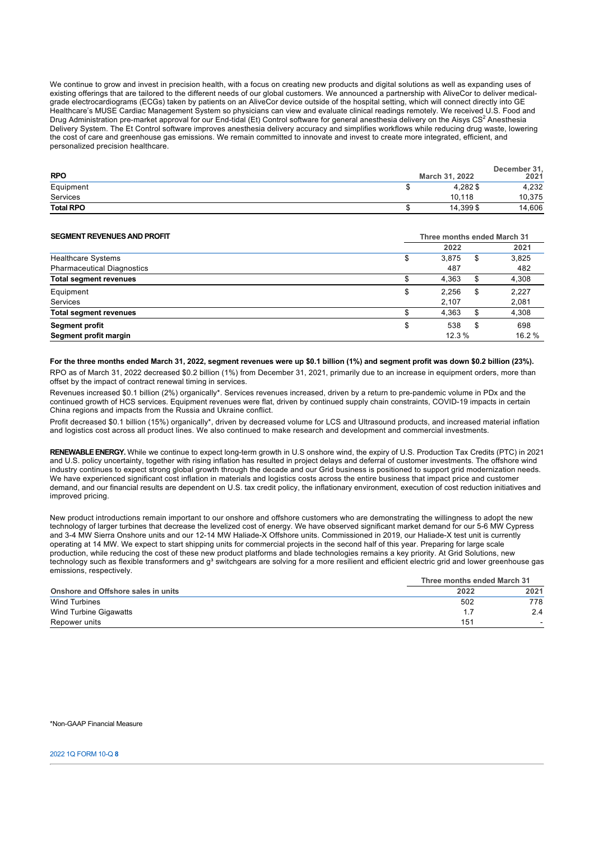We continue to grow and invest in precision health, with a focus on creating new products and digital solutions as well as expanding uses of existing offerings that are tailored to the different needs of our global customers. We announced a partnership with AliveCor to deliver medicalgrade electrocardiograms (ECGs) taken by patients on an AliveCor device outside of the hospital setting, which will connect directly into GE Healthcare's MUSE Cardiac Management System so physicians can view and evaluate clinical readings remotely. We received U.S. Food and Drug Administration pre-market approval for our End-tidal (Et) Control software for general anesthesia delivery on the Aisys CS<sup>2</sup> Anesthesia Delivery System. The Et Control software improves anesthesia delivery accuracy and simplifies workflows while reducing drug waste, lowering the cost of care and greenhouse gas emissions. We remain committed to innovate and invest to create more integrated, efficient, and personalized precision healthcare.

| <b>RPO</b>       | March 31, 2022 | December 31,<br>2021 |
|------------------|----------------|----------------------|
| Equipment        | 4,282\$        | 4,232                |
| Services         | 10.118         | 10,375               |
| <b>Total RPO</b> | 14.399\$       | 14,606               |

#### **SEGMENT REVENUES AND PROFIT Three months ended March 31**

|                                   |    | 2022  |    | 2021  |
|-----------------------------------|----|-------|----|-------|
| <b>Healthcare Systems</b>         | æ  | 3,875 | \$ | 3,825 |
| <b>Pharmaceutical Diagnostics</b> |    | 487   |    | 482   |
| <b>Total segment revenues</b>     |    | 4,363 | \$ | 4,308 |
| Equipment                         | \$ | 2,256 | \$ | 2,227 |
| Services                          |    | 2.107 |    | 2,081 |
| <b>Total segment revenues</b>     |    | 4,363 | £. | 4,308 |
| <b>Segment profit</b>             | \$ | 538   | S  | 698   |
| Segment profit margin             |    | 12.3% |    | 16.2% |

### **For the three months ended March 31, 2022, segment revenues were up \$0.1 billion (1%) and segment profit was down \$0.2 billion (23%).**

RPO as of March 31, 2022 decreased \$0.2 billion (1%) from December 31, 2021, primarily due to an increase in equipment orders, more than offset by the impact of contract renewal timing in services.

Revenues increased \$0.1 billion (2%) organically\*. Services revenues increased, driven by a return to pre-pandemic volume in PDx and the continued growth of HCS services. Equipment revenues were flat, driven by continued supply chain constraints, COVID-19 impacts in certain China regions and impacts from the Russia and Ukraine conflict.

Profit decreased \$0.1 billion (15%) organically\*, driven by decreased volume for LCS and Ultrasound products, and increased material inflation and logistics cost across all product lines. We also continued to make research and development and commercial investments.

**RENEWABLE ENERGY.** While we continue to expect long-term growth in U.S onshore wind, the expiry of U.S. Production Tax Credits (PTC) in 2021 and U.S. policy uncertainty, together with rising inflation has resulted in project delays and deferral of customer investments. The offshore wind industry continues to expect strong global growth through the decade and our Grid business is positioned to support grid modernization needs. We have experienced significant cost inflation in materials and logistics costs across the entire business that impact price and customer demand, and our financial results are dependent on U.S. tax credit policy, the inflationary environment, execution of cost reduction initiatives and improved pricing.

New product introductions remain important to our onshore and offshore customers who are demonstrating the willingness to adopt the new technology of larger turbines that decrease the levelized cost of energy. We have observed significant market demand for our 5-6 MW Cypress and 3-4 MW Sierra Onshore units and our 12-14 MW Haliade-X Offshore units. Commissioned in 2019, our Haliade-X test unit is currently operating at 14 MW. We expect to start shipping units for commercial projects in the second half of this year. Preparing for large scale production, while reducing the cost of these new product platforms and blade technologies remains a key priority. At Grid Solutions, new technology such as flexible transformers and g<sup>a</sup> switchgears are solving for a more resilient and efficient electric grid and lower greenhouse gas emissions, respectively.

|                                     |      | Three months ended March 31 |  |  |  |
|-------------------------------------|------|-----------------------------|--|--|--|
| Onshore and Offshore sales in units | 2022 | 2021                        |  |  |  |
| Wind Turbines                       | 502  | 778                         |  |  |  |
| Wind Turbine Gigawatts              |      | $2.4^{\circ}$               |  |  |  |
| Repower units                       | 151  | $\sim$                      |  |  |  |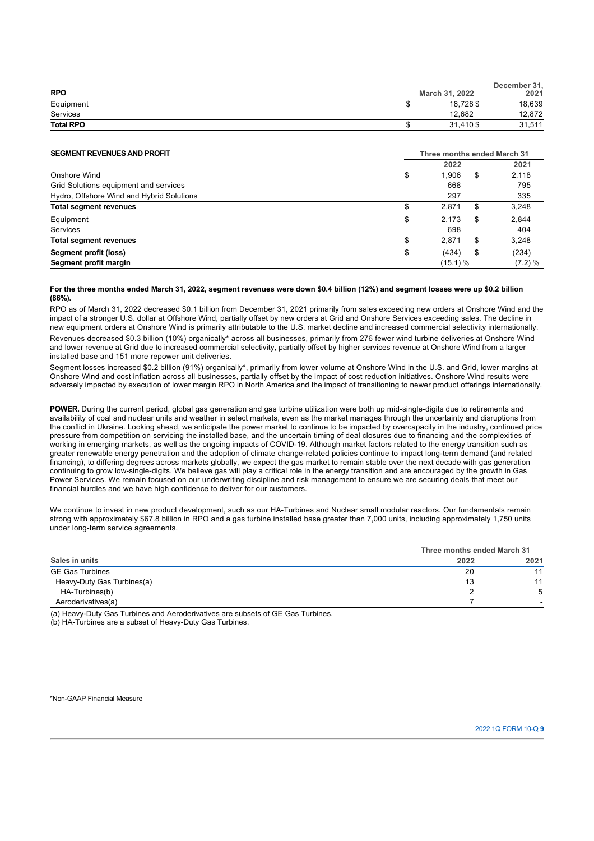| <b>RPO</b>       | March 31, 2022 | December 31,<br>2021 |
|------------------|----------------|----------------------|
| Equipment        | 18.728\$       | 18,639               |
| Services         | 12.682         | 12,872               |
| <b>Total RPO</b> | 31.410\$       | 31.511               |

## **SEGMENT REVENUES AND PROFIT Three months ended March 31**

|                                           |        | 2022     |    | 2021    |
|-------------------------------------------|--------|----------|----|---------|
| Onshore Wind                              | σ<br>Φ | 1.906    | S  | 2.118   |
| Grid Solutions equipment and services     |        | 668      |    | 795     |
| Hydro, Offshore Wind and Hybrid Solutions |        | 297      |    | 335     |
| <b>Total segment revenues</b>             |        | 2,871    |    | 3,248   |
| Equipment                                 | \$     | 2.173    | \$ | 2,844   |
| <b>Services</b>                           |        | 698      |    | 404     |
| <b>Total segment revenues</b>             |        | 2.871    | \$ | 3,248   |
| Segment profit (loss)                     | \$     | (434)    | \$ | (234)   |
| Segment profit margin                     |        | (15.1) % |    | (7.2) % |
|                                           |        |          |    |         |

### **For the three months ended March 31, 2022, segment revenues were down \$0.4 billion (12%) and segment losses were up \$0.2 billion (86%).**

RPO as of March 31, 2022 decreased \$0.1 billion from December 31, 2021 primarily from sales exceeding new orders at Onshore Wind and the impact of a stronger U.S. dollar at Offshore Wind, partially offset by new orders at Grid and Onshore Services exceeding sales. The decline in new equipment orders at Onshore Wind is primarily attributable to the U.S. market decline and increased commercial selectivity internationally. Revenues decreased \$0.3 billion (10%) organically\* across all businesses, primarily from 276 fewer wind turbine deliveries at Onshore Wind and lower revenue at Grid due to increased commercial selectivity, partially offset by higher services revenue at Onshore Wind from a larger installed base and 151 more repower unit deliveries.

Segment losses increased \$0.2 billion (91%) organically\*, primarily from lower volume at Onshore Wind in the U.S. and Grid, lower margins at Onshore Wind and cost inflation across all businesses, partially offset by the impact of cost reduction initiatives. Onshore Wind results were adversely impacted by execution of lower margin RPO in North America and the impact of transitioning to newer product offerings internationally.

**POWER.** During the current period, global gas generation and gas turbine utilization were both up mid-single-digits due to retirements and availability of coal and nuclear units and weather in select markets, even as the market manages through the uncertainty and disruptions from the conflict in Ukraine. Looking ahead, we anticipate the power market to continue to be impacted by overcapacity in the industry, continued price pressure from competition on servicing the installed base, and the uncertain timing of deal closures due to financing and the complexities of working in emerging markets, as well as the ongoing impacts of COVID-19. Although market factors related to the energy transition such as greater renewable energy penetration and the adoption of climate change-related policies continue to impact long-term demand (and related financing), to differing degrees across markets globally, we expect the gas market to remain stable over the next decade with gas generation continuing to grow low-single-digits. We believe gas will play a critical role in the energy transition and are encouraged by the growth in Gas Power Services. We remain focused on our underwriting discipline and risk management to ensure we are securing deals that meet our financial hurdles and we have high confidence to deliver for our customers.

We continue to invest in new product development, such as our HA-Turbines and Nuclear small modular reactors. Our fundamentals remain strong with approximately \$67.8 billion in RPO and a gas turbine installed base greater than 7,000 units, including approximately 1,750 units under long-term service agreements.

|                            | Three months ended March 31 |      |  |  |
|----------------------------|-----------------------------|------|--|--|
| Sales in units             | 2022                        | 2021 |  |  |
| <b>GE Gas Turbines</b>     | 20                          | 11   |  |  |
| Heavy-Duty Gas Turbines(a) | 13                          | 11   |  |  |
| HA-Turbines(b)             |                             | 5    |  |  |
| Aeroderivatives(a)         |                             |      |  |  |

(a) Heavy-Duty Gas Turbines and Aeroderivatives are subsets of GE Gas Turbines.

(b) HA-Turbines are a subset of Heavy-Duty Gas Turbines.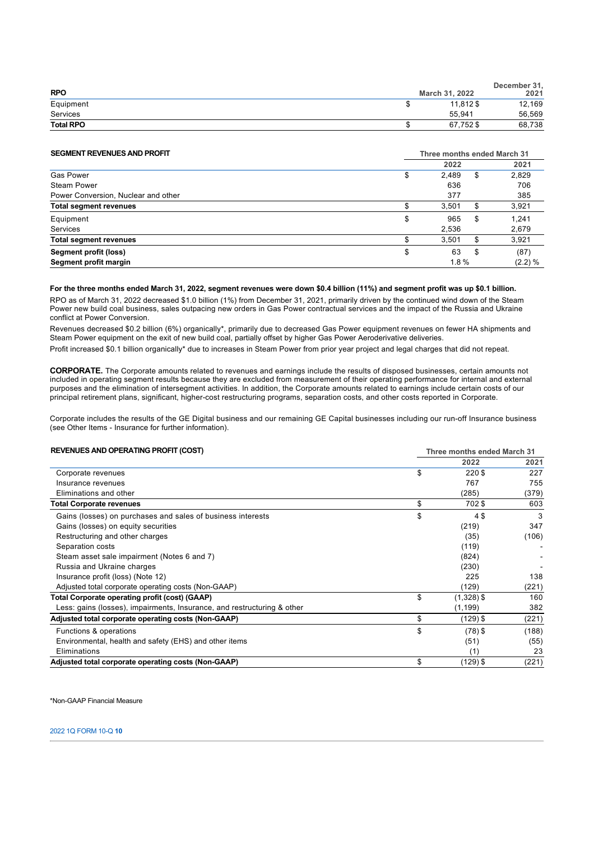| <b>RPO</b>       | March 31, 2022 | December 31,<br>2021 |
|------------------|----------------|----------------------|
| Equipment        | 11.812\$       | 12,169               |
| Services         | 55.941         | 56,569               |
| <b>Total RPO</b> | 67.752\$       | 68,738               |

## **SEGMENT REVENUES AND PROFIT Three months ended March 31**

|                                     |        | 2022  |     | 2021    |
|-------------------------------------|--------|-------|-----|---------|
| <b>Gas Power</b>                    | ጦ<br>Φ | 2,489 | \$  | 2,829   |
| <b>Steam Power</b>                  |        | 636   |     | 706     |
| Power Conversion, Nuclear and other |        | 377   |     | 385     |
| <b>Total segment revenues</b>       |        | 3,501 | S   | 3,921   |
| Equipment                           | \$     | 965   | \$  | 1.241   |
| <b>Services</b>                     |        | 2,536 |     | 2,679   |
| <b>Total segment revenues</b>       |        | 3.501 | \$. | 3,921   |
| Segment profit (loss)               | \$     | 63    | \$  | (87)    |
| Segment profit margin               |        | 1.8%  |     | (2.2) % |

### **For the three months ended March 31, 2022, segment revenues were down \$0.4 billion (11%) and segment profit was up \$0.1 billion.**

RPO as of March 31, 2022 decreased \$1.0 billion (1%) from December 31, 2021, primarily driven by the continued wind down of the Steam Power new build coal business, sales outpacing new orders in Gas Power contractual services and the impact of the Russia and Ukraine conflict at Power Conversion.

Revenues decreased \$0.2 billion (6%) organically\*, primarily due to decreased Gas Power equipment revenues on fewer HA shipments and Steam Power equipment on the exit of new build coal, partially offset by higher Gas Power Aeroderivative deliveries.

Profit increased \$0.1 billion organically\* due to increases in Steam Power from prior year project and legal charges that did not repeat.

<span id="page-9-0"></span>**CORPORATE.** The Corporate amounts related to revenues and earnings include the results of disposed businesses, certain amounts not included in operating segment results because they are excluded from measurement of their operating performance for internal and external purposes and the elimination of intersegment activities. In addition, the Corporate amounts related to earnings include certain costs of our principal retirement plans, significant, higher-cost restructuring programs, separation costs, and other costs reported in Corporate.

Corporate includes the results of the GE Digital business and our remaining GE Capital businesses including our run-off Insurance business (see Other Items - Insurance for further information).

#### **REVENUES AND OPERATING PROFIT (COST) Three months ended March 31**

|                                                                         | 2022               | 2021  |
|-------------------------------------------------------------------------|--------------------|-------|
| Corporate revenues                                                      | \$<br>220\$        | 227   |
| Insurance revenues                                                      | 767                | 755   |
| Eliminations and other                                                  | (285)              | (379) |
| <b>Total Corporate revenues</b>                                         | \$<br>702\$        | 603   |
| Gains (losses) on purchases and sales of business interests             | \$<br>4\$          | 3     |
| Gains (losses) on equity securities                                     | (219)              | 347   |
| Restructuring and other charges                                         | (35)               | (106) |
| Separation costs                                                        | (119)              |       |
| Steam asset sale impairment (Notes 6 and 7)                             | (824)              |       |
| Russia and Ukraine charges                                              | (230)              |       |
| Insurance profit (loss) (Note 12)                                       | 225                | 138   |
| Adjusted total corporate operating costs (Non-GAAP)                     | (129)              | (221) |
| Total Corporate operating profit (cost) (GAAP)                          | \$<br>$(1,328)$ \$ | 160   |
| Less: gains (losses), impairments, Insurance, and restructuring & other | (1, 199)           | 382   |
| Adjusted total corporate operating costs (Non-GAAP)                     | \$<br>$(129)$ \$   | (221) |
| Functions & operations                                                  | \$<br>$(78)$ \$    | (188) |
| Environmental, health and safety (EHS) and other items                  | (51)               | (55)  |
| Eliminations                                                            | (1)                | 23    |
| Adjusted total corporate operating costs (Non-GAAP)                     | \$<br>(129)\$      | (221) |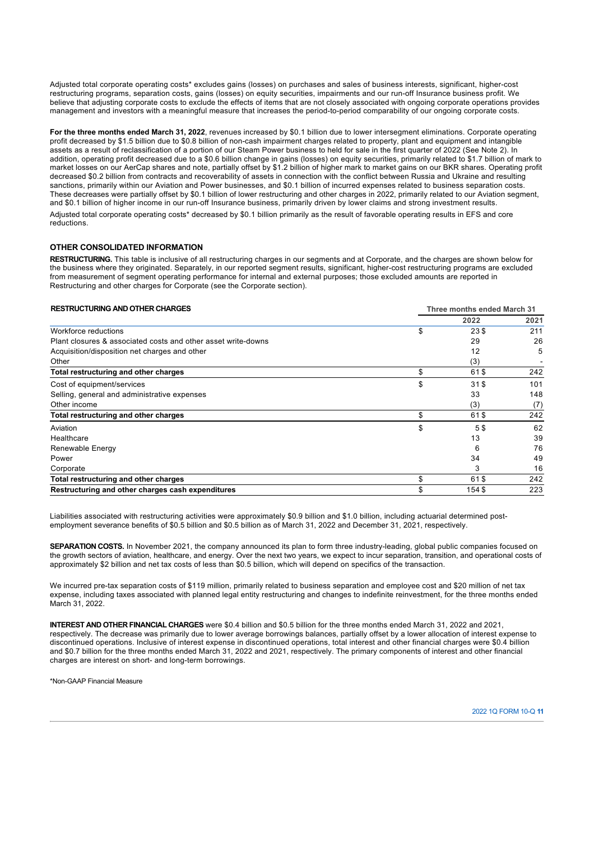Adjusted total corporate operating costs\* excludes gains (losses) on purchases and sales of business interests, significant, higher-cost restructuring programs, separation costs, gains (losses) on equity securities, impairments and our run-off Insurance business profit. We believe that adjusting corporate costs to exclude the effects of items that are not closely associated with ongoing corporate operations provides management and investors with a meaningful measure that increases the period-to-period comparability of our ongoing corporate costs.

**For the three months ended March 31, 2022**, revenues increased by \$0.1 billion due to lower intersegment eliminations. Corporate operating profit decreased by \$1.5 billion due to \$0.8 billion of non-cash impairment charges related to property, plant and equipment and intangible assets as a result of reclassification of a portion of our Steam Power business to held for sale in the first quarter of 2022 (See Note 2). In addition, operating profit decreased due to a \$0.6 billion change in gains (losses) on equity securities, primarily related to \$1.7 billion of mark to market losses on our AerCap shares and note, partially offset by \$1.2 billion of higher mark to market gains on our BKR shares. Operating profit decreased \$0.2 billion from contracts and recoverability of assets in connection with the conflict between Russia and Ukraine and resulting sanctions, primarily within our Aviation and Power businesses, and \$0.1 billion of incurred expenses related to business separation costs. These decreases were partially offset by \$0.1 billion of lower restructuring and other charges in 2022, primarily related to our Aviation segment, and \$0.1 billion of higher income in our run-off Insurance business, primarily driven by lower claims and strong investment results. Adjusted total corporate operating costs\* decreased by \$0.1 billion primarily as the result of favorable operating results in EFS and core reductions.

### <span id="page-10-0"></span>**OTHER CONSOLIDATED INFORMATION**

**RESTRUCTURING.** This table is inclusive of all restructuring charges in our segments and at Corporate, and the charges are shown below for the business where they originated. Separately, in our reported segment results, significant, higher-cost restructuring programs are excluded from measurement of segment operating performance for internal and external purposes; those excluded amounts are reported in Restructuring and other charges for Corporate (see the Corporate section).

#### **RESTRUCTURING AND OTHER CHARGES Three months ended March 31**

| 2022        | 2021                                     |  |
|-------------|------------------------------------------|--|
| \$<br>23\$  | 211                                      |  |
| 29          | 26                                       |  |
| 12          | 5                                        |  |
| (3)         |                                          |  |
| \$<br>61\$  | 242                                      |  |
| \$<br>31S   | 101                                      |  |
| 33          | 148                                      |  |
| (3)         | (7)                                      |  |
| \$<br>61\$  | 242                                      |  |
| \$<br>5\$   | 62                                       |  |
| 13          | 39                                       |  |
| 6           | 76                                       |  |
| 34          | 49                                       |  |
| 3           | 16                                       |  |
| \$<br>61\$  | 242                                      |  |
| \$<br>154\$ | 223                                      |  |
|             | $11155$ $11011113$ $511050$ $10101$ $01$ |  |

Liabilities associated with restructuring activities were approximately \$0.9 billion and \$1.0 billion, including actuarial determined postemployment severance benefits of \$0.5 billion and \$0.5 billion as of March 31, 2022 and December 31, 2021, respectively.

**SEPARATION COSTS.** In November 2021, the company announced its plan to form three industry-leading, global public companies focused on the growth sectors of aviation, healthcare, and energy. Over the next two years, we expect to incur separation, transition, and operational costs of approximately \$2 billion and net tax costs of less than \$0.5 billion, which will depend on specifics of the transaction.

We incurred pre-tax separation costs of \$119 million, primarily related to business separation and employee cost and \$20 million of net tax expense, including taxes associated with planned legal entity restructuring and changes to indefinite reinvestment, for the three months ended March 31, 2022.

**INTEREST AND OTHER FINANCIAL CHARGES** were \$0.4 billion and \$0.5 billion for the three months ended March 31, 2022 and 2021, respectively. The decrease was primarily due to lower average borrowings balances, partially offset by a lower allocation of interest expense to discontinued operations. Inclusive of interest expense in discontinued operations, total interest and other financial charges were \$0.4 billion and \$0.7 billion for the three months ended March 31, 2022 and 2021, respectively. The primary components of interest and other financial charges are interest on short- and long-term borrowings.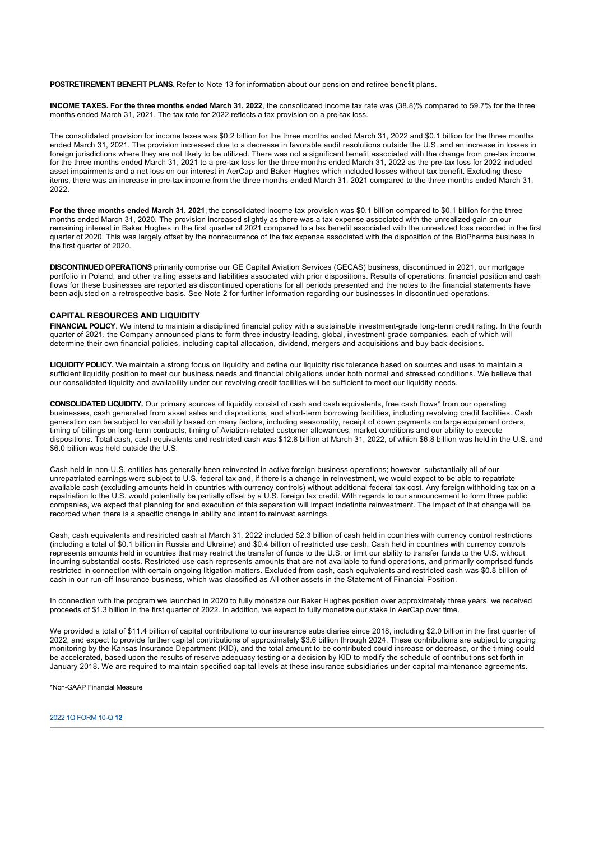**POSTRETIREMENT BENEFIT PLANS.** Refer to Note 13 for information about our pension and retiree benefit plans.

**INCOME TAXES. For the three months ended March 31, 2022**, the consolidated income tax rate was (38.8)% compared to 59.7% for the three months ended March 31, 2021. The tax rate for 2022 reflects a tax provision on a pre-tax loss.

The consolidated provision for income taxes was \$0.2 billion for the three months ended March 31, 2022 and \$0.1 billion for the three months ended March 31, 2021. The provision increased due to a decrease in favorable audit resolutions outside the U.S. and an increase in losses in foreign jurisdictions where they are not likely to be utilized. There was not a significant benefit associated with the change from pre-tax income for the three months ended March 31, 2021 to a pre-tax loss for the three months ended March 31, 2022 as the pre-tax loss for 2022 included asset impairments and a net loss on our interest in AerCap and Baker Hughes which included losses without tax benefit. Excluding these items, there was an increase in pre-tax income from the three months ended March 31, 2021 compared to the three months ended March 31, 2022

**For the three months ended March 31, 2021**, the consolidated income tax provision was \$0.1 billion compared to \$0.1 billion for the three months ended March 31, 2020. The provision increased slightly as there was a tax expense associated with the unrealized gain on our remaining interest in Baker Hughes in the first quarter of 2021 compared to a tax benefit associated with the unrealized loss recorded in the first quarter of 2020. This was largely offset by the nonrecurrence of the tax expense associated with the disposition of the BioPharma business in the first quarter of 2020.

**DISCONTINUED OPERATIONS** primarily comprise our GE Capital Aviation Services (GECAS) business, discontinued in 2021, our mortgage portfolio in Poland, and other trailing assets and liabilities associated with prior dispositions. Results of operations, financial position and cash flows for these businesses are reported as discontinued operations for all periods presented and the notes to the financial statements have been adjusted on a retrospective basis. See Note 2 for further information regarding our businesses in discontinued operations.

### <span id="page-11-0"></span>**CAPITAL RESOURCES AND LIQUIDITY**

**FINANCIAL POLICY**. We intend to maintain a disciplined financial policy with a sustainable investment-grade long-term credit rating. In the fourth quarter of 2021, the Company announced plans to form three industry-leading, global, investment-grade companies, each of which will determine their own financial policies, including capital allocation, dividend, mergers and acquisitions and buy back decisions.

**LIQUIDITY POLICY.** We maintain a strong focus on liquidity and define our liquidity risk tolerance based on sources and uses to maintain a sufficient liquidity position to meet our business needs and financial obligations under both normal and stressed conditions. We believe that our consolidated liquidity and availability under our revolving credit facilities will be sufficient to meet our liquidity needs.

**CONSOLIDATED LIQUIDITY.** Our primary sources of liquidity consist of cash and cash equivalents, free cash flows\* from our operating businesses, cash generated from asset sales and dispositions, and short-term borrowing facilities, including revolving credit facilities. Cash generation can be subject to variability based on many factors, including seasonality, receipt of down payments on large equipment orders, timing of billings on long-term contracts, timing of Aviation-related customer allowances, market conditions and our ability to execute dispositions. Total cash, cash equivalents and restricted cash was \$12.8 billion at March 31, 2022, of which \$6.8 billion was held in the U.S. and \$6.0 billion was held outside the U.S.

Cash held in non-U.S. entities has generally been reinvested in active foreign business operations; however, substantially all of our unrepatriated earnings were subject to U.S. federal tax and, if there is a change in reinvestment, we would expect to be able to repatriate available cash (excluding amounts held in countries with currency controls) without additional federal tax cost. Any foreign withholding tax on a repatriation to the U.S. would potentially be partially offset by a U.S. foreign tax credit. With regards to our announcement to form three public companies, we expect that planning for and execution of this separation will impact indefinite reinvestment. The impact of that change will be recorded when there is a specific change in ability and intent to reinvest earnings.

Cash, cash equivalents and restricted cash at March 31, 2022 included \$2.3 billion of cash held in countries with currency control restrictions (including a total of \$0.1 billion in Russia and Ukraine) and \$0.4 billion of restricted use cash. Cash held in countries with currency controls represents amounts held in countries that may restrict the transfer of funds to the U.S. or limit our ability to transfer funds to the U.S. without incurring substantial costs. Restricted use cash represents amounts that are not available to fund operations, and primarily comprised funds restricted in connection with certain ongoing litigation matters. Excluded from cash, cash equivalents and restricted cash was \$0.8 billion of cash in our run-off Insurance business, which was classified as All other assets in the Statement of Financial Position.

In connection with the program we launched in 2020 to fully monetize our Baker Hughes position over approximately three years, we received proceeds of \$1.3 billion in the first quarter of 2022. In addition, we expect to fully monetize our stake in AerCap over time.

We provided a total of \$11.4 billion of capital contributions to our insurance subsidiaries since 2018, including \$2.0 billion in the first quarter of 2022, and expect to provide further capital contributions of approximately \$3.6 billion through 2024. These contributions are subject to ongoing monitoring by the Kansas Insurance Department (KID), and the total amount to be contributed could increase or decrease, or the timing could be accelerated, based upon the results of reserve adequacy testing or a decision by KID to modify the schedule of contributions set forth in January 2018. We are required to maintain specified capital levels at these insurance subsidiaries under capital maintenance agreements.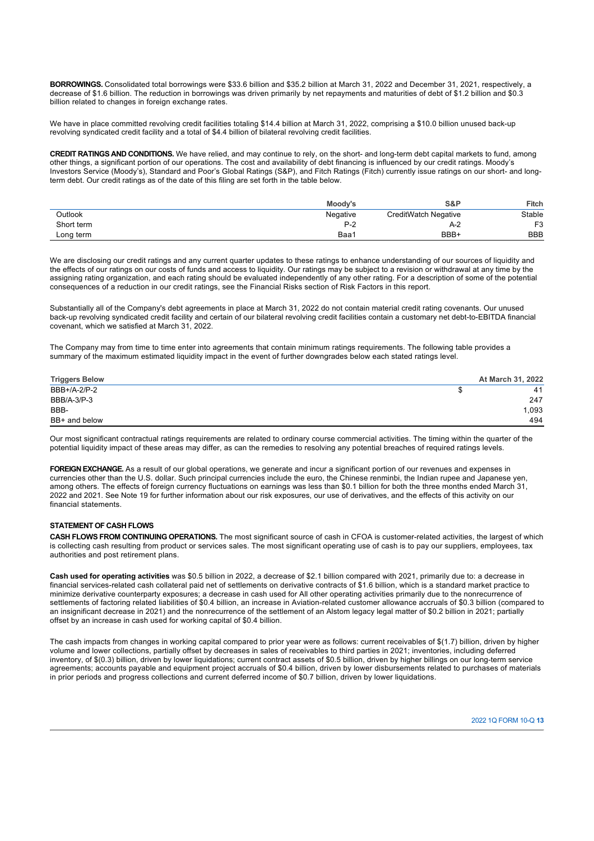**BORROWINGS.** Consolidated total borrowings were \$33.6 billion and \$35.2 billion at March 31, 2022 and December 31, 2021, respectively, a decrease of \$1.6 billion. The reduction in borrowings was driven primarily by net repayments and maturities of debt of \$1.2 billion and \$0.3 billion related to changes in foreign exchange rates.

We have in place committed revolving credit facilities totaling \$14.4 billion at March 31, 2022, comprising a \$10.0 billion unused back-up revolving syndicated credit facility and a total of \$4.4 billion of bilateral revolving credit facilities.

**CREDIT RATINGS AND CONDITIONS.** We have relied, and may continue to rely, on the short- and long-term debt capital markets to fund, among other things, a significant portion of our operations. The cost and availability of debt financing is influenced by our credit ratings. Moody's Investors Service (Moody's), Standard and Poor's Global Ratings (S&P), and Fitch Ratings (Fitch) currently issue ratings on our short- and longterm debt. Our credit ratings as of the date of this filing are set forth in the table below.

|            | Moody's  | S&P                  | <b>Fitch</b>   |
|------------|----------|----------------------|----------------|
| Outlook    | Negative | CreditWatch Negative | Stable         |
| Short term | $P-2$    | A-2                  | F <sub>3</sub> |
| Long term  | Baa1     | BBB+                 | <b>BBB</b>     |

We are disclosing our credit ratings and any current quarter updates to these ratings to enhance understanding of our sources of liquidity and the effects of our ratings on our costs of funds and access to liquidity. Our ratings may be subject to a revision or withdrawal at any time by the assigning rating organization, and each rating should be evaluated independently of any other rating. For a description of some of the potential consequences of a reduction in our credit ratings, see the Financial Risks section of Risk Factors in this report.

Substantially all of the Company's debt agreements in place at March 31, 2022 do not contain material credit rating covenants. Our unused back-up revolving syndicated credit facility and certain of our bilateral revolving credit facilities contain a customary net debt-to-EBITDA financial covenant, which we satisfied at March 31, 2022.

The Company may from time to time enter into agreements that contain minimum ratings requirements. The following table provides a summary of the maximum estimated liquidity impact in the event of further downgrades below each stated ratings level.

| <b>Triggers Below</b> |   | At March 31, 2022 |
|-----------------------|---|-------------------|
| BBB+/A-2/P-2          | æ | 41                |
| BBB/A-3/P-3           |   | 247               |
| BBB-                  |   | 1,093             |
| BB+ and below         |   | 494               |

Our most significant contractual ratings requirements are related to ordinary course commercial activities. The timing within the quarter of the potential liquidity impact of these areas may differ, as can the remedies to resolving any potential breaches of required ratings levels.

**FOREIGN EXCHANGE.** As a result of our global operations, we generate and incur a significant portion of our revenues and expenses in currencies other than the U.S. dollar. Such principal currencies include the euro, the Chinese renminbi, the Indian rupee and Japanese yen, among others. The effects of foreign currency fluctuations on earnings was less than \$0.1 billion for both the three months ended March 31, 2022 and 2021. See Note 19 for further information about our risk exposures, our use of derivatives, and the effects of this activity on our financial statements.

# **STATEMENT OF CASH FLOWS**

**CASH FLOWS FROM CONTINUING OPERATIONS.** The most significant source of cash in CFOA is customer-related activities, the largest of which is collecting cash resulting from product or services sales. The most significant operating use of cash is to pay our suppliers, employees, tax authorities and post retirement plans.

**Cash used for operating activities** was \$0.5 billion in 2022, a decrease of \$2.1 billion compared with 2021, primarily due to: a decrease in financial services-related cash collateral paid net of settlements on derivative contracts of \$1.6 billion, which is a standard market practice to minimize derivative counterparty exposures; a decrease in cash used for All other operating activities primarily due to the nonrecurrence of settlements of factoring related liabilities of \$0.4 billion, an increase in Aviation-related customer allowance accruals of \$0.3 billion (compared to an insignificant decrease in 2021) and the nonrecurrence of the settlement of an Alstom legacy legal matter of \$0.2 billion in 2021; partially offset by an increase in cash used for working capital of \$0.4 billion.

The cash impacts from changes in working capital compared to prior year were as follows: current receivables of \$(1.7) billion, driven by higher volume and lower collections, partially offset by decreases in sales of receivables to third parties in 2021; inventories, including deferred inventory, of \$(0.3) billion, driven by lower liquidations; current contract assets of \$0.5 billion, driven by higher billings on our long-term service agreements; accounts payable and equipment project accruals of \$0.4 billion, driven by lower disbursements related to purchases of materials in prior periods and progress collections and current deferred income of \$0.7 billion, driven by lower liquidations.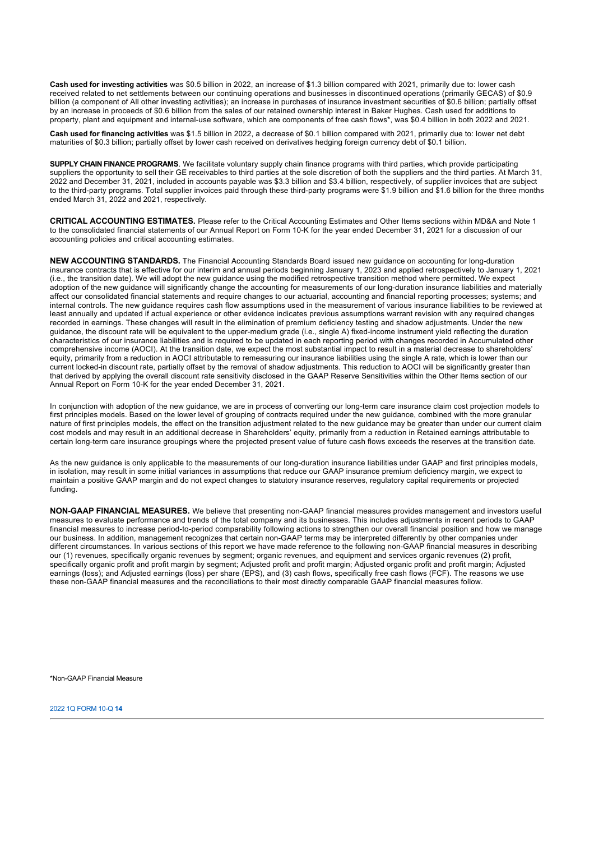**Cash used for investing activities** was \$0.5 billion in 2022, an increase of \$1.3 billion compared with 2021, primarily due to: lower cash received related to net settlements between our continuing operations and businesses in discontinued operations (primarily GECAS) of \$0.9 billion (a component of All other investing activities); an increase in purchases of insurance investment securities of \$0.6 billion; partially offset by an increase in proceeds of \$0.6 billion from the sales of our retained ownership interest in Baker Hughes. Cash used for additions to property, plant and equipment and internal-use software, which are components of free cash flows\*, was \$0.4 billion in both 2022 and 2021.

**Cash used for financing activities** was \$1.5 billion in 2022, a decrease of \$0.1 billion compared with 2021, primarily due to: lower net debt maturities of \$0.3 billion; partially offset by lower cash received on derivatives hedging foreign currency debt of \$0.1 billion.

**SUPPLY CHAIN FINANCE PROGRAMS**. We facilitate voluntary supply chain finance programs with third parties, which provide participating suppliers the opportunity to sell their GE receivables to third parties at the sole discretion of both the suppliers and the third parties. At March 31, 2022 and December 31, 2021, included in accounts payable was \$3.3 billion and \$3.4 billion, respectively, of supplier invoices that are subject to the third-party programs. Total supplier invoices paid through these third-party programs were \$1.9 billion and \$1.6 billion for the three months ended March 31, 2022 and 2021, respectively.

<span id="page-13-0"></span>**CRITICAL ACCOUNTING ESTIMATES.** Please refer to the Critical Accounting Estimates and Other Items sections within MD&A and Note 1 to the consolidated financial statements of our Annual Report on Form 10-K for the year ended December 31, 2021 for a discussion of our accounting policies and critical accounting estimates.

<span id="page-13-1"></span>**NEW ACCOUNTING STANDARDS.** The Financial Accounting Standards Board issued new guidance on accounting for long-duration insurance contracts that is effective for our interim and annual periods beginning January 1, 2023 and applied retrospectively to January 1, 2021 (i.e., the transition date). We will adopt the new guidance using the modified retrospective transition method where permitted. We expect adoption of the new guidance will significantly change the accounting for measurements of our long-duration insurance liabilities and materially affect our consolidated financial statements and require changes to our actuarial, accounting and financial reporting processes; systems; and internal controls. The new guidance requires cash flow assumptions used in the measurement of various insurance liabilities to be reviewed at least annually and updated if actual experience or other evidence indicates previous assumptions warrant revision with any required changes recorded in earnings. These changes will result in the elimination of premium deficiency testing and shadow adjustments. Under the new guidance, the discount rate will be equivalent to the upper-medium grade (i.e., single A) fixed-income instrument yield reflecting the duration characteristics of our insurance liabilities and is required to be updated in each reporting period with changes recorded in Accumulated other comprehensive income (AOCI). At the transition date, we expect the most substantial impact to result in a material decrease to shareholders' equity, primarily from a reduction in AOCI attributable to remeasuring our insurance liabilities using the single A rate, which is lower than our current locked-in discount rate, partially offset by the removal of shadow adjustments. This reduction to AOCI will be significantly greater than that derived by applying the overall discount rate sensitivity disclosed in the GAAP Reserve Sensitivities within the Other Items section of our Annual Report on Form 10-K for the year ended December 31, 2021.

In conjunction with adoption of the new guidance, we are in process of converting our long-term care insurance claim cost projection models to first principles models. Based on the lower level of grouping of contracts required under the new guidance, combined with the more granular nature of first principles models, the effect on the transition adjustment related to the new guidance may be greater than under our current claim cost models and may result in an additional decrease in Shareholders' equity, primarily from a reduction in Retained earnings attributable to certain long-term care insurance groupings where the projected present value of future cash flows exceeds the reserves at the transition date.

As the new guidance is only applicable to the measurements of our long-duration insurance liabilities under GAAP and first principles models, in isolation, may result in some initial variances in assumptions that reduce our GAAP insurance premium deficiency margin, we expect to maintain a positive GAAP margin and do not expect changes to statutory insurance reserves, regulatory capital requirements or projected funding.

<span id="page-13-2"></span>**NON-GAAP FINANCIAL MEASURES.** We believe that presenting non-GAAP financial measures provides management and investors useful measures to evaluate performance and trends of the total company and its businesses. This includes adjustments in recent periods to GAAP financial measures to increase period-to-period comparability following actions to strengthen our overall financial position and how we manage our business. In addition, management recognizes that certain non-GAAP terms may be interpreted differently by other companies under different circumstances. In various sections of this report we have made reference to the following non-GAAP financial measures in describing our (1) revenues, specifically organic revenues by segment; organic revenues, and equipment and services organic revenues (2) profit, specifically organic profit and profit margin by segment; Adjusted profit and profit margin; Adjusted organic profit and profit margin; Adjusted earnings (loss); and Adjusted earnings (loss) per share (EPS), and (3) cash flows, specifically free cash flows (FCF). The reasons we use these non-GAAP financial measures and the reconciliations to their most directly comparable GAAP financial measures follow.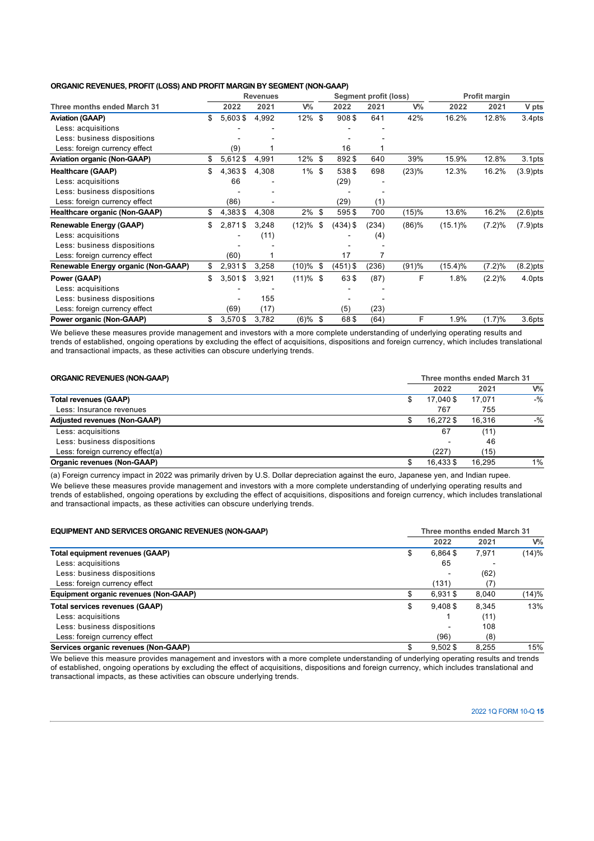### **ORGANIC REVENUES, PROFIT (LOSS) AND PROFIT MARGIN BY SEGMENT (NON-GAAP)**

|                                     |                  | <b>Revenues</b> |             |                  | <b>Segment profit (loss)</b> |       |            | Profit margin |             |
|-------------------------------------|------------------|-----------------|-------------|------------------|------------------------------|-------|------------|---------------|-------------|
| Three months ended March 31         | 2022             | 2021            | $V\%$       | 2022             | 2021                         | $V\%$ | 2022       | 2021          | V pts       |
| <b>Aviation (GAAP)</b>              | \$<br>5,603\$    | 4,992           | 12%         | \$<br>908\$      | 641                          | 42%   | 16.2%      | 12.8%         | 3.4pts      |
| Less: acquisitions                  |                  |                 |             |                  |                              |       |            |               |             |
| Less: business dispositions         |                  |                 |             |                  |                              |       |            |               |             |
| Less: foreign currency effect       | (9)              |                 |             | 16               |                              |       |            |               |             |
| <b>Aviation organic (Non-GAAP)</b>  | \$<br>5,612\$    | 4,991           | 12%         | \$<br>892\$      | 640                          | 39%   | 15.9%      | 12.8%         | 3.1pts      |
| <b>Healthcare (GAAP)</b>            | \$<br>4,363\$    | 4,308           | $1\%$ \$    | 538\$            | 698                          | (23)% | 12.3%      | 16.2%         | $(3.9)$ pts |
| Less: acquisitions                  | 66               |                 |             | (29)             |                              |       |            |               |             |
| Less: business dispositions         |                  |                 |             |                  |                              |       |            |               |             |
| Less: foreign currency effect       | (86)             |                 |             | (29)             | (1)                          |       |            |               |             |
| Healthcare organic (Non-GAAP)       | \$<br>4,383\$    | 4,308           | 2%          | \$<br>595\$      | 700                          | (15)% | 13.6%      | 16.2%         | $(2.6)$ pts |
| Renewable Energy (GAAP)             | \$<br>2,871\$    | 3,248           | (12)%       | \$<br>$(434)$ \$ | (234)                        | (86)% | $(15.1)\%$ | (7.2)%        | $(7.9)$ pts |
| Less: acquisitions                  |                  | (11)            |             |                  | (4)                          |       |            |               |             |
| Less: business dispositions         |                  |                 |             |                  |                              |       |            |               |             |
| Less: foreign currency effect       | (60)             |                 |             | 17               | 7                            |       |            |               |             |
| Renewable Energy organic (Non-GAAP) | \$<br>2,931\$    | 3,258           | (10)%       | \$<br>(451)\$    | (236)                        | (91)% | $(15.4)\%$ | (7.2)%        | $(8.2)$ pts |
| Power (GAAP)                        | \$<br>$3,501$ \$ | 3,921           | $(11)\%$ \$ | 63\$             | (87)                         | F     | 1.8%       | (2.2)%        | 4.0pts      |
| Less: acquisitions                  |                  |                 |             |                  |                              |       |            |               |             |
| Less: business dispositions         |                  | 155             |             |                  |                              |       |            |               |             |
| Less: foreign currency effect       | (69)             | (17)            |             | (5)              | (23)                         |       |            |               |             |
| Power organic (Non-GAAP)            | \$<br>$3,570$ \$ | 3,782           | $(6)$ % \$  | 68\$             | (64)                         | F     | 1.9%       | (1.7)%        | 3.6pts      |

We believe these measures provide management and investors with a more complete understanding of underlying operating results and trends of established, ongoing operations by excluding the effect of acquisitions, dispositions and foreign currency, which includes translational and transactional impacts, as these activities can obscure underlying trends.

| <b>ORGANIC REVENUES (NON-GAAP)</b> |                 | Three months ended March 31 |        |
|------------------------------------|-----------------|-----------------------------|--------|
|                                    | 2022            | 2021                        | $V\%$  |
| <b>Total revenues (GAAP)</b>       | \$<br>17.040 \$ | 17.071                      | $-9/6$ |
| Less: Insurance revenues           | 767             | 755                         |        |
| Adjusted revenues (Non-GAAP)       | 16.272\$        | 16.316                      | $-9/6$ |
| Less: acquisitions                 | 67              | (11)                        |        |
| Less: business dispositions        |                 | 46                          |        |
| Less: foreign currency effect(a)   | (227)           | (15)                        |        |
| Organic revenues (Non-GAAP)        | 16.433\$        | 16.295                      | $1\%$  |

(a) Foreign currency impact in 2022 was primarily driven by U.S. Dollar depreciation against the euro, Japanese yen, and Indian rupee.

We believe these measures provide management and investors with a more complete understanding of underlying operating results and trends of established, ongoing operations by excluding the effect of acquisitions, dispositions and foreign currency, which includes translational and transactional impacts, as these activities can obscure underlying trends.

| EQUIPMENT AND SERVICES ORGANIC REVENUES (NON-GAAP) | Three months ended March 31 |       |       |
|----------------------------------------------------|-----------------------------|-------|-------|
|                                                    | 2022                        | 2021  | $V\%$ |
| Total equipment revenues (GAAP)                    | \$<br>6,864\$               | 7.971 | (14)% |
| Less: acquisitions                                 | 65                          |       |       |
| Less: business dispositions                        |                             | (62)  |       |
| Less: foreign currency effect                      | (131)                       | 17    |       |
| Equipment organic revenues (Non-GAAP)              | \$<br>6,931\$               | 8,040 | (14)% |
| <b>Total services revenues (GAAP)</b>              | \$<br>$9,408$ \$            | 8.345 | 13%   |
| Less: acquisitions                                 |                             | (11)  |       |
| Less: business dispositions                        |                             | 108   |       |
| Less: foreign currency effect                      | (96)                        | (8)   |       |
| Services organic revenues (Non-GAAP)               | \$<br>$9.502$ \$            | 8.255 | 15%   |

We believe this measure provides management and investors with a more complete understanding of underlying operating results and trends of established, ongoing operations by excluding the effect of acquisitions, dispositions and foreign currency, which includes translational and transactional impacts, as these activities can obscure underlying trends.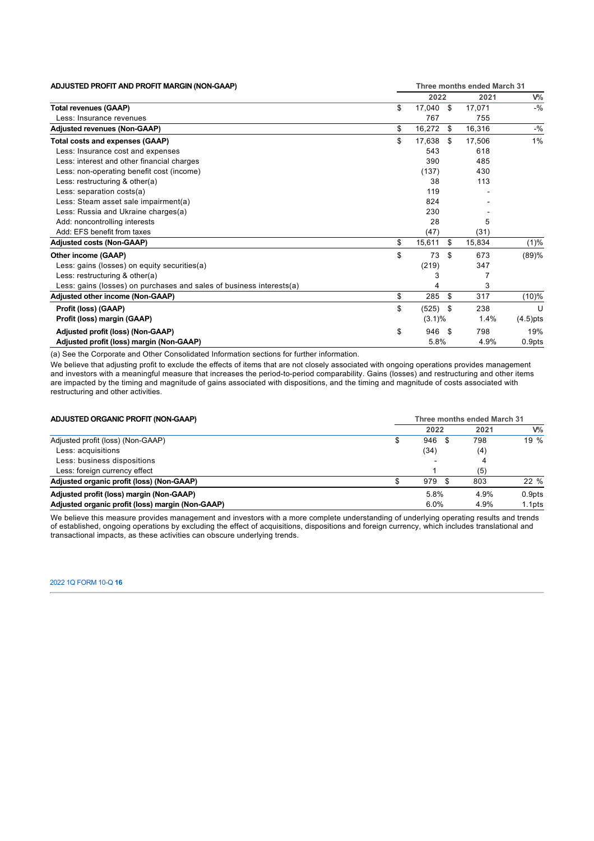| ADJUSTED PROFIT AND PROFIT MARGIN (NON-GAAP)                         | Three months ended March 31 |      |        |             |
|----------------------------------------------------------------------|-----------------------------|------|--------|-------------|
|                                                                      | 2022                        |      | 2021   | $V\%$       |
| <b>Total revenues (GAAP)</b>                                         | \$<br>17,040 \$             |      | 17,071 | $-9/6$      |
| Less: Insurance revenues                                             | 767                         |      | 755    |             |
| <b>Adjusted revenues (Non-GAAP)</b>                                  | \$<br>16,272                | \$   | 16,316 | $-9/0$      |
| Total costs and expenses (GAAP)                                      | \$<br>17,638                | - \$ | 17,506 | $1\%$       |
| Less: Insurance cost and expenses                                    | 543                         |      | 618    |             |
| Less: interest and other financial charges                           | 390                         |      | 485    |             |
| Less: non-operating benefit cost (income)                            | (137)                       |      | 430    |             |
| Less: restructuring & other(a)                                       | 38                          |      | 113    |             |
| Less: separation costs(a)                                            | 119                         |      |        |             |
| Less: Steam asset sale impairment(a)                                 | 824                         |      |        |             |
| Less: Russia and Ukraine charges(a)                                  | 230                         |      |        |             |
| Add: noncontrolling interests                                        | 28                          |      | 5      |             |
| Add: EFS benefit from taxes                                          | (47)                        |      | (31)   |             |
| <b>Adjusted costs (Non-GAAP)</b>                                     | \$<br>15,611                | \$   | 15,834 | (1)%        |
| Other income (GAAP)                                                  | \$<br>73                    | -\$  | 673    | (89)%       |
| Less: gains (losses) on equity securities(a)                         | (219)                       |      | 347    |             |
| Less: restructuring & other(a)                                       | 3                           |      |        |             |
| Less: gains (losses) on purchases and sales of business interests(a) | 4                           |      | 3      |             |
| Adjusted other income (Non-GAAP)                                     | \$<br>285                   | \$   | 317    | (10)%       |
| Profit (loss) (GAAP)                                                 | \$<br>$(525)$ \$            |      | 238    | $\cup$      |
| Profit (loss) margin (GAAP)                                          | $(3.1)\%$                   |      | 1.4%   | $(4.5)$ pts |
| Adjusted profit (loss) (Non-GAAP)                                    | \$<br>946 \$                |      | 798    | 19%         |
| Adjusted profit (loss) margin (Non-GAAP)                             | 5.8%                        |      | 4.9%   | 0.9pts      |

(a) See the Corporate and Other Consolidated Information sections for further information.

We believe that adjusting profit to exclude the effects of items that are not closely associated with ongoing operations provides management and investors with a meaningful measure that increases the period-to-period comparability. Gains (losses) and restructuring and other items are impacted by the timing and magnitude of gains associated with dispositions, and the timing and magnitude of costs associated with restructuring and other activities.

| ADJUSTED ORGANIC PROFIT (NON-GAAP)               |   | Three months ended March 31 |      |                    |  |  |  |
|--------------------------------------------------|---|-----------------------------|------|--------------------|--|--|--|
|                                                  |   | 2022                        | 2021 | $V\%$              |  |  |  |
| Adjusted profit (loss) (Non-GAAP)                | C | $946 \quad $$               | 798  | 19 %               |  |  |  |
| Less: acquisitions                               |   | (34)                        | (4)  |                    |  |  |  |
| Less: business dispositions                      |   |                             | 4    |                    |  |  |  |
| Less: foreign currency effect                    |   |                             | (5)  |                    |  |  |  |
| Adjusted organic profit (loss) (Non-GAAP)        |   | 979 \$                      | 803  | 22%                |  |  |  |
| Adjusted profit (loss) margin (Non-GAAP)         |   | 5.8%                        | 4.9% | 0.9pts             |  |  |  |
| Adjusted organic profit (loss) margin (Non-GAAP) |   | 6.0%                        | 4.9% | 1.1 <sub>pts</sub> |  |  |  |

We believe this measure provides management and investors with a more complete understanding of underlying operating results and trends of established, ongoing operations by excluding the effect of acquisitions, dispositions and foreign currency, which includes translational and transactional impacts, as these activities can obscure underlying trends.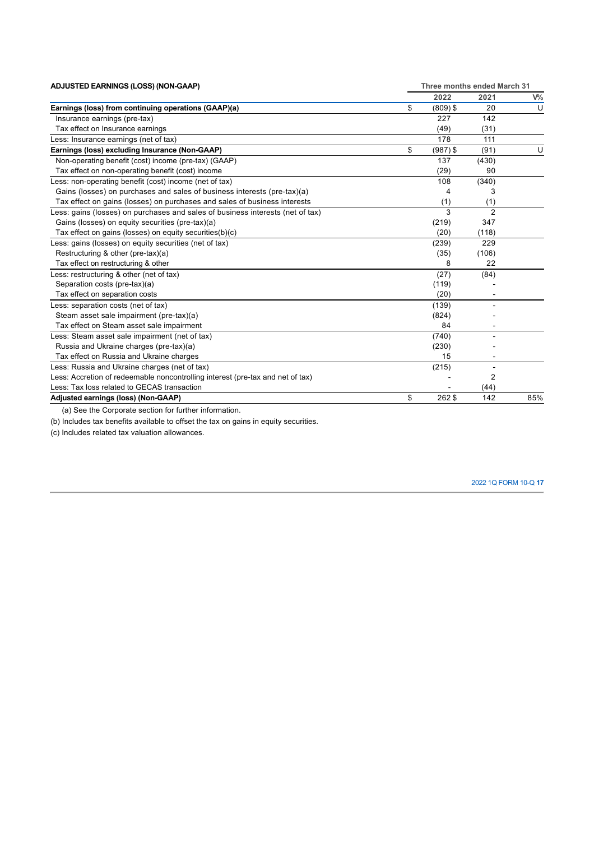| <b>ADJUSTED EARNINGS (LOSS) (NON-GAAP)</b>                                     |    | Three months ended March 31 |                |        |  |
|--------------------------------------------------------------------------------|----|-----------------------------|----------------|--------|--|
|                                                                                |    | 2022                        | 2021           | $V\%$  |  |
| Earnings (loss) from continuing operations (GAAP)(a)                           | \$ | $(809)$ \$                  | 20             | $\cup$ |  |
| Insurance earnings (pre-tax)                                                   |    | 227                         | 142            |        |  |
| Tax effect on Insurance earnings                                               |    | (49)                        | (31)           |        |  |
| Less: Insurance earnings (net of tax)                                          |    | 178                         | 111            |        |  |
| Earnings (loss) excluding Insurance (Non-GAAP)                                 | \$ | $(987)$ \$                  | (91)           | U      |  |
| Non-operating benefit (cost) income (pre-tax) (GAAP)                           |    | 137                         | (430)          |        |  |
| Tax effect on non-operating benefit (cost) income                              |    | (29)                        | 90             |        |  |
| Less: non-operating benefit (cost) income (net of tax)                         |    | 108                         | (340)          |        |  |
| Gains (losses) on purchases and sales of business interests (pre-tax)(a)       |    | 4                           | 3              |        |  |
| Tax effect on gains (losses) on purchases and sales of business interests      |    | (1)                         | (1)            |        |  |
| Less: gains (losses) on purchases and sales of business interests (net of tax) |    | 3                           | $\overline{2}$ |        |  |
| Gains (losses) on equity securities (pre-tax)(a)                               |    | (219)                       | 347            |        |  |
| Tax effect on gains (losses) on equity securities(b)(c)                        |    | (20)                        | (118)          |        |  |
| Less: gains (losses) on equity securities (net of tax)                         |    | (239)                       | 229            |        |  |
| Restructuring & other (pre-tax)(a)                                             |    | (35)                        | (106)          |        |  |
| Tax effect on restructuring & other                                            |    | 8                           | 22             |        |  |
| Less: restructuring & other (net of tax)                                       |    | (27)                        | (84)           |        |  |
| Separation costs (pre-tax)(a)                                                  |    | (119)                       |                |        |  |
| Tax effect on separation costs                                                 |    | (20)                        |                |        |  |
| Less: separation costs (net of tax)                                            |    | (139)                       |                |        |  |
| Steam asset sale impairment (pre-tax)(a)                                       |    | (824)                       |                |        |  |
| Tax effect on Steam asset sale impairment                                      |    | 84                          |                |        |  |
| Less: Steam asset sale impairment (net of tax)                                 |    | (740)                       |                |        |  |
| Russia and Ukraine charges (pre-tax)(a)                                        |    | (230)                       |                |        |  |
| Tax effect on Russia and Ukraine charges                                       |    | 15                          |                |        |  |
| Less: Russia and Ukraine charges (net of tax)                                  |    | (215)                       |                |        |  |
| Less: Accretion of redeemable noncontrolling interest (pre-tax and net of tax) |    |                             | 2              |        |  |
| Less: Tax loss related to GECAS transaction                                    |    |                             | (44)           |        |  |
| Adjusted earnings (loss) (Non-GAAP)                                            | \$ | 262\$                       | 142            | 85%    |  |

(a) See the Corporate section for further information.

(b) Includes tax benefits available to offset the tax on gains in equity securities.

(c) Includes related tax valuation allowances.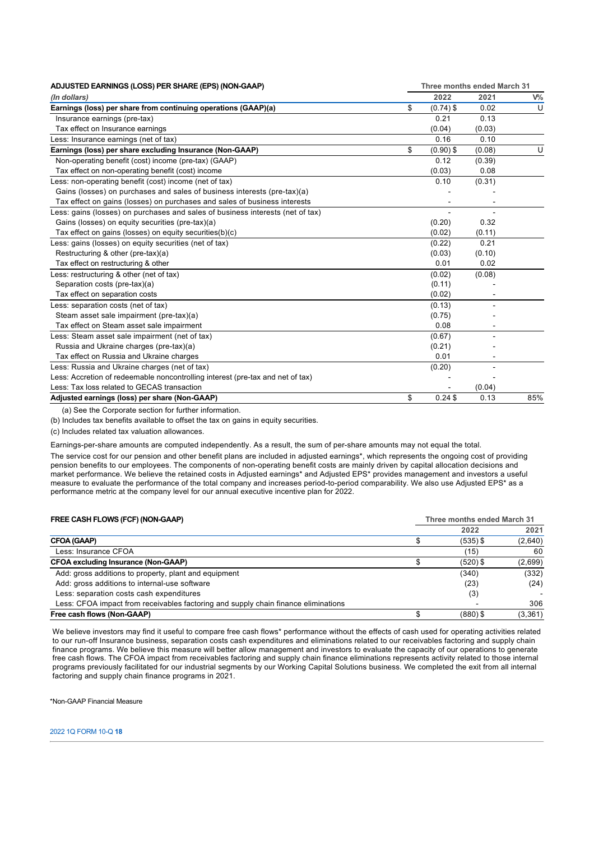| ADJUSTED EARNINGS (LOSS) PER SHARE (EPS) (NON-GAAP)                            | Three months ended March 31 |             |        |       |
|--------------------------------------------------------------------------------|-----------------------------|-------------|--------|-------|
| (In dollars)                                                                   |                             | 2022        | 2021   | $V\%$ |
| Earnings (loss) per share from continuing operations (GAAP)(a)                 | \$                          | $(0.74)$ \$ | 0.02   | IJ    |
| Insurance earnings (pre-tax)                                                   |                             | 0.21        | 0.13   |       |
| Tax effect on Insurance earnings                                               |                             | (0.04)      | (0.03) |       |
| Less: Insurance earnings (net of tax)                                          |                             | 0.16        | 0.10   |       |
| Earnings (loss) per share excluding Insurance (Non-GAAP)                       | \$                          | $(0.90)$ \$ | (0.08) | U     |
| Non-operating benefit (cost) income (pre-tax) (GAAP)                           |                             | 0.12        | (0.39) |       |
| Tax effect on non-operating benefit (cost) income                              |                             | (0.03)      | 0.08   |       |
| Less: non-operating benefit (cost) income (net of tax)                         |                             | 0.10        | (0.31) |       |
| Gains (losses) on purchases and sales of business interests (pre-tax)(a)       |                             |             |        |       |
| Tax effect on gains (losses) on purchases and sales of business interests      |                             |             |        |       |
| Less: gains (losses) on purchases and sales of business interests (net of tax) |                             |             |        |       |
| Gains (losses) on equity securities (pre-tax)(a)                               |                             | (0.20)      | 0.32   |       |
| Tax effect on gains (losses) on equity securities(b)(c)                        |                             | (0.02)      | (0.11) |       |
| Less: gains (losses) on equity securities (net of tax)                         |                             | (0.22)      | 0.21   |       |
| Restructuring & other (pre-tax)(a)                                             |                             | (0.03)      | (0.10) |       |
| Tax effect on restructuring & other                                            |                             | 0.01        | 0.02   |       |
| Less: restructuring & other (net of tax)                                       |                             | (0.02)      | (0.08) |       |
| Separation costs (pre-tax)(a)                                                  |                             | (0.11)      |        |       |
| Tax effect on separation costs                                                 |                             | (0.02)      |        |       |
| Less: separation costs (net of tax)                                            |                             | (0.13)      |        |       |
| Steam asset sale impairment (pre-tax)(a)                                       |                             | (0.75)      |        |       |
| Tax effect on Steam asset sale impairment                                      |                             | 0.08        |        |       |
| Less: Steam asset sale impairment (net of tax)                                 |                             | (0.67)      |        |       |
| Russia and Ukraine charges (pre-tax)(a)                                        |                             | (0.21)      |        |       |
| Tax effect on Russia and Ukraine charges                                       |                             | 0.01        |        |       |
| Less: Russia and Ukraine charges (net of tax)                                  |                             | (0.20)      |        |       |
| Less: Accretion of redeemable noncontrolling interest (pre-tax and net of tax) |                             |             |        |       |
| Less: Tax loss related to GECAS transaction                                    |                             |             | (0.04) |       |
| Adjusted earnings (loss) per share (Non-GAAP)                                  | \$                          | $0.24$ \$   | 0.13   | 85%   |

(a) See the Corporate section for further information.

(b) Includes tax benefits available to offset the tax on gains in equity securities.

(c) Includes related tax valuation allowances.

Earnings-per-share amounts are computed independently. As a result, the sum of per-share amounts may not equal the total.

The service cost for our pension and other benefit plans are included in adjusted earnings\*, which represents the ongoing cost of providing pension benefits to our employees. The components of non-operating benefit costs are mainly driven by capital allocation decisions and market performance. We believe the retained costs in Adjusted earnings\* and Adjusted EPS\* provides management and investors a useful measure to evaluate the performance of the total company and increases period-to-period comparability. We also use Adjusted EPS\* as a performance metric at the company level for our annual executive incentive plan for 2022.

| FREE CASH FLOWS (FCF) (NON-GAAP)                                                   | Three months ended March 31 |            |          |  |
|------------------------------------------------------------------------------------|-----------------------------|------------|----------|--|
|                                                                                    |                             | 2022       | 2021     |  |
| <b>CFOA (GAAP)</b>                                                                 |                             | (535)\$    | (2,640)  |  |
| Less: Insurance CFOA                                                               |                             | (15)       | 60       |  |
| <b>CFOA excluding Insurance (Non-GAAP)</b>                                         |                             | (520)\$    | (2,699)  |  |
| Add: gross additions to property, plant and equipment                              |                             | (340)      | (332)    |  |
| Add: gross additions to internal-use software                                      |                             | (23)       | (24)     |  |
| Less: separation costs cash expenditures                                           |                             | (3)        |          |  |
| Less: CFOA impact from receivables factoring and supply chain finance eliminations |                             |            | 306      |  |
| Free cash flows (Non-GAAP)                                                         |                             | $(880)$ \$ | (3, 361) |  |

<span id="page-17-0"></span>We believe investors may find it useful to compare free cash flows\* performance without the effects of cash used for operating activities related to our run-off Insurance business, separation costs cash expenditures and eliminations related to our receivables factoring and supply chain finance programs. We believe this measure will better allow management and investors to evaluate the capacity of our operations to generate free cash flows. The CFOA impact from receivables factoring and supply chain finance eliminations represents activity related to those internal programs previously facilitated for our industrial segments by our Working Capital Solutions business. We completed the exit from all internal factoring and supply chain finance programs in 2021.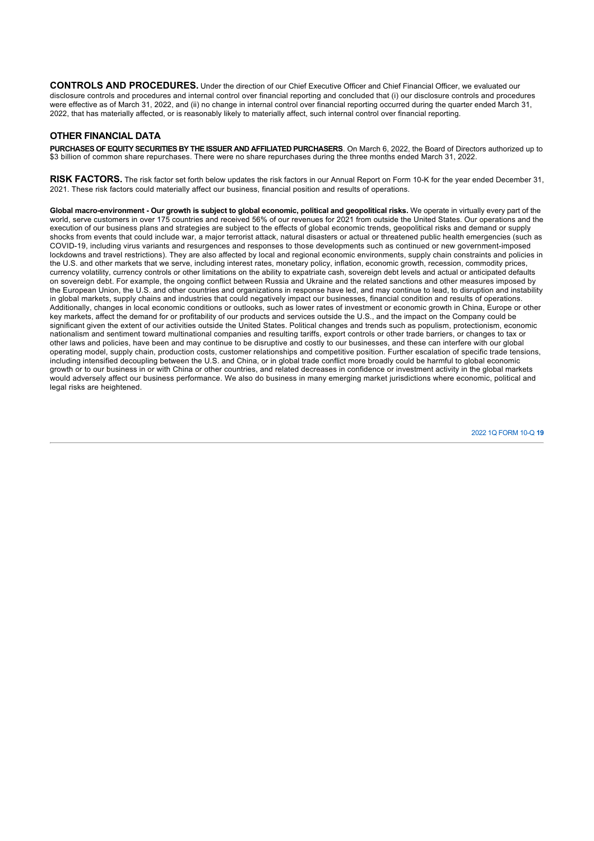**CONTROLS AND PROCEDURES.** Under the direction of our Chief Executive Officer and Chief Financial Officer, we evaluated our disclosure controls and procedures and internal control over financial reporting and concluded that (i) our disclosure controls and procedures were effective as of March 31, 2022, and (ii) no change in internal control over financial reporting occurred during the quarter ended March 31, 2022, that has materially affected, or is reasonably likely to materially affect, such internal control over financial reporting.

# <span id="page-18-0"></span>**OTHER FINANCIAL DATA**

**PURCHASES OF EQUITY SECURITIES BY THE ISSUER AND AFFILIATED PURCHASERS**. On March 6, 2022, the Board of Directors authorized up to \$3 billion of common share repurchases. There were no share repurchases during the three months ended March 31, 2022.

<span id="page-18-1"></span>**RISK FACTORS.** The risk factor set forth below updates the risk factors in our Annual Report on Form 10-K for the year ended December 31, 2021. These risk factors could materially affect our business, financial position and results of operations.

<span id="page-18-2"></span>**Global macro-environment - Our growth is subject to global economic, political and geopolitical risks.** We operate in virtually every part of the world, serve customers in over 175 countries and received 56% of our revenues for 2021 from outside the United States. Our operations and the execution of our business plans and strategies are subject to the effects of global economic trends, geopolitical risks and demand or supply shocks from events that could include war, a major terrorist attack, natural disasters or actual or threatened public health emergencies (such as COVID-19, including virus variants and resurgences and responses to those developments such as continued or new government-imposed lockdowns and travel restrictions). They are also affected by local and regional economic environments, supply chain constraints and policies in the U.S. and other markets that we serve, including interest rates, monetary policy, inflation, economic growth, recession, commodity prices, currency volatility, currency controls or other limitations on the ability to expatriate cash, sovereign debt levels and actual or anticipated defaults on sovereign debt. For example, the ongoing conflict between Russia and Ukraine and the related sanctions and other measures imposed by the European Union, the U.S. and other countries and organizations in response have led, and may continue to lead, to disruption and instability in global markets, supply chains and industries that could negatively impact our businesses, financial condition and results of operations. Additionally, changes in local economic conditions or outlooks, such as lower rates of investment or economic growth in China, Europe or other key markets, affect the demand for or profitability of our products and services outside the U.S., and the impact on the Company could be significant given the extent of our activities outside the United States. Political changes and trends such as populism, protectionism, economic nationalism and sentiment toward multinational companies and resulting tariffs, export controls or other trade barriers, or changes to tax or other laws and policies, have been and may continue to be disruptive and costly to our businesses, and these can interfere with our global operating model, supply chain, production costs, customer relationships and competitive position. Further escalation of specific trade tensions, including intensified decoupling between the U.S. and China, or in global trade conflict more broadly could be harmful to global economic growth or to our business in or with China or other countries, and related decreases in confidence or investment activity in the global markets would adversely affect our business performance. We also do business in many emerging market jurisdictions where economic, political and legal risks are heightened.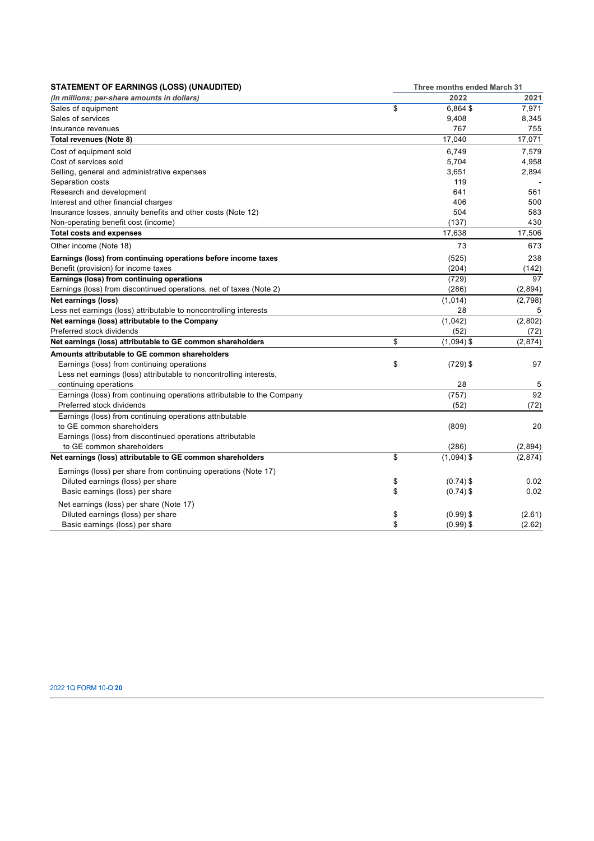<span id="page-19-0"></span>

| <b>STATEMENT OF EARNINGS (LOSS) (UNAUDITED)</b>                        |    | Three months ended March 31 |         |
|------------------------------------------------------------------------|----|-----------------------------|---------|
| (In millions; per-share amounts in dollars)                            |    | 2022                        | 2021    |
| Sales of equipment                                                     | \$ | 6,864\$                     | 7,971   |
| Sales of services                                                      |    | 9,408                       | 8,345   |
| Insurance revenues                                                     |    | 767                         | 755     |
| Total revenues (Note 8)                                                |    | 17,040                      | 17,071  |
| Cost of equipment sold                                                 |    | 6,749                       | 7,579   |
| Cost of services sold                                                  |    | 5,704                       | 4,958   |
| Selling, general and administrative expenses                           |    | 3,651                       | 2,894   |
| Separation costs                                                       |    | 119                         |         |
| Research and development                                               |    | 641                         | 561     |
| Interest and other financial charges                                   |    | 406                         | 500     |
| Insurance losses, annuity benefits and other costs (Note 12)           |    | 504                         | 583     |
| Non-operating benefit cost (income)                                    |    | (137)                       | 430     |
| <b>Total costs and expenses</b>                                        |    | 17,638                      | 17,506  |
| Other income (Note 18)                                                 |    | 73                          | 673     |
| Earnings (loss) from continuing operations before income taxes         |    | (525)                       | 238     |
| Benefit (provision) for income taxes                                   |    | (204)                       | (142)   |
| Earnings (loss) from continuing operations                             |    | (729)                       | 97      |
| Earnings (loss) from discontinued operations, net of taxes (Note 2)    |    | (286)                       | (2,894) |
| Net earnings (loss)                                                    |    | (1, 014)                    | (2,798) |
| Less net earnings (loss) attributable to noncontrolling interests      |    | 28                          | 5       |
| Net earnings (loss) attributable to the Company                        |    | (1,042)                     | (2,802) |
| Preferred stock dividends                                              |    | (52)                        | (72)    |
| Net earnings (loss) attributable to GE common shareholders             | \$ | $(1,094)$ \$                | (2,874) |
| Amounts attributable to GE common shareholders                         |    |                             |         |
| Earnings (loss) from continuing operations                             | \$ | $(729)$ \$                  | 97      |
| Less net earnings (loss) attributable to noncontrolling interests,     |    |                             |         |
| continuing operations                                                  |    | 28                          | 5       |
| Earnings (loss) from continuing operations attributable to the Company |    | (757)                       | 92      |
| Preferred stock dividends                                              |    | (52)                        | (72)    |
| Earnings (loss) from continuing operations attributable                |    |                             |         |
| to GE common shareholders                                              |    | (809)                       | 20      |
| Earnings (loss) from discontinued operations attributable              |    |                             |         |
| to GE common shareholders                                              |    | (286)                       | (2,894) |
| Net earnings (loss) attributable to GE common shareholders             | \$ | $(1,094)$ \$                | (2,874) |
| Earnings (loss) per share from continuing operations (Note 17)         |    |                             |         |
| Diluted earnings (loss) per share                                      | \$ | $(0.74)$ \$                 | 0.02    |
| Basic earnings (loss) per share                                        | \$ | $(0.74)$ \$                 | 0.02    |
| Net earnings (loss) per share (Note 17)                                |    |                             |         |
| Diluted earnings (loss) per share                                      | \$ | $(0.99)$ \$                 | (2.61)  |
| Basic earnings (loss) per share                                        | \$ | $(0.99)$ \$                 | (2.62)  |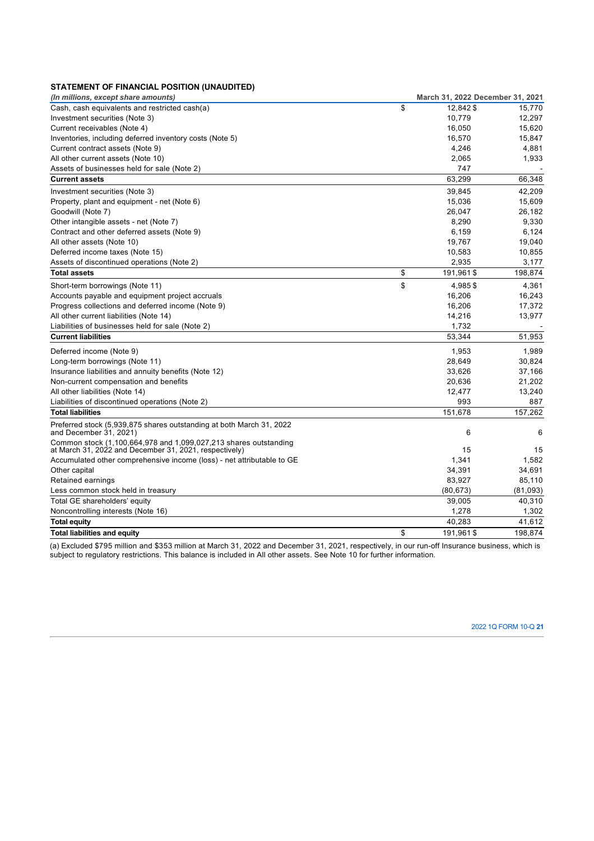## **STATEMENT OF FINANCIAL POSITION (UNAUDITED)**

| (In millions, except share amounts)                                                                                        | March 31, 2022 December 31, 2021 |          |
|----------------------------------------------------------------------------------------------------------------------------|----------------------------------|----------|
| Cash, cash equivalents and restricted cash(a)                                                                              | \$<br>12,842\$                   | 15,770   |
| Investment securities (Note 3)                                                                                             | 10,779                           | 12,297   |
| Current receivables (Note 4)                                                                                               | 16,050                           | 15,620   |
| Inventories, including deferred inventory costs (Note 5)                                                                   | 16,570                           | 15,847   |
| Current contract assets (Note 9)                                                                                           | 4,246                            | 4,881    |
| All other current assets (Note 10)                                                                                         | 2,065                            | 1,933    |
| Assets of businesses held for sale (Note 2)                                                                                | 747                              |          |
| <b>Current assets</b>                                                                                                      | 63,299                           | 66,348   |
| Investment securities (Note 3)                                                                                             | 39,845                           | 42,209   |
| Property, plant and equipment - net (Note 6)                                                                               | 15,036                           | 15,609   |
| Goodwill (Note 7)                                                                                                          | 26,047                           | 26,182   |
| Other intangible assets - net (Note 7)                                                                                     | 8,290                            | 9,330    |
| Contract and other deferred assets (Note 9)                                                                                | 6,159                            | 6,124    |
| All other assets (Note 10)                                                                                                 | 19,767                           | 19,040   |
| Deferred income taxes (Note 15)                                                                                            | 10,583                           | 10,855   |
| Assets of discontinued operations (Note 2)                                                                                 | 2,935                            | 3,177    |
| <b>Total assets</b>                                                                                                        | \$<br>191,961\$                  | 198,874  |
| Short-term borrowings (Note 11)                                                                                            | \$<br>4,985\$                    | 4,361    |
| Accounts payable and equipment project accruals                                                                            | 16,206                           | 16,243   |
| Progress collections and deferred income (Note 9)                                                                          | 16,206                           | 17,372   |
| All other current liabilities (Note 14)                                                                                    | 14,216                           | 13,977   |
| Liabilities of businesses held for sale (Note 2)                                                                           | 1,732                            |          |
| <b>Current liabilities</b>                                                                                                 | 53,344                           | 51,953   |
| Deferred income (Note 9)                                                                                                   | 1,953                            | 1,989    |
| Long-term borrowings (Note 11)                                                                                             | 28,649                           | 30,824   |
| Insurance liabilities and annuity benefits (Note 12)                                                                       | 33,626                           | 37,166   |
| Non-current compensation and benefits                                                                                      | 20,636                           | 21,202   |
| All other liabilities (Note 14)                                                                                            | 12,477                           | 13,240   |
| Liabilities of discontinued operations (Note 2)                                                                            | 993                              | 887      |
| <b>Total liabilities</b>                                                                                                   | 151,678                          | 157,262  |
| Preferred stock (5,939,875 shares outstanding at both March 31, 2022<br>and December 31, 2021)                             | 6                                | 6        |
| Common stock (1,100,664,978 and 1,099,027,213 shares outstanding<br>at March 31, 2022 and December 31, 2021, respectively) | 15                               | 15       |
| Accumulated other comprehensive income (loss) - net attributable to GE                                                     | 1,341                            | 1,582    |
| Other capital                                                                                                              | 34,391                           | 34,691   |
| Retained earnings                                                                                                          | 83,927                           | 85,110   |
| Less common stock held in treasury                                                                                         | (80, 673)                        | (81,093) |
| Total GE shareholders' equity                                                                                              | 39,005                           | 40,310   |
| Noncontrolling interests (Note 16)                                                                                         | 1,278                            | 1,302    |
| <b>Total equity</b>                                                                                                        | 40,283                           | 41,612   |
| <b>Total liabilities and equity</b>                                                                                        | \$<br>191,961\$                  | 198,874  |

<span id="page-20-0"></span>(a) Excluded \$795 million and \$353 million at March 31, 2022 and December 31, 2021, respectively, in our run-off Insurance business, which is subject to regulatory restrictions. This balance is included in All other assets. See Note 10 for further information.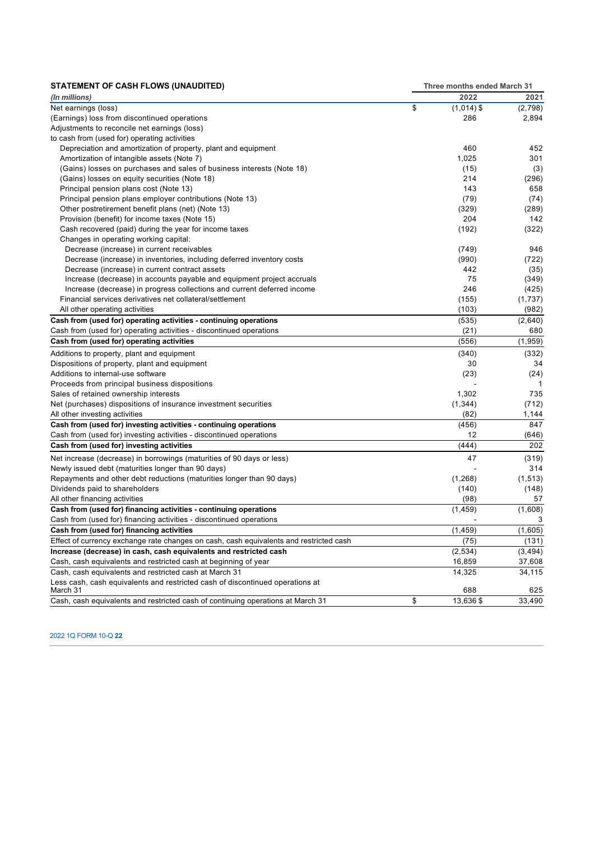<span id="page-21-0"></span>

| <b>STATEMENT OF CASH FLOWS (UNAUDITED)</b>                                                  | Three months ended March 31 |              |              |
|---------------------------------------------------------------------------------------------|-----------------------------|--------------|--------------|
| (In millions)                                                                               |                             | 2022         | 2021         |
| Net earnings (loss)                                                                         | \$                          | $(1,014)$ \$ | (2,798)      |
| (Earnings) loss from discontinued operations                                                |                             | 286          | 2,894        |
| Adjustments to reconcile net earnings (loss)                                                |                             |              |              |
| to cash from (used for) operating activities                                                |                             |              |              |
| Depreciation and amortization of property, plant and equipment                              |                             | 460          | 452          |
| Amortization of intangible assets (Note 7)                                                  |                             | 1,025        | 301          |
| (Gains) losses on purchases and sales of business interests (Note 18)                       |                             | (15)         | (3)          |
| (Gains) losses on equity securities (Note 18)                                               |                             | 214          | (296)        |
| Principal pension plans cost (Note 13)                                                      |                             | 143          | 658          |
| Principal pension plans employer contributions (Note 13)                                    |                             | (79)         | (74)         |
| Other postretirement benefit plans (net) (Note 13)                                          |                             | (329)        | (289)        |
| Provision (benefit) for income taxes (Note 15)                                              |                             | 204          | 142          |
| Cash recovered (paid) during the year for income taxes                                      |                             | (192)        | (322)        |
| Changes in operating working capital:                                                       |                             |              |              |
| Decrease (increase) in current receivables                                                  |                             | (749)        | 946          |
| Decrease (increase) in inventories, including deferred inventory costs                      |                             | (990)        | (722)        |
| Decrease (increase) in current contract assets                                              |                             | 442          | (35)         |
| Increase (decrease) in accounts payable and equipment project accruals                      |                             | 75           | (349)        |
| Increase (decrease) in progress collections and current deferred income                     |                             | 246          | (425)        |
| Financial services derivatives net collateral/settlement                                    |                             | (155)        | (1,737)      |
| All other operating activities                                                              |                             | (103)        | (982)        |
| Cash from (used for) operating activities - continuing operations                           |                             | (535)        | (2,640)      |
| Cash from (used for) operating activities - discontinued operations                         |                             | (21)         | 680          |
| Cash from (used for) operating activities                                                   |                             | (556)        | (1,959)      |
|                                                                                             |                             |              |              |
| Additions to property, plant and equipment<br>Dispositions of property, plant and equipment |                             | (340)<br>30  | (332)<br>34  |
| Additions to internal-use software                                                          |                             | (23)         | (24)         |
| Proceeds from principal business dispositions                                               |                             |              | 1            |
| Sales of retained ownership interests                                                       |                             | 1,302        | 735          |
|                                                                                             |                             | (1, 344)     | (712)        |
| Net (purchases) dispositions of insurance investment securities                             |                             | (82)         |              |
| All other investing activities                                                              |                             |              | 1,144<br>847 |
| Cash from (used for) investing activities - continuing operations                           |                             | (456)<br>12  |              |
| Cash from (used for) investing activities - discontinued operations                         |                             |              | (646)<br>202 |
| Cash from (used for) investing activities                                                   |                             | (444)        |              |
| Net increase (decrease) in borrowings (maturities of 90 days or less)                       |                             | 47           | (319)        |
| Newly issued debt (maturities longer than 90 days)                                          |                             |              | 314          |
| Repayments and other debt reductions (maturities longer than 90 days)                       |                             | (1,268)      | (1, 513)     |
| Dividends paid to shareholders                                                              |                             | (140)        | (148)        |
| All other financing activities                                                              |                             | (98)         | 57           |
| Cash from (used for) financing activities - continuing operations                           |                             | (1, 459)     | (1,608)      |
| Cash from (used for) financing activities - discontinued operations                         |                             |              | 3            |
| Cash from (used for) financing activities                                                   |                             | (1, 459)     | (1,605)      |
| Effect of currency exchange rate changes on cash, cash equivalents and restricted cash      |                             | (75)         | (131)        |
| Increase (decrease) in cash, cash equivalents and restricted cash                           |                             | (2,534)      | (3, 494)     |
| Cash, cash equivalents and restricted cash at beginning of year                             |                             | 16,859       | 37,608       |
| Cash, cash equivalents and restricted cash at March 31                                      |                             | 14,325       | 34,115       |
| Less cash, cash equivalents and restricted cash of discontinued operations at               |                             |              |              |
| March 31                                                                                    |                             | 688          | 625          |
| Cash, cash equivalents and restricted cash of continuing operations at March 31             | \$                          | 13,636 \$    | 33,490       |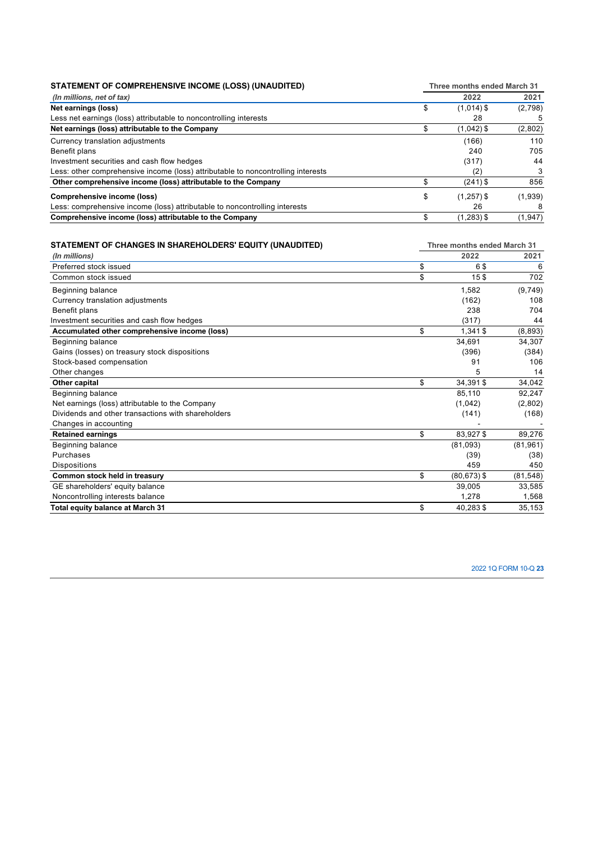| <b>STATEMENT OF COMPREHENSIVE INCOME (LOSS) (UNAUDITED)</b>                      | Three months ended March 31 |              |         |
|----------------------------------------------------------------------------------|-----------------------------|--------------|---------|
| (In millions, net of tax)                                                        |                             | 2022         | 2021    |
| Net earnings (loss)                                                              | \$                          | $(1,014)$ \$ | (2,798) |
| Less net earnings (loss) attributable to noncontrolling interests                |                             | 28           | 5       |
| Net earnings (loss) attributable to the Company                                  |                             | $(1,042)$ \$ | (2,802) |
| Currency translation adjustments                                                 |                             | (166)        | 110     |
| Benefit plans                                                                    |                             | 240          | 705     |
| Investment securities and cash flow hedges                                       |                             | (317)        | 44      |
| Less: other comprehensive income (loss) attributable to noncontrolling interests |                             | (2)          | 3       |
| Other comprehensive income (loss) attributable to the Company                    |                             | $(241)$ \$   | 856     |
| Comprehensive income (loss)                                                      | \$                          | $(1,257)$ \$ | (1,939) |
| Less: comprehensive income (loss) attributable to noncontrolling interests       |                             | 26           | 8       |
| Comprehensive income (loss) attributable to the Company                          |                             | $(1,283)$ \$ | (1,947) |

<span id="page-22-1"></span><span id="page-22-0"></span>

| STATEMENT OF CHANGES IN SHAREHOLDERS' EQUITY (UNAUDITED) |    | Three months ended March 31 |           |  |  |  |
|----------------------------------------------------------|----|-----------------------------|-----------|--|--|--|
| (In millions)                                            |    | 2022                        | 2021      |  |  |  |
| Preferred stock issued                                   | \$ | 6\$                         | 6         |  |  |  |
| Common stock issued                                      | \$ | 15\$                        | 702       |  |  |  |
| Beginning balance                                        |    | 1,582                       | (9,749)   |  |  |  |
| Currency translation adjustments                         |    | (162)                       | 108       |  |  |  |
| Benefit plans                                            |    | 238                         | 704       |  |  |  |
| Investment securities and cash flow hedges               |    | (317)                       | 44        |  |  |  |
| Accumulated other comprehensive income (loss)            | \$ | $1,341$ \$                  | (8, 893)  |  |  |  |
| Beginning balance                                        |    | 34.691                      | 34,307    |  |  |  |
| Gains (losses) on treasury stock dispositions            |    | (396)                       | (384)     |  |  |  |
| Stock-based compensation                                 |    | 91                          | 106       |  |  |  |
| Other changes                                            |    | 5                           | 14        |  |  |  |
| Other capital                                            | \$ | 34,391\$                    | 34,042    |  |  |  |
| Beginning balance                                        |    | 85,110                      | 92,247    |  |  |  |
| Net earnings (loss) attributable to the Company          |    | (1,042)                     | (2,802)   |  |  |  |
| Dividends and other transactions with shareholders       |    | (141)                       | (168)     |  |  |  |
| Changes in accounting                                    |    |                             |           |  |  |  |
| <b>Retained earnings</b>                                 | \$ | 83.927\$                    | 89,276    |  |  |  |
| Beginning balance                                        |    | (81,093)                    | (81, 961) |  |  |  |
| Purchases                                                |    | (39)                        | (38)      |  |  |  |
| <b>Dispositions</b>                                      |    | 459                         | 450       |  |  |  |
| Common stock held in treasury                            | \$ | $(80, 673)$ \$              | (81, 548) |  |  |  |
| GE shareholders' equity balance                          |    | 39,005                      | 33,585    |  |  |  |
| Noncontrolling interests balance                         |    | 1.278                       | 1,568     |  |  |  |
| Total equity balance at March 31                         | \$ | 40,283\$                    | 35,153    |  |  |  |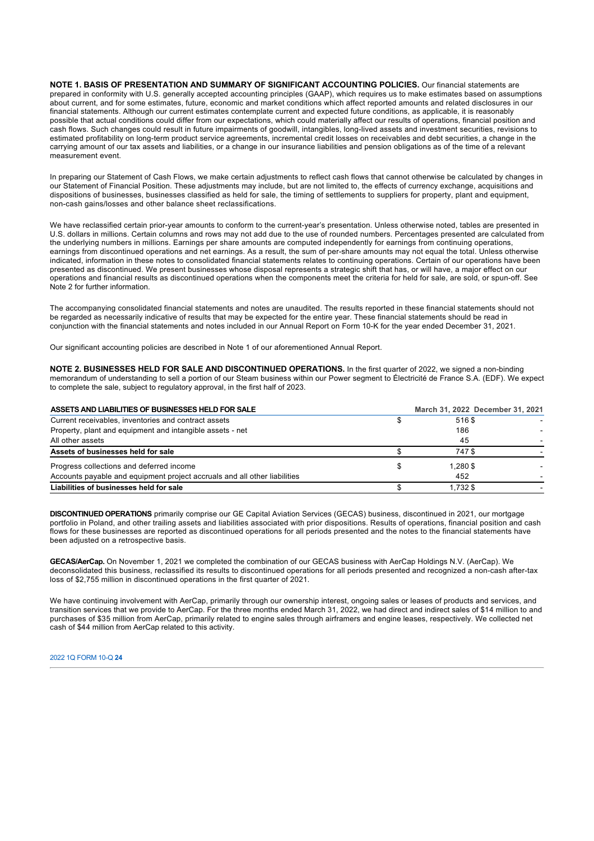**NOTE 1. BASIS OF PRESENTATION AND SUMMARY OF SIGNIFICANT ACCOUNTING POLICIES.** Our financial statements are prepared in conformity with U.S. generally accepted accounting principles (GAAP), which requires us to make estimates based on assumptions about current, and for some estimates, future, economic and market conditions which affect reported amounts and related disclosures in our financial statements. Although our current estimates contemplate current and expected future conditions, as applicable, it is reasonably possible that actual conditions could differ from our expectations, which could materially affect our results of operations, financial position and cash flows. Such changes could result in future impairments of goodwill, intangibles, long-lived assets and investment securities, revisions to estimated profitability on long-term product service agreements, incremental credit losses on receivables and debt securities, a change in the carrying amount of our tax assets and liabilities, or a change in our insurance liabilities and pension obligations as of the time of a relevant measurement event.

In preparing our Statement of Cash Flows, we make certain adjustments to reflect cash flows that cannot otherwise be calculated by changes in our Statement of Financial Position. These adjustments may include, but are not limited to, the effects of currency exchange, acquisitions and dispositions of businesses, businesses classified as held for sale, the timing of settlements to suppliers for property, plant and equipment, non-cash gains/losses and other balance sheet reclassifications.

We have reclassified certain prior-year amounts to conform to the current-year's presentation. Unless otherwise noted, tables are presented in U.S. dollars in millions. Certain columns and rows may not add due to the use of rounded numbers. Percentages presented are calculated from the underlying numbers in millions. Earnings per share amounts are computed independently for earnings from continuing operations, earnings from discontinued operations and net earnings. As a result, the sum of per-share amounts may not equal the total. Unless otherwise indicated, information in these notes to consolidated financial statements relates to continuing operations. Certain of our operations have been presented as discontinued. We present businesses whose disposal represents a strategic shift that has, or will have, a major effect on our operations and financial results as discontinued operations when the components meet the criteria for held for sale, are sold, or spun-off. See Note 2 for further information.

The accompanying consolidated financial statements and notes are unaudited. The results reported in these financial statements should not be regarded as necessarily indicative of results that may be expected for the entire year. These financial statements should be read in conjunction with the financial statements and notes included in our Annual Report on Form 10-K for the year ended December 31, 2021.

Our significant accounting policies are described in Note 1 of our aforementioned Annual Report.

<span id="page-23-0"></span>**NOTE 2. BUSINESSES HELD FOR SALE AND DISCONTINUED OPERATIONS.** In the first quarter of 2022, we signed a non-binding memorandum of understanding to sell a portion of our Steam business within our Power segment to Électricité de France S.A. (EDF). We expect to complete the sale, subject to regulatory approval, in the first half of 2023.

| ASSETS AND LIABILITIES OF BUSINESSES HELD FOR SALE                        | March 31, 2022 December 31, 2021 |  |
|---------------------------------------------------------------------------|----------------------------------|--|
| Current receivables, inventories and contract assets                      | 516\$                            |  |
| Property, plant and equipment and intangible assets - net                 | 186                              |  |
| All other assets                                                          | 45                               |  |
| Assets of businesses held for sale                                        | 747\$                            |  |
| Progress collections and deferred income                                  | 1.280\$                          |  |
| Accounts payable and equipment project accruals and all other liabilities | 452                              |  |
| Liabilities of businesses held for sale                                   | 1.732\$                          |  |

**DISCONTINUED OPERATIONS** primarily comprise our GE Capital Aviation Services (GECAS) business, discontinued in 2021, our mortgage portfolio in Poland, and other trailing assets and liabilities associated with prior dispositions. Results of operations, financial position and cash flows for these businesses are reported as discontinued operations for all periods presented and the notes to the financial statements have been adjusted on a retrospective basis.

**GECAS/AerCap.** On November 1, 2021 we completed the combination of our GECAS business with AerCap Holdings N.V. (AerCap). We deconsolidated this business, reclassified its results to discontinued operations for all periods presented and recognized a non-cash after-tax loss of \$2,755 million in discontinued operations in the first quarter of 2021.

We have continuing involvement with AerCap, primarily through our ownership interest, ongoing sales or leases of products and services, and transition services that we provide to AerCap. For the three months ended March 31, 2022, we had direct and indirect sales of \$14 million to and purchases of \$35 million from AerCap, primarily related to engine sales through airframers and engine leases, respectively. We collected net cash of \$44 million from AerCap related to this activity.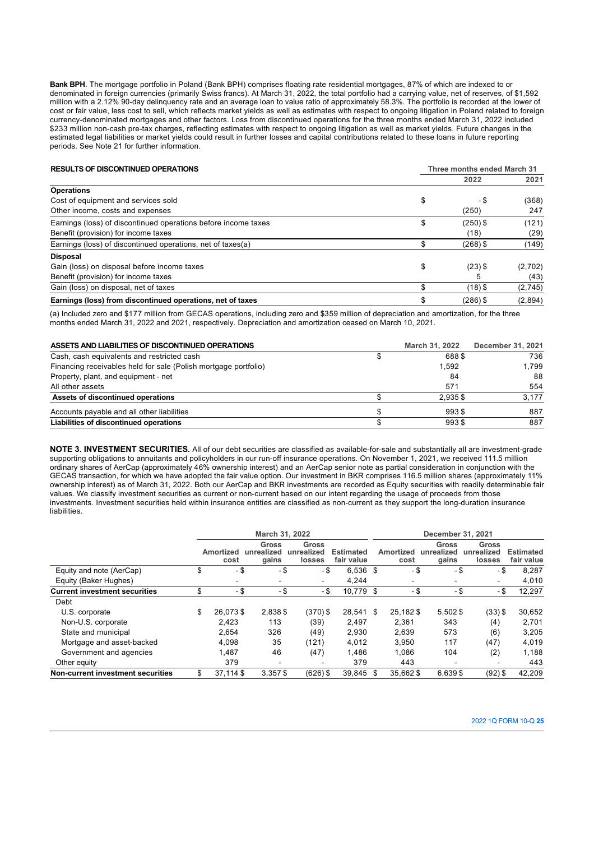**Bank BPH**. The mortgage portfolio in Poland (Bank BPH) comprises floating rate residential mortgages, 87% of which are indexed to or denominated in foreign currencies (primarily Swiss francs). At March 31, 2022, the total portfolio had a carrying value, net of reserves, of \$1,592 million with a 2.12% 90-day delinquency rate and an average loan to value ratio of approximately 58.3%. The portfolio is recorded at the lower of cost or fair value, less cost to sell, which reflects market yields as well as estimates with respect to ongoing litigation in Poland related to foreign currency-denominated mortgages and other factors. Loss from discontinued operations for the three months ended March 31, 2022 included \$233 million non-cash pre-tax charges, reflecting estimates with respect to ongoing litigation as well as market yields. Future changes in the estimated legal liabilities or market yields could result in further losses and capital contributions related to these loans in future reporting periods. See Note 21 for further information.

## **RESULTS OF DISCONTINUED OPERATIONS Three months ended March 31**

|                                                                | 2022             | 2021    |
|----------------------------------------------------------------|------------------|---------|
| <b>Operations</b>                                              |                  |         |
| Cost of equipment and services sold                            | \$<br>- \$       | (368)   |
| Other income, costs and expenses                               | (250)            | 247     |
| Earnings (loss) of discontinued operations before income taxes | \$<br>$(250)$ \$ | (121)   |
| Benefit (provision) for income taxes                           | (18)             | (29)    |
| Earnings (loss) of discontinued operations, net of taxes(a)    | (268)\$          | (149)   |
| <b>Disposal</b>                                                |                  |         |
| Gain (loss) on disposal before income taxes                    | \$<br>$(23)$ \$  | (2,702) |
| Benefit (provision) for income taxes                           | 5                | (43)    |
| Gain (loss) on disposal, net of taxes                          | $(18)$ \$        | (2,745) |
| Earnings (loss) from discontinued operations, net of taxes     | \$<br>$(286)$ \$ | (2,894) |

(a) Included zero and \$177 million from GECAS operations, including zero and \$359 million of depreciation and amortization, for the three months ended March 31, 2022 and 2021, respectively. Depreciation and amortization ceased on March 10, 2021.

| ASSETS AND LIABILITIES OF DISCONTINUED OPERATIONS               | March 31, 2022 | December 31, 2021 |
|-----------------------------------------------------------------|----------------|-------------------|
| Cash, cash equivalents and restricted cash                      | 688\$          | 736               |
| Financing receivables held for sale (Polish mortgage portfolio) | 1.592          | 1.799             |
| Property, plant, and equipment - net                            | 84             | 88                |
| All other assets                                                | 571            | 554               |
| Assets of discontinued operations                               | $2.935$ \$     | 3.177             |
| Accounts payable and all other liabilities                      | 993\$          | 887               |
| Liabilities of discontinued operations                          | 993\$          | 887               |

<span id="page-24-0"></span>**NOTE 3. INVESTMENT SECURITIES.** All of our debt securities are classified as available-for-sale and substantially all are investment-grade supporting obligations to annuitants and policyholders in our run-off insurance operations. On November 1, 2021, we received 111.5 million ordinary shares of AerCap (approximately 46% ownership interest) and an AerCap senior note as partial consideration in conjunction with the GECAS transaction, for which we have adopted the fair value option. Our investment in BKR comprises 116.5 million shares (approximately 11% ownership interest) as of March 31, 2022. Both our AerCap and BKR investments are recorded as Equity securities with readily determinable fair values. We classify investment securities as current or non-current based on our intent regarding the usage of proceeds from those investments. Investment securities held within insurance entities are classified as non-current as they support the long-duration insurance liabilities.

|                                      | March 31, 2022           |                              |                                      |                                | December 31, 2021 |                   |                                     |                                      |                                |  |
|--------------------------------------|--------------------------|------------------------------|--------------------------------------|--------------------------------|-------------------|-------------------|-------------------------------------|--------------------------------------|--------------------------------|--|
|                                      | <b>Amortized</b><br>cost | Gross<br>unrealized<br>gains | <b>Gross</b><br>unrealized<br>losses | <b>Estimated</b><br>fair value |                   | Amortized<br>cost | <b>Gross</b><br>unrealized<br>gains | <b>Gross</b><br>unrealized<br>losses | <b>Estimated</b><br>fair value |  |
| Equity and note (AerCap)             | \$<br>- \$               | - \$                         | - \$                                 | $6,536$ \$                     |                   | - \$              | - \$                                | - \$                                 | 8.287                          |  |
| Equity (Baker Hughes)                | $\overline{\phantom{0}}$ | $\overline{\phantom{a}}$     | $\blacksquare$                       | 4.244                          |                   | ۰                 | $\blacksquare$                      | $\overline{\phantom{a}}$             | 4,010                          |  |
| <b>Current investment securities</b> | \$<br>- \$               | - \$                         | - \$                                 | 10,779 \$                      |                   | - \$              | $-$ \$                              | - \$                                 | 12,297                         |  |
| Debt                                 |                          |                              |                                      |                                |                   |                   |                                     |                                      |                                |  |
| U.S. corporate                       | \$<br>26,073\$           | 2,838\$                      | $(370)$ \$                           | 28,541 \$                      |                   | 25,182\$          | 5,502\$                             | $(33)$ \$                            | 30,652                         |  |
| Non-U.S. corporate                   | 2,423                    | 113                          | (39)                                 | 2.497                          |                   | 2,361             | 343                                 | (4)                                  | 2,701                          |  |
| State and municipal                  | 2,654                    | 326                          | (49)                                 | 2,930                          |                   | 2,639             | 573                                 | (6)                                  | 3,205                          |  |
| Mortgage and asset-backed            | 4,098                    | 35                           | (121)                                | 4.012                          |                   | 3.950             | 117                                 | (47)                                 | 4,019                          |  |
| Government and agencies              | 1,487                    | 46                           | (47)                                 | 1.486                          |                   | 1,086             | 104                                 | (2)                                  | 1,188                          |  |
| Other equity                         | 379                      |                              |                                      | 379                            |                   | 443               |                                     |                                      | 443                            |  |
| Non-current investment securities    | \$<br>37,114\$           | $3.357$ \$                   | $(626)$ \$                           | 39.845                         | -SS               | 35.662\$          | 6.639\$                             | $(92)$ \$                            | 42,209                         |  |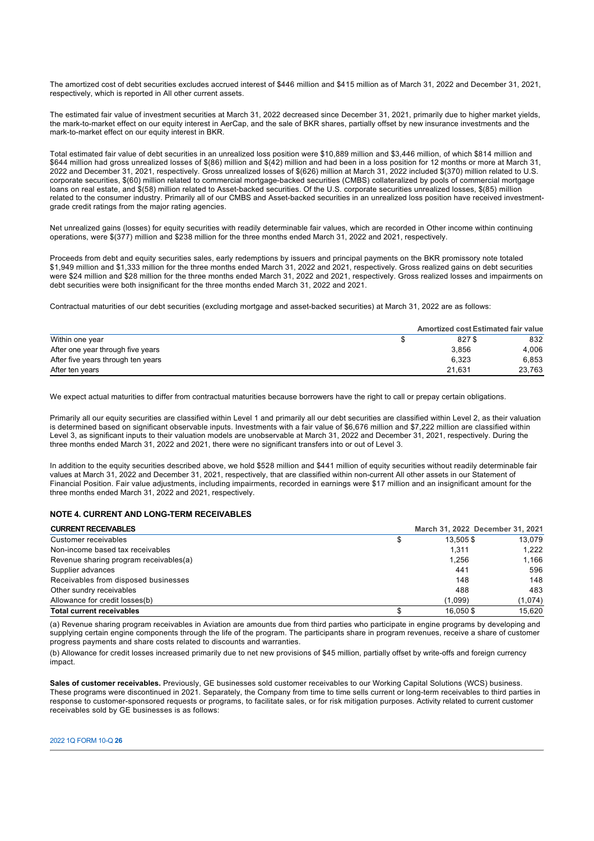The amortized cost of debt securities excludes accrued interest of \$446 million and \$415 million as of March 31, 2022 and December 31, 2021, respectively, which is reported in All other current assets.

The estimated fair value of investment securities at March 31, 2022 decreased since December 31, 2021, primarily due to higher market yields, the mark-to-market effect on our equity interest in AerCap, and the sale of BKR shares, partially offset by new insurance investments and the mark-to-market effect on our equity interest in BKR.

Total estimated fair value of debt securities in an unrealized loss position were \$10,889 million and \$3,446 million, of which \$814 million and \$644 million had gross unrealized losses of \$(86) million and \$(42) million and had been in a loss position for 12 months or more at March 31, 2022 and December 31, 2021, respectively. Gross unrealized losses of \$(626) million at March 31, 2022 included \$(370) million related to U.S. corporate securities, \$(60) million related to commercial mortgage-backed securities (CMBS) collateralized by pools of commercial mortgage loans on real estate, and \$(58) million related to Asset-backed securities. Of the U.S. corporate securities unrealized losses, \$(85) million related to the consumer industry. Primarily all of our CMBS and Asset-backed securities in an unrealized loss position have received investmentgrade credit ratings from the major rating agencies.

Net unrealized gains (losses) for equity securities with readily determinable fair values, which are recorded in Other income within continuing operations, were \$(377) million and \$238 million for the three months ended March 31, 2022 and 2021, respectively.

Proceeds from debt and equity securities sales, early redemptions by issuers and principal payments on the BKR promissory note totaled \$1,949 million and \$1,333 million for the three months ended March 31, 2022 and 2021, respectively. Gross realized gains on debt securities were \$24 million and \$28 million for the three months ended March 31, 2022 and 2021, respectively. Gross realized losses and impairments on debt securities were both insignificant for the three months ended March 31, 2022 and 2021.

Contractual maturities of our debt securities (excluding mortgage and asset-backed securities) at March 31, 2022 are as follows:

|                                    | Amortized cost Estimated fair value |        |        |  |
|------------------------------------|-------------------------------------|--------|--------|--|
| Within one year                    |                                     | 827\$  | 832    |  |
| After one year through five years  |                                     | 3.856  | 4.006  |  |
| After five years through ten years |                                     | 6.323  | 6,853  |  |
| After ten years                    |                                     | 21.631 | 23.763 |  |

We expect actual maturities to differ from contractual maturities because borrowers have the right to call or prepay certain obligations.

Primarily all our equity securities are classified within Level 1 and primarily all our debt securities are classified within Level 2, as their valuation is determined based on significant observable inputs. Investments with a fair value of \$6,676 million and \$7,222 million are classified within Level 3, as significant inputs to their valuation models are unobservable at March 31, 2022 and December 31, 2021, respectively. During the three months ended March 31, 2022 and 2021, there were no significant transfers into or out of Level 3.

In addition to the equity securities described above, we hold \$528 million and \$441 million of equity securities without readily determinable fair values at March 31, 2022 and December 31, 2021, respectively, that are classified within non-current All other assets in our Statement of Financial Position. Fair value adjustments, including impairments, recorded in earnings were \$17 million and an insignificant amount for the three months ended March 31, 2022 and 2021, respectively.

## <span id="page-25-0"></span>**NOTE 4. CURRENT AND LONG-TERM RECEIVABLES**

| <b>CURRENT RECEIVABLES</b>             |          | March 31, 2022 December 31, 2021 |
|----------------------------------------|----------|----------------------------------|
| Customer receivables                   | 13.505\$ | 13.079                           |
| Non-income based tax receivables       | 1.311    | 1.222                            |
| Revenue sharing program receivables(a) | 1.256    | 1.166                            |
| Supplier advances                      | 441      | 596                              |
| Receivables from disposed businesses   | 148      | 148                              |
| Other sundry receivables               | 488      | 483                              |
| Allowance for credit losses(b)         | (1,099)  | (1,074)                          |
| <b>Total current receivables</b>       | 16.050\$ | 15.620                           |

(a) Revenue sharing program receivables in Aviation are amounts due from third parties who participate in engine programs by developing and supplying certain engine components through the life of the program. The participants share in program revenues, receive a share of customer progress payments and share costs related to discounts and warranties.

(b) Allowance for credit losses increased primarily due to net new provisions of \$45 million, partially offset by write-offs and foreign currency impact.

**Sales of customer receivables.** Previously, GE businesses sold customer receivables to our Working Capital Solutions (WCS) business. These programs were discontinued in 2021. Separately, the Company from time to time sells current or long-term receivables to third parties in response to customer-sponsored requests or programs, to facilitate sales, or for risk mitigation purposes. Activity related to current customer receivables sold by GE businesses is as follows: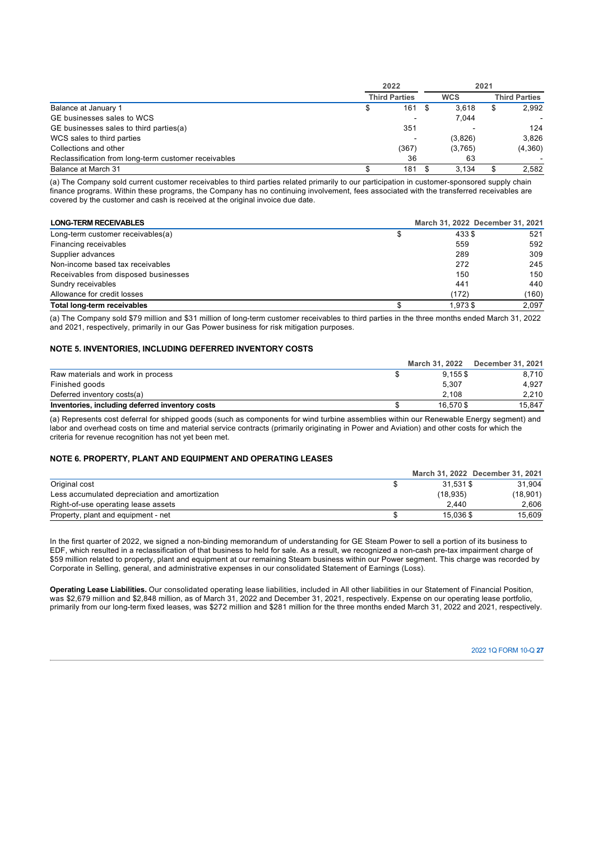|                                                      | 2022                 |  |            |  |                      |
|------------------------------------------------------|----------------------|--|------------|--|----------------------|
|                                                      | <b>Third Parties</b> |  | <b>WCS</b> |  | <b>Third Parties</b> |
| Balance at January 1                                 | 161S                 |  | 3.618      |  | 2.992                |
| GE businesses sales to WCS                           |                      |  | 7.044      |  |                      |
| GE businesses sales to third parties(a)              | 351                  |  |            |  | 124                  |
| WCS sales to third parties                           |                      |  | (3,826)    |  | 3.826                |
| Collections and other                                | (367)                |  | (3,765)    |  | (4,360)              |
| Reclassification from long-term customer receivables | 36                   |  | 63         |  |                      |
| Balance at March 31                                  | 181                  |  | 3.134      |  | 2.582                |

(a) The Company sold current customer receivables to third parties related primarily to our participation in customer-sponsored supply chain finance programs. Within these programs, the Company has no continuing involvement, fees associated with the transferred receivables are covered by the customer and cash is received at the original invoice due date.

| <b>LONG-TERM RECEIVABLES</b>         |         | March 31, 2022 December 31, 2021 |
|--------------------------------------|---------|----------------------------------|
| Long-term customer receivables(a)    | 433\$   | 521                              |
| Financing receivables                | 559     | 592                              |
| Supplier advances                    | 289     | 309                              |
| Non-income based tax receivables     | 272     | 245                              |
| Receivables from disposed businesses | 150     | 150                              |
| Sundry receivables                   | 441     | 440                              |
| Allowance for credit losses          | (172)   | (160)                            |
| Total long-term receivables          | 1,973\$ | 2.097                            |

(a) The Company sold \$79 million and \$31 million of long-term customer receivables to third parties in the three months ended March 31, 2022 and 2021, respectively, primarily in our Gas Power business for risk mitigation purposes.

# <span id="page-26-0"></span>**NOTE 5. INVENTORIES, INCLUDING DEFERRED INVENTORY COSTS**

|                                                 | March 31, 2022 | <b>December 31, 2021</b> |
|-------------------------------------------------|----------------|--------------------------|
| Raw materials and work in process               | $9.155$ \$     | 8.710                    |
| Finished goods                                  | 5.307          | 4.927                    |
| Deferred inventory costs(a)                     | 2.108          | 2.210                    |
| Inventories, including deferred inventory costs | 16.570\$       | 15.847                   |

(a) Represents cost deferral for shipped goods (such as components for wind turbine assemblies within our Renewable Energy segment) and labor and overhead costs on time and material service contracts (primarily originating in Power and Aviation) and other costs for which the criteria for revenue recognition has not yet been met.

## <span id="page-26-1"></span>**NOTE 6. PROPERTY, PLANT AND EQUIPMENT AND OPERATING LEASES**

|                                                |           | March 31, 2022 December 31, 2021 |
|------------------------------------------------|-----------|----------------------------------|
| Original cost                                  | 31.531\$  | 31.904                           |
| Less accumulated depreciation and amortization | (18, 935) | (18,901)                         |
| Right-of-use operating lease assets            | 2.440     | 2.606                            |
| Property, plant and equipment - net            | 15.036\$  | 15.609                           |

In the first quarter of 2022, we signed a non-binding memorandum of understanding for GE Steam Power to sell a portion of its business to EDF, which resulted in a reclassification of that business to held for sale. As a result, we recognized a non-cash pre-tax impairment charge of \$59 million related to property, plant and equipment at our remaining Steam business within our Power segment. This charge was recorded by Corporate in Selling, general, and administrative expenses in our consolidated Statement of Earnings (Loss).

<span id="page-26-2"></span>**Operating Lease Liabilities.** Our consolidated operating lease liabilities, included in All other liabilities in our Statement of Financial Position, was \$2,679 million and \$2,848 million, as of March 31, 2022 and December 31, 2021, respectively. Expense on our operating lease portfolio, primarily from our long-term fixed leases, was \$272 million and \$281 million for the three months ended March 31, 2022 and 2021, respectively.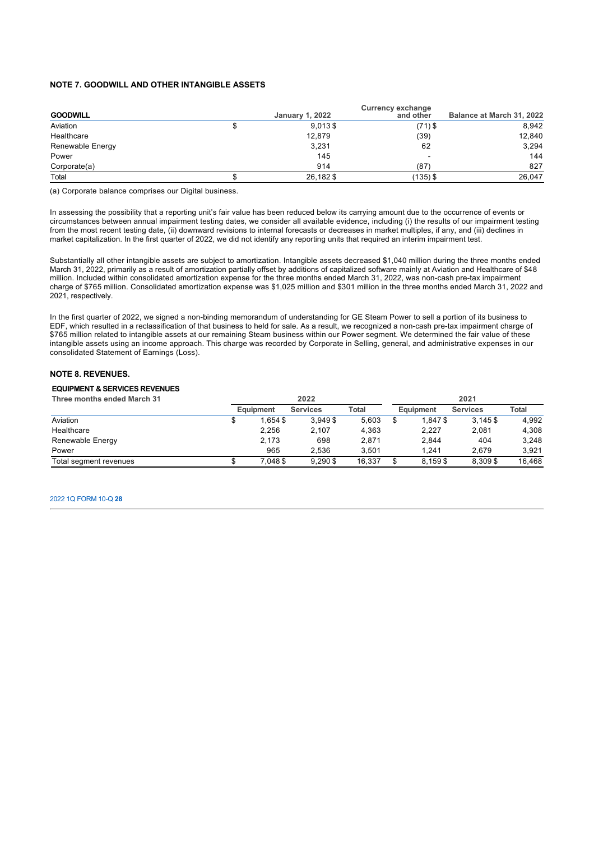# **NOTE 7. GOODWILL AND OTHER INTANGIBLE ASSETS**

|                  | <b>Currency exchange</b> |                        |           |                           |  |  |  |
|------------------|--------------------------|------------------------|-----------|---------------------------|--|--|--|
| <b>GOODWILL</b>  |                          | <b>January 1, 2022</b> | and other | Balance at March 31, 2022 |  |  |  |
| Aviation         |                          | $9,013$ \$             | $(71)$ \$ | 8,942                     |  |  |  |
| Healthcare       |                          | 12,879                 | (39)      | 12,840                    |  |  |  |
| Renewable Energy |                          | 3,231                  | 62        | 3,294                     |  |  |  |
| Power            |                          | 145                    |           | 144                       |  |  |  |
| Corporate(a)     |                          | 914                    | (87)      | 827                       |  |  |  |
| Total            |                          | 26,182\$               | (135)\$   | 26.047                    |  |  |  |

(a) Corporate balance comprises our Digital business.

In assessing the possibility that a reporting unit's fair value has been reduced below its carrying amount due to the occurrence of events or circumstances between annual impairment testing dates, we consider all available evidence, including (i) the results of our impairment testing from the most recent testing date, (ii) downward revisions to internal forecasts or decreases in market multiples, if any, and (iii) declines in market capitalization. In the first quarter of 2022, we did not identify any reporting units that required an interim impairment test.

Substantially all other intangible assets are subject to amortization. Intangible assets decreased \$1,040 million during the three months ended March 31, 2022, primarily as a result of amortization partially offset by additions of capitalized software mainly at Aviation and Healthcare of \$48 million. Included within consolidated amortization expense for the three months ended March 31, 2022, was non-cash pre-tax impairment charge of \$765 million. Consolidated amortization expense was \$1,025 million and \$301 million in the three months ended March 31, 2022 and 2021, respectively.

In the first quarter of 2022, we signed a non-binding memorandum of understanding for GE Steam Power to sell a portion of its business to EDF, which resulted in a reclassification of that business to held for sale. As a result, we recognized a non-cash pre-tax impairment charge of \$765 million related to intangible assets at our remaining Steam business within our Power segment. We determined the fair value of these intangible assets using an income approach. This charge was recorded by Corporate in Selling, general, and administrative expenses in our consolidated Statement of Earnings (Loss).

### <span id="page-27-0"></span>**NOTE 8. REVENUES.**

## **EQUIPMENT & SERVICES REVENUES**

| Three months ended March 31 | 2022      |                 |        |     | 2021      |                 |        |  |
|-----------------------------|-----------|-----------------|--------|-----|-----------|-----------------|--------|--|
|                             | Equipment | <b>Services</b> | Total  |     | Equipment | <b>Services</b> | Total  |  |
| Aviation                    | .654\$    | $3.949$ \$      | 5.603  | \$. | 1.847\$   | $3.145$ \$      | 4.992  |  |
| Healthcare                  | 2.256     | 2.107           | 4.363  |     | 2.227     | 2.081           | 4,308  |  |
| Renewable Energy            | 2,173     | 698             | 2.871  |     | 2.844     | 404             | 3,248  |  |
| Power                       | 965       | 2.536           | 3.501  |     | 1.241     | 2.679           | 3.921  |  |
| Total segment revenues      | 7.048\$   | $9.290$ \$      | 16.337 |     | 8.159\$   | 8.309\$         | 16.468 |  |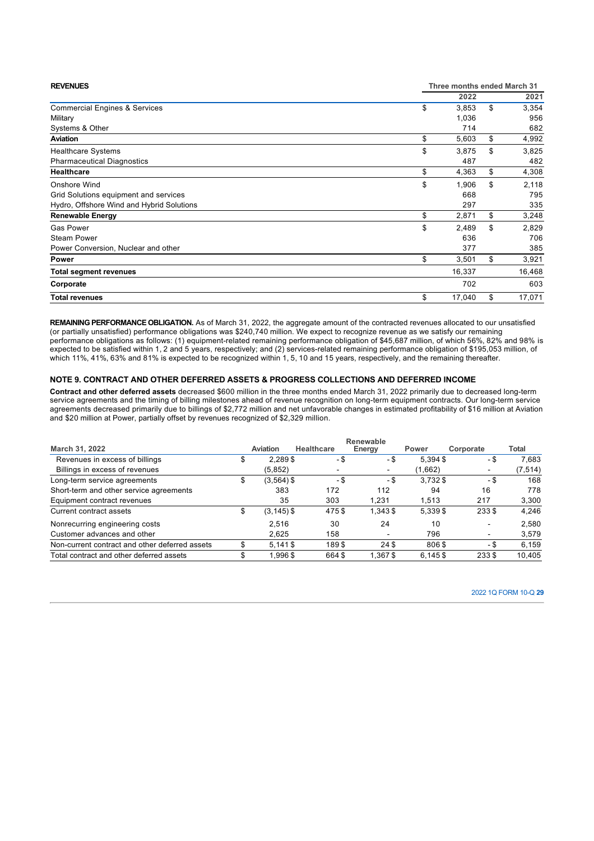| <b>REVENUES</b>                           | Three months ended March 31 |    |        |  |  |
|-------------------------------------------|-----------------------------|----|--------|--|--|
|                                           | 2022                        |    | 2021   |  |  |
| <b>Commercial Engines &amp; Services</b>  | \$<br>3,853                 | \$ | 3,354  |  |  |
| Military                                  | 1,036                       |    | 956    |  |  |
| Systems & Other                           | 714                         |    | 682    |  |  |
| Aviation                                  | \$<br>5,603                 | \$ | 4,992  |  |  |
| <b>Healthcare Systems</b>                 | \$<br>3,875                 | \$ | 3,825  |  |  |
| <b>Pharmaceutical Diagnostics</b>         | 487                         |    | 482    |  |  |
| Healthcare                                | \$<br>4,363                 | \$ | 4,308  |  |  |
| Onshore Wind                              | \$<br>1,906                 | \$ | 2,118  |  |  |
| Grid Solutions equipment and services     | 668                         |    | 795    |  |  |
| Hydro, Offshore Wind and Hybrid Solutions | 297                         |    | 335    |  |  |
| <b>Renewable Energy</b>                   | \$<br>2,871                 | \$ | 3,248  |  |  |
| <b>Gas Power</b>                          | \$<br>2,489                 | \$ | 2,829  |  |  |
| <b>Steam Power</b>                        | 636                         |    | 706    |  |  |
| Power Conversion, Nuclear and other       | 377                         |    | 385    |  |  |
| Power                                     | \$<br>3,501                 | \$ | 3,921  |  |  |
| <b>Total segment revenues</b>             | 16,337                      |    | 16,468 |  |  |
| Corporate                                 | 702                         |    | 603    |  |  |
| Total revenues                            | \$<br>17,040                | \$ | 17,071 |  |  |

**REMAINING PERFORMANCE OBLIGATION.** As of March 31, 2022, the aggregate amount of the contracted revenues allocated to our unsatisfied (or partially unsatisfied) performance obligations was \$240,740 million. We expect to recognize revenue as we satisfy our remaining performance obligations as follows: (1) equipment-related remaining performance obligation of \$45,687 million, of which 56%, 82% and 98% is expected to be satisfied within 1, 2 and 5 years, respectively; and (2) services-related remaining performance obligation of \$195,053 million, of which 11%, 41%, 63% and 81% is expected to be recognized within 1, 5, 10 and 15 years, respectively, and the remaining thereafter.

# <span id="page-28-0"></span>**NOTE 9. CONTRACT AND OTHER DEFERRED ASSETS & PROGRESS COLLECTIONS AND DEFERRED INCOME**

**Contract and other deferred assets** decreased \$600 million in the three months ended March 31, 2022 primarily due to decreased long-term service agreements and the timing of billing milestones ahead of revenue recognition on long-term equipment contracts. Our long-term service agreements decreased primarily due to billings of \$2,772 million and net unfavorable changes in estimated profitability of \$16 million at Aviation and \$20 million at Power, partially offset by revenues recognized of \$2,329 million.

|                                                |    |               |                | Renewable      |            |                          |              |
|------------------------------------------------|----|---------------|----------------|----------------|------------|--------------------------|--------------|
| March 31, 2022                                 |    | Aviation      | Healthcare     | Energy         | Power      | Corporate                | <b>Total</b> |
| Revenues in excess of billings                 | ъ  | 2,289\$       | - \$           | - \$           | $5,394$ \$ | - \$                     | 7,683        |
| Billings in excess of revenues                 |    | (5, 852)      | $\blacksquare$ | $\blacksquare$ | (1,662)    | $\,$                     | (7, 514)     |
| Long-term service agreements                   | S  | $(3,564)$ \$  | - \$           | - \$           | $3.732$ \$ | - \$                     | 168          |
| Short-term and other service agreements        |    | 383           | 172            | 112            | 94         | 16                       | 778          |
| Equipment contract revenues                    |    | 35            | 303            | 1.231          | 1.513      | 217                      | 3,300        |
| Current contract assets                        | \$ | $(3, 145)$ \$ | 475\$          | 1,343\$        | 5,339\$    | 233\$                    | 4.246        |
| Nonrecurring engineering costs                 |    | 2.516         | 30             | 24             | 10         | $\overline{\phantom{0}}$ | 2.580        |
| Customer advances and other                    |    | 2.625         | 158            | $\blacksquare$ | 796        | $\overline{\phantom{a}}$ | 3,579        |
| Non-current contract and other deferred assets |    | $5,141$ \$    | 189\$          | 24S            | 806\$      | - \$                     | 6,159        |
| Total contract and other deferred assets       |    | 1.996\$       | 664\$          | 1.367\$        | $6.145$ \$ | 233\$                    | 10.405       |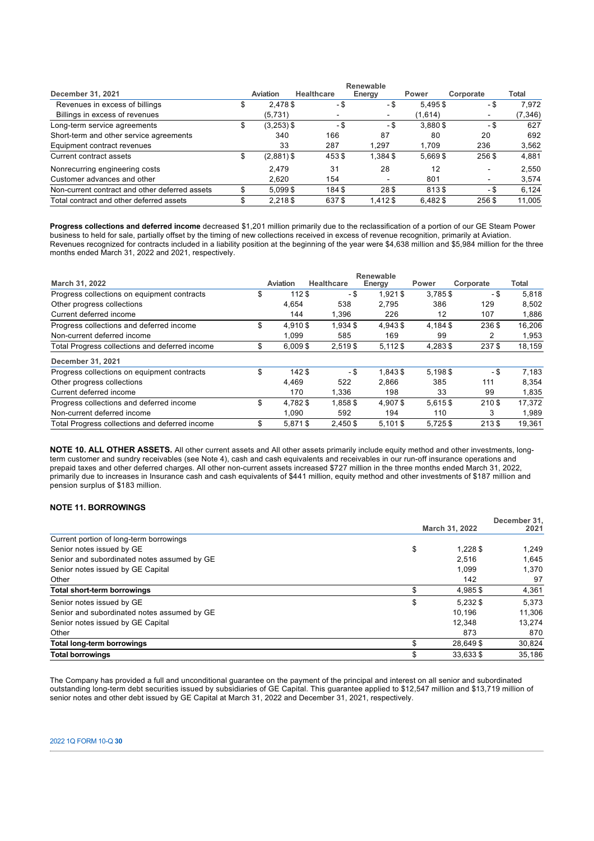|                                                | Renewable |              |                   |                |         |                          |              |  |
|------------------------------------------------|-----------|--------------|-------------------|----------------|---------|--------------------------|--------------|--|
| December 31, 2021                              |           | Aviation     | <b>Healthcare</b> | Energy         | Power   | Corporate                | <b>Total</b> |  |
| Revenues in excess of billings                 |           | 2,478 \$     | - \$              | - \$           | 5,495\$ | - \$                     | 7,972        |  |
| Billings in excess of revenues                 |           | (5,731)      |                   | $\blacksquare$ | (1,614) |                          | (7, 346)     |  |
| Long-term service agreements                   | S         | $(3,253)$ \$ | - \$              | - \$           | 3,880\$ | - \$                     | 627          |  |
| Short-term and other service agreements        |           | 340          | 166               | 87             | 80      | 20                       | 692          |  |
| Equipment contract revenues                    |           | 33           | 287               | 1.297          | 1.709   | 236                      | 3,562        |  |
| Current contract assets                        |           | $(2,881)$ \$ | 453\$             | 1,384\$        | 5,669\$ | 256\$                    | 4,881        |  |
| Nonrecurring engineering costs                 |           | 2.479        | 31                | 28             | 12      | $\overline{\phantom{0}}$ | 2.550        |  |
| Customer advances and other                    |           | 2,620        | 154               | $\blacksquare$ | 801     | $\overline{\phantom{a}}$ | 3,574        |  |
| Non-current contract and other deferred assets |           | $5,099$ \$   | 184\$             | 28\$           | 813\$   | - \$                     | 6,124        |  |
| Total contract and other deferred assets       |           | 2.218\$      | 637\$             | 1.412\$        | 6,482\$ | 256\$                    | 11.005       |  |

**Progress collections and deferred income** decreased \$1,201 million primarily due to the reclassification of a portion of our GE Steam Power business to held for sale, partially offset by the timing of new collections received in excess of revenue recognition, primarily at Aviation. Revenues recognized for contracts included in a liability position at the beginning of the year were \$4,638 million and \$5,984 million for the three months ended March 31, 2022 and 2021, respectively.

|                                                |                  |            | Renewable  |         |           |        |
|------------------------------------------------|------------------|------------|------------|---------|-----------|--------|
| March 31, 2022                                 | <b>Aviation</b>  | Healthcare | Energy     | Power   | Corporate | Total  |
| Progress collections on equipment contracts    | \$<br>112\$      | - \$       | $1.921$ \$ | 3.785\$ | - \$      | 5,818  |
| Other progress collections                     | 4.654            | 538        | 2.795      | 386     | 129       | 8.502  |
| Current deferred income                        | 144              | 1,396      | 226        | 12      | 107       | 1,886  |
| Progress collections and deferred income       | \$<br>4.910\$    | 1,934\$    | 4.943\$    | 4.184\$ | 236\$     | 16,206 |
| Non-current deferred income                    | 1.099            | 585        | 169        | 99      | 2         | 1,953  |
| Total Progress collections and deferred income | \$<br>$6.009$ \$ | 2.519\$    | $5.112$ \$ | 4.283\$ | 237\$     | 18,159 |
| December 31, 2021                              |                  |            |            |         |           |        |
| Progress collections on equipment contracts    | \$<br>142\$      | - \$       | 1.843\$    | 5.198\$ | - \$      | 7.183  |
| Other progress collections                     | 4.469            | 522        | 2.866      | 385     | 111       | 8.354  |
| Current deferred income                        | 170              | 1.336      | 198        | 33      | 99        | 1.835  |
| Progress collections and deferred income       | \$<br>4.782\$    | 1.858\$    | 4.907\$    | 5.615\$ | 210\$     | 17.372 |
| Non-current deferred income                    | 1.090            | 592        | 194        | 110     | 3         | 1,989  |
| Total Progress collections and deferred income | \$<br>5.871\$    | $2.450$ \$ | $5.101$ \$ | 5.725\$ | 213\$     | 19.361 |

<span id="page-29-0"></span>**NOTE 10. ALL OTHER ASSETS.** All other current assets and All other assets primarily include equity method and other investments, longterm customer and sundry receivables (see Note 4), cash and cash equivalents and receivables in our run-off insurance operations and prepaid taxes and other deferred charges. All other non-current assets increased \$727 million in the three months ended March 31, 2022, primarily due to increases in Insurance cash and cash equivalents of \$441 million, equity method and other investments of \$187 million and pension surplus of \$183 million.

# <span id="page-29-1"></span>**NOTE 11. BORROWINGS**

|                                             |                |          | December 31. |  |  |
|---------------------------------------------|----------------|----------|--------------|--|--|
|                                             | March 31, 2022 |          |              |  |  |
| Current portion of long-term borrowings     |                |          |              |  |  |
| Senior notes issued by GE                   | \$             | 1.228\$  | 1,249        |  |  |
| Senior and subordinated notes assumed by GE |                | 2,516    | 1,645        |  |  |
| Senior notes issued by GE Capital           |                | 1.099    | 1,370        |  |  |
| Other                                       |                | 142      | 97           |  |  |
| Total short-term borrowings                 |                | 4,985\$  | 4,361        |  |  |
| Senior notes issued by GE                   | \$             | 5.232\$  | 5.373        |  |  |
| Senior and subordinated notes assumed by GE |                | 10.196   | 11,306       |  |  |
| Senior notes issued by GE Capital           |                | 12.348   | 13.274       |  |  |
| Other                                       |                | 873      | 870          |  |  |
| <b>Total long-term borrowings</b>           |                | 28,649\$ | 30,824       |  |  |
| <b>Total borrowings</b>                     |                | 33,633\$ | 35,186       |  |  |

The Company has provided a full and unconditional guarantee on the payment of the principal and interest on all senior and subordinated outstanding long-term debt securities issued by subsidiaries of GE Capital. This guarantee applied to \$12,547 million and \$13,719 million of senior notes and other debt issued by GE Capital at March 31, 2022 and December 31, 2021, respectively.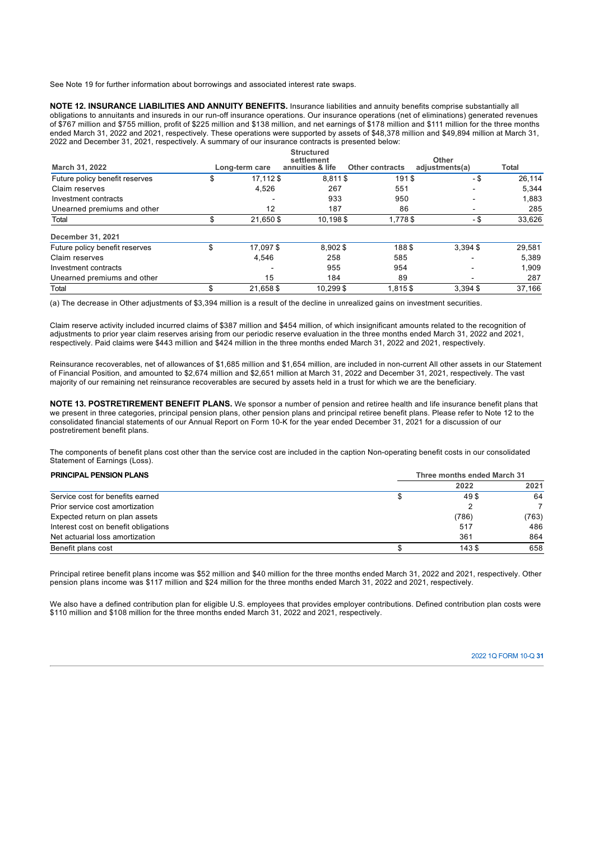See Note 19 for further information about borrowings and associated interest rate swaps.

<span id="page-30-0"></span>**NOTE 12. INSURANCE LIABILITIES AND ANNUITY BENEFITS.** Insurance liabilities and annuity benefits comprise substantially all obligations to annuitants and insureds in our run-off insurance operations. Our insurance operations (net of eliminations) generated revenues of \$767 million and \$755 million, profit of \$225 million and \$138 million, and net earnings of \$178 million and \$111 million for the three months ended March 31, 2022 and 2021, respectively. These operations were supported by assets of \$48,378 million and \$49,894 million at March 31, 2022 and December 31, 2021, respectively. A summary of our insurance contracts is presented below:

|                                |                | <b>Structured</b><br>settlement |                        | <b>Other</b>   |        |
|--------------------------------|----------------|---------------------------------|------------------------|----------------|--------|
| March 31, 2022                 | Long-term care | annuities & life                | <b>Other contracts</b> | adjustments(a) | Total  |
| Future policy benefit reserves | \$<br>17,112\$ | 8.811\$                         | 191\$                  | - \$           | 26,114 |
| Claim reserves                 | 4,526          | 267                             | 551                    |                | 5,344  |
| Investment contracts           |                | 933                             | 950                    |                | 1,883  |
| Unearned premiums and other    | 12             | 187                             | 86                     |                | 285    |
| Total                          | \$<br>21,650\$ | 10,198\$                        | 1.778\$                | - \$           | 33,626 |
| December 31, 2021              |                |                                 |                        |                |        |
| Future policy benefit reserves | \$<br>17.097\$ | 8.902\$                         | 188\$                  | $3,394$ \$     | 29,581 |
| Claim reserves                 | 4.546          | 258                             | 585                    |                | 5,389  |
| Investment contracts           |                | 955                             | 954                    |                | 1,909  |
| Unearned premiums and other    | 15             | 184                             | 89                     |                | 287    |
| Total                          | \$<br>21.658\$ | 10.299\$                        | 1.815\$                | $3.394$ \$     | 37.166 |

(a) The decrease in Other adjustments of \$3,394 million is a result of the decline in unrealized gains on investment securities.

Claim reserve activity included incurred claims of \$387 million and \$454 million, of which insignificant amounts related to the recognition of adjustments to prior year claim reserves arising from our periodic reserve evaluation in the three months ended March 31, 2022 and 2021, respectively. Paid claims were \$443 million and \$424 million in the three months ended March 31, 2022 and 2021, respectively.

Reinsurance recoverables, net of allowances of \$1,685 million and \$1,654 million, are included in non-current All other assets in our Statement of Financial Position, and amounted to \$2,674 million and \$2,651 million at March 31, 2022 and December 31, 2021, respectively. The vast majority of our remaining net reinsurance recoverables are secured by assets held in a trust for which we are the beneficiary.

<span id="page-30-1"></span>**NOTE 13. POSTRETIREMENT BENEFIT PLANS.** We sponsor a number of pension and retiree health and life insurance benefit plans that we present in three categories, principal pension plans, other pension plans and principal retiree benefit plans. Please refer to Note 12 to the consolidated financial statements of our Annual Report on Form 10-K for the year ended December 31, 2021 for a discussion of our postretirement benefit plans.

The components of benefit plans cost other than the service cost are included in the caption Non-operating benefit costs in our consolidated Statement of Earnings (Loss).

| <b>PRINCIPAL PENSION PLANS</b>       | Three months ended March 31 |       |  |  |  |  |
|--------------------------------------|-----------------------------|-------|--|--|--|--|
|                                      | 2022                        | 2021  |  |  |  |  |
| Service cost for benefits earned     | 49\$                        | 64    |  |  |  |  |
| Prior service cost amortization      |                             |       |  |  |  |  |
| Expected return on plan assets       | (786)                       | (763) |  |  |  |  |
| Interest cost on benefit obligations | 517                         | 486   |  |  |  |  |
| Net actuarial loss amortization      | 361                         | 864   |  |  |  |  |
| Benefit plans cost                   | 143\$                       | 658   |  |  |  |  |

Principal retiree benefit plans income was \$52 million and \$40 million for the three months ended March 31, 2022 and 2021, respectively. Other pension plans income was \$117 million and \$24 million for the three months ended March 31, 2022 and 2021, respectively.

<span id="page-30-2"></span>We also have a defined contribution plan for eligible U.S. employees that provides employer contributions. Defined contribution plan costs were \$110 million and \$108 million for the three months ended March 31, 2022 and 2021, respectively.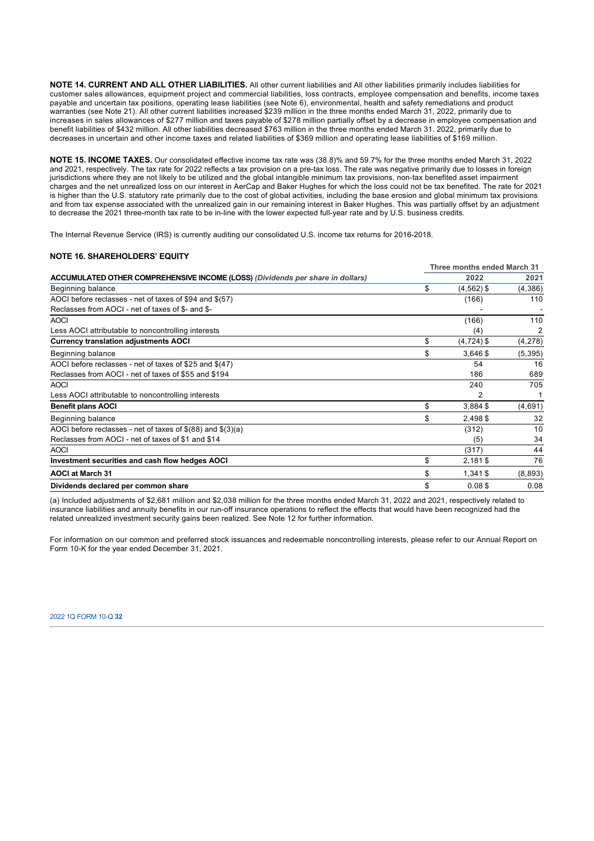**NOTE 14. CURRENT AND ALL OTHER LIABILITIES.** All other current liabilities and All other liabilities primarily includes liabilities for customer sales allowances, equipment project and commercial liabilities, loss contracts, employee compensation and benefits, income taxes payable and uncertain tax positions, operating lease liabilities (see Note 6), environmental, health and safety remediations and product warranties (see Note 21). All other current liabilities increased \$239 million in the three months ended March 31, 2022, primarily due to increases in sales allowances of \$277 million and taxes payable of \$278 million partially offset by a decrease in employee compensation and benefit liabilities of \$432 million. All other liabilities decreased \$763 million in the three months ended March 31. 2022, primarily due to decreases in uncertain and other income taxes and related liabilities of \$369 million and operating lease liabilities of \$169 million.

<span id="page-31-0"></span>**NOTE 15. INCOME TAXES.** Our consolidated effective income tax rate was (38.8)% and 59.7% for the three months ended March 31, 2022 and 2021, respectively. The tax rate for 2022 reflects a tax provision on a pre-tax loss. The rate was negative primarily due to losses in foreign jurisdictions where they are not likely to be utilized and the global intangible minimum tax provisions, non-tax benefited asset impairment charges and the net unrealized loss on our interest in AerCap and Baker Hughes for which the loss could not be tax benefited. The rate for 2021 is higher than the U.S. statutory rate primarily due to the cost of global activities, including the base erosion and global minimum tax provisions and from tax expense associated with the unrealized gain in our remaining interest in Baker Hughes. This was partially offset by an adjustment to decrease the 2021 three-month tax rate to be in-line with the lower expected full-year rate and by U.S. business credits.

The Internal Revenue Service (IRS) is currently auditing our consolidated U.S. income tax returns for 2016-2018.

## <span id="page-31-1"></span>**NOTE 16. SHAREHOLDERS' EQUITY**

|                                                                                |    | Three months ended March 31 |          |  |  |  |
|--------------------------------------------------------------------------------|----|-----------------------------|----------|--|--|--|
| ACCUMULATED OTHER COMPREHENSIVE INCOME (LOSS) (Dividends per share in dollars) |    | 2022                        | 2021     |  |  |  |
| Beginning balance                                                              | \$ | $(4,562)$ \$                | (4,386)  |  |  |  |
| AOCI before reclasses - net of taxes of \$94 and \$(57)                        |    | (166)                       | 110      |  |  |  |
| Reclasses from AOCI - net of taxes of \$- and \$-                              |    |                             |          |  |  |  |
| <b>AOCI</b>                                                                    |    | (166)                       | 110      |  |  |  |
| Less AOCI attributable to noncontrolling interests                             |    | (4)                         | 2        |  |  |  |
| <b>Currency translation adjustments AOCI</b>                                   | \$ | $(4, 724)$ \$               | (4,278)  |  |  |  |
| Beginning balance                                                              | \$ | 3,646\$                     | (5, 395) |  |  |  |
| AOCI before reclasses - net of taxes of \$25 and \$(47)                        |    | 54                          | 16       |  |  |  |
| Reclasses from AOCI - net of taxes of \$55 and \$194                           |    | 186                         | 689      |  |  |  |
| <b>AOCI</b>                                                                    |    | 240                         | 705      |  |  |  |
| Less AOCI attributable to noncontrolling interests                             |    | 2                           |          |  |  |  |
| <b>Benefit plans AOCI</b>                                                      | \$ | $3,884$ \$                  | (4,691)  |  |  |  |
| Beginning balance                                                              | \$ | 2,498\$                     | 32       |  |  |  |
| AOCI before reclasses - net of taxes of $$(88)$ and $$(3)(a)$                  |    | (312)                       | 10       |  |  |  |
| Reclasses from AOCI - net of taxes of \$1 and \$14                             |    | (5)                         | 34       |  |  |  |
| <b>AOCI</b>                                                                    |    | (317)                       | 44       |  |  |  |
| Investment securities and cash flow hedges AOCI                                | \$ | $2,181$ \$                  | 76       |  |  |  |
| <b>AOCI at March 31</b>                                                        | \$ | $1,341$ \$                  | (8,893)  |  |  |  |
| Dividends declared per common share                                            | \$ | 0.08\$                      | 0.08     |  |  |  |
|                                                                                |    |                             |          |  |  |  |

(a) Included adjustments of \$2,681 million and \$2,038 million for the three months ended March 31, 2022 and 2021, respectively related to insurance liabilities and annuity benefits in our run-off insurance operations to reflect the effects that would have been recognized had the related unrealized investment security gains been realized. See Note 12 for further information.

<span id="page-31-2"></span>For information on our common and preferred stock issuances and redeemable noncontrolling interests, please refer to our Annual Report on Form 10-K for the year ended December 31, 2021.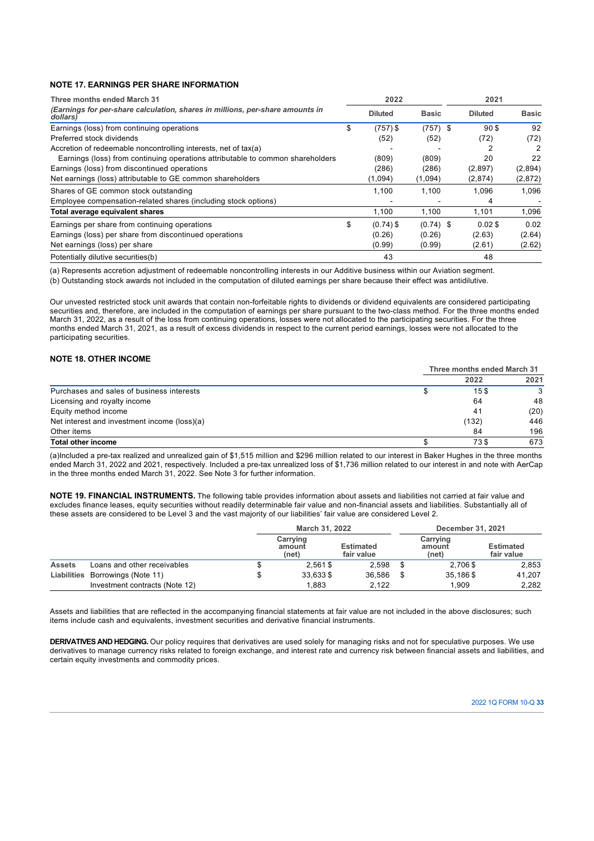# **NOTE 17. EARNINGS PER SHARE INFORMATION**

| Three months ended March 31                                                               |    | 2022           |              |  | 2021            |              |  |
|-------------------------------------------------------------------------------------------|----|----------------|--------------|--|-----------------|--------------|--|
| (Earnings for per-share calculation, shares in millions, per-share amounts in<br>dollars) |    | <b>Diluted</b> | <b>Basic</b> |  | <b>Diluted</b>  | <b>Basic</b> |  |
| Earnings (loss) from continuing operations                                                | \$ | $(757)$ \$     | $(757)$ \$   |  | 90 <sup>5</sup> | 92           |  |
| Preferred stock dividends                                                                 |    | (52)           | (52)         |  | (72)            | (72)         |  |
| Accretion of redeemable noncontrolling interests, net of tax(a)                           |    |                |              |  |                 | 2            |  |
| Earnings (loss) from continuing operations attributable to common shareholders            |    | (809)          | (809)        |  | 20              | 22           |  |
| Earnings (loss) from discontinued operations                                              |    | (286)          | (286)        |  | (2,897)         | (2,894)      |  |
| Net earnings (loss) attributable to GE common shareholders                                |    | (1,094)        | (1,094)      |  | (2,874)         | (2,872)      |  |
| Shares of GE common stock outstanding                                                     |    | 1,100          | 1,100        |  | 1.096           | 1.096        |  |
| Employee compensation-related shares (including stock options)                            |    |                |              |  | 4               |              |  |
| Total average equivalent shares                                                           |    | 1,100          | 1,100        |  | 1.101           | 1,096        |  |
| Earnings per share from continuing operations                                             | \$ | $(0.74)$ \$    | $(0.74)$ \$  |  | $0.02$ \$       | 0.02         |  |
| Earnings (loss) per share from discontinued operations                                    |    | (0.26)         | (0.26)       |  | (2.63)          | (2.64)       |  |
| Net earnings (loss) per share                                                             |    | (0.99)         | (0.99)       |  | (2.61)          | (2.62)       |  |
| Potentially dilutive securities(b)                                                        |    | 43             |              |  | 48              |              |  |

(a) Represents accretion adjustment of redeemable noncontrolling interests in our Additive business within our Aviation segment.

(b) Outstanding stock awards not included in the computation of diluted earnings per share because their effect was antidilutive.

Our unvested restricted stock unit awards that contain non-forfeitable rights to dividends or dividend equivalents are considered participating securities and, therefore, are included in the computation of earnings per share pursuant to the two-class method. For the three months ended March 31, 2022, as a result of the loss from continuing operations, losses were not allocated to the participating securities. For the three months ended March 31, 2021, as a result of excess dividends in respect to the current period earnings, losses were not allocated to the participating securities.

## <span id="page-32-0"></span>**NOTE 18. OTHER INCOME**

|                                              | Three months ended March 31 |       |      |  |
|----------------------------------------------|-----------------------------|-------|------|--|
|                                              |                             | 2022  | 2021 |  |
| Purchases and sales of business interests    |                             | 15\$  | 3    |  |
| Licensing and royalty income                 |                             | 64    | 48   |  |
| Equity method income                         |                             | 41    | (20) |  |
| Net interest and investment income (loss)(a) |                             | (132) | 446  |  |
| Other items                                  |                             | 84    | 196  |  |
| <b>Total other income</b>                    |                             | 73\$  | 673  |  |

(a)Included a pre-tax realized and unrealized gain of \$1,515 million and \$296 million related to our interest in Baker Hughes in the three months ended March 31, 2022 and 2021, respectively. Included a pre-tax unrealized loss of \$1,736 million related to our interest in and note with AerCap in the three months ended March 31, 2022. See Note 3 for further information.

<span id="page-32-1"></span>**NOTE 19. FINANCIAL INSTRUMENTS.** The following table provides information about assets and liabilities not carried at fair value and excludes finance leases, equity securities without readily determinable fair value and non-financial assets and liabilities. Substantially all of these assets are considered to be Level 3 and the vast majority of our liabilities' fair value are considered Level 2.

|               |                                  | March 31, 2022              |                                | December 31, 2021           |                                |
|---------------|----------------------------------|-----------------------------|--------------------------------|-----------------------------|--------------------------------|
|               |                                  | Carrying<br>amount<br>(net) | <b>Estimated</b><br>fair value | Carrying<br>amount<br>(net) | <b>Estimated</b><br>fair value |
| <b>Assets</b> | Loans and other receivables      | $2.561$ \$                  | 2.598                          | 2,706\$                     | 2,853                          |
|               | Liabilities Borrowings (Note 11) | 33,633\$                    | 36,586                         | 35,186\$                    | 41.207                         |
|               | Investment contracts (Note 12)   | 1.883                       | 2,122                          | 1.909                       | 2,282                          |

Assets and liabilities that are reflected in the accompanying financial statements at fair value are not included in the above disclosures; such items include cash and equivalents, investment securities and derivative financial instruments.

**DERIVATIVES AND HEDGING.** Our policy requires that derivatives are used solely for managing risks and not for speculative purposes. We use derivatives to manage currency risks related to foreign exchange, and interest rate and currency risk between financial assets and liabilities, and certain equity investments and commodity prices.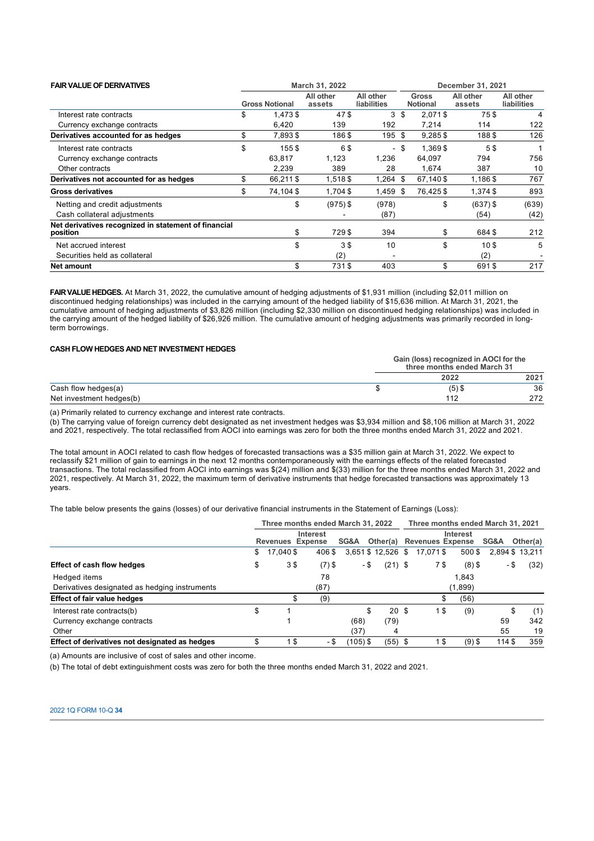| <b>FAIR VALUE OF DERIVATIVES</b>                                 |    |                       | March 31, 2022      |                          | December 31, 2021        |            |                     |                          |
|------------------------------------------------------------------|----|-----------------------|---------------------|--------------------------|--------------------------|------------|---------------------|--------------------------|
|                                                                  |    | <b>Gross Notional</b> | All other<br>assets | All other<br>liabilities | Gross<br><b>Notional</b> |            | All other<br>assets | All other<br>liabilities |
| Interest rate contracts                                          | \$ | 1,473 \$              | 47\$                | 3                        | \$                       | 2,071\$    | 75\$                | 4                        |
| Currency exchange contracts                                      |    | 6,420                 | 139                 | 192                      |                          | 7,214      | 114                 | 122                      |
| Derivatives accounted for as hedges                              | \$ | 7,893\$               | 186\$               | $195$ \$                 |                          | $9,285$ \$ | 188\$               | 126                      |
| Interest rate contracts                                          | \$ | 155\$                 | 6\$                 |                          | - \$                     | 1.369\$    | 5\$                 |                          |
| Currency exchange contracts                                      |    | 63,817                | 1,123               | 1,236                    |                          | 64,097     | 794                 | 756                      |
| Other contracts                                                  |    | 2,239                 | 389                 | 28                       |                          | 1,674      | 387                 | 10                       |
| Derivatives not accounted for as hedges                          | \$ | 66,211\$              | 1,518\$             | $1,264$ \$               |                          | 67,140\$   | 1,186\$             | 767                      |
| <b>Gross derivatives</b>                                         | \$ | 74,104\$              | 1,704 \$            | $1,459$ \$               |                          | 76,425\$   | $1.374$ \$          | 893                      |
| Netting and credit adjustments                                   |    | \$                    | $(975)$ \$          | (978)                    |                          | \$         | $(637)$ \$          | (639)                    |
| Cash collateral adjustments                                      |    |                       |                     | (87)                     |                          |            | (54)                | (42)                     |
| Net derivatives recognized in statement of financial<br>position |    | \$                    | 729\$               | 394                      |                          | \$         | 684\$               | 212                      |
| Net accrued interest                                             |    | \$                    | 3\$                 | 10                       |                          | \$         | 10 <sup>3</sup>     | 5                        |
| Securities held as collateral                                    |    |                       | (2)                 |                          |                          |            | (2)                 |                          |
| <b>Net amount</b>                                                |    | \$                    | 731\$               | 403                      |                          | \$         | 691\$               | 217                      |

**FAIR VALUE HEDGES.** At March 31, 2022, the cumulative amount of hedging adjustments of \$1,931 million (including \$2,011 million on discontinued hedging relationships) was included in the carrying amount of the hedged liability of \$15,636 million. At March 31, 2021, the cumulative amount of hedging adjustments of \$3,826 million (including \$2,330 million on discontinued hedging relationships) was included in the carrying amount of the hedged liability of \$26,926 million. The cumulative amount of hedging adjustments was primarily recorded in longterm borrowings.

### **CASH FLOW HEDGES AND NET INVESTMENT HEDGES**

| VAVILLEVII HEDVED AND HET INTED HIERT HEDVED | Gain (loss) recognized in AOCI for the<br>three months ended March 31 |      |
|----------------------------------------------|-----------------------------------------------------------------------|------|
|                                              | 2022                                                                  | 2021 |
| Cash flow hedges(a)                          | (5)\$                                                                 | 36   |
| Net investment hedges(b)                     | 112                                                                   | 272  |

(a) Primarily related to currency exchange and interest rate contracts.

(b) The carrying value of foreign currency debt designated as net investment hedges was \$3,934 million and \$8,106 million at March 31, 2022 and 2021, respectively. The total reclassified from AOCI into earnings was zero for both the three months ended March 31, 2022 and 2021.

The total amount in AOCI related to cash flow hedges of forecasted transactions was a \$35 million gain at March 31, 2022. We expect to reclassify \$21 million of gain to earnings in the next 12 months contemporaneously with the earnings effects of the related forecasted transactions. The total reclassified from AOCI into earnings was \$(24) million and \$(33) million for the three months ended March 31, 2022 and 2021, respectively. At March 31, 2022, the maximum term of derivative instruments that hedge forecasted transactions was approximately 13 years.

The table below presents the gains (losses) of our derivative financial instruments in the Statement of Earnings (Loss):

|                                                | Three months ended March 31, 2022 |                         |          |            | Three months ended March 31, 2021 |                         |          |                |          |
|------------------------------------------------|-----------------------------------|-------------------------|----------|------------|-----------------------------------|-------------------------|----------|----------------|----------|
|                                                | Interest                          |                         |          | Interest   |                                   |                         |          |                |          |
|                                                |                                   | <b>Revenues Expense</b> |          | SG&A       | Other(a)                          | <b>Revenues Expense</b> |          | SG&A           | Other(a) |
|                                                | \$                                | 17.040\$                | 406\$    |            | 3,651 \$12,526 \$                 | 17,071\$                | 500\$    | 2,894 \$13,211 |          |
| <b>Effect of cash flow hedges</b>              | \$                                | 3\$                     | $(7)$ \$ | - \$       | (21) \$                           | 7\$                     | $(8)$ \$ | - \$           | (32)     |
| Hedged items                                   |                                   |                         | 78       |            |                                   |                         | 1.843    |                |          |
| Derivatives designated as hedging instruments  |                                   |                         | (87)     |            |                                   |                         | (1,899)  |                |          |
| <b>Effect of fair value hedges</b>             |                                   |                         | (9)      |            |                                   | \$                      | (56)     |                |          |
| Interest rate contracts(b)                     | \$                                |                         |          |            | \$<br>20 <sup>5</sup>             | 1\$                     | (9)      | \$             | (1)      |
| Currency exchange contracts                    |                                   |                         |          | (68)       | (79)                              |                         |          | 59             | 342      |
| Other                                          |                                   |                         |          | (37)       | 4                                 |                         |          | 55             | 19       |
| Effect of derivatives not designated as hedges |                                   | 1\$                     | - \$     | $(105)$ \$ | $(55)$ \$                         | l \$                    | $(9)$ \$ | 114\$          | 359      |

(a) Amounts are inclusive of cost of sales and other income.

(b) The total of debt extinguishment costs was zero for both the three months ended March 31, 2022 and 2021.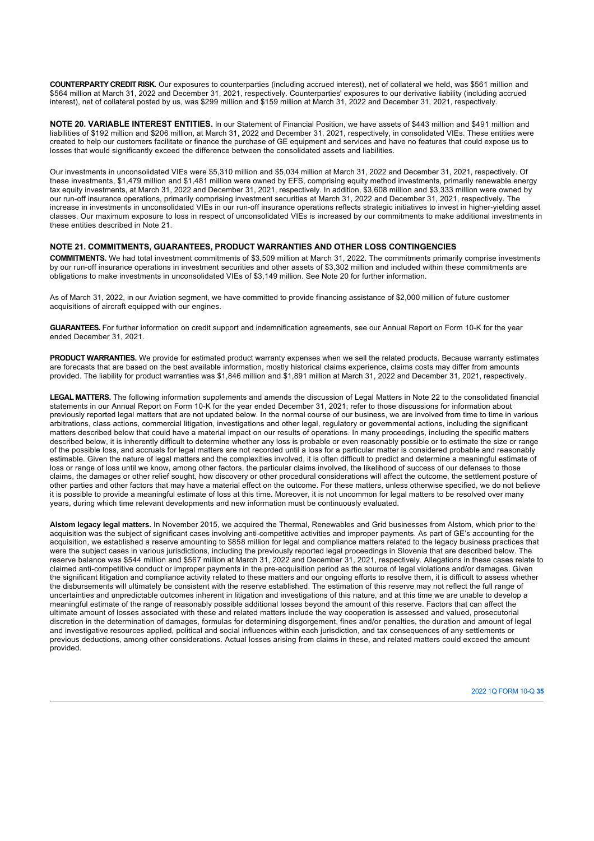**COUNTERPARTY CREDIT RISK.** Our exposures to counterparties (including accrued interest), net of collateral we held, was \$561 million and \$564 million at March 31, 2022 and December 31, 2021, respectively. Counterparties' exposures to our derivative liability (including accrued interest), net of collateral posted by us, was \$299 million and \$159 million at March 31, 2022 and December 31, 2021, respectively.

<span id="page-34-0"></span>**NOTE 20. VARIABLE INTEREST ENTITIES.** In our Statement of Financial Position, we have assets of \$443 million and \$491 million and liabilities of \$192 million and \$206 million, at March 31, 2022 and December 31, 2021, respectively, in consolidated VIEs. These entities were created to help our customers facilitate or finance the purchase of GE equipment and services and have no features that could expose us to losses that would significantly exceed the difference between the consolidated assets and liabilities.

Our investments in unconsolidated VIEs were \$5,310 million and \$5,034 million at March 31, 2022 and December 31, 2021, respectively. Of these investments, \$1,479 million and \$1,481 million were owned by EFS, comprising equity method investments, primarily renewable energy tax equity investments, at March 31, 2022 and December 31, 2021, respectively. In addition, \$3,608 million and \$3,333 million were owned by our run-off insurance operations, primarily comprising investment securities at March 31, 2022 and December 31, 2021, respectively. The increase in investments in unconsolidated VIEs in our run-off insurance operations reflects strategic initiatives to invest in higher-yielding asset classes. Our maximum exposure to loss in respect of unconsolidated VIEs is increased by our commitments to make additional investments in these entities described in Note 21.

## <span id="page-34-1"></span>**NOTE 21. COMMITMENTS, GUARANTEES, PRODUCT WARRANTIES AND OTHER LOSS CONTINGENCIES**

**COMMITMENTS.** We had total investment commitments of \$3,509 million at March 31, 2022. The commitments primarily comprise investments by our run-off insurance operations in investment securities and other assets of \$3,302 million and included within these commitments are obligations to make investments in unconsolidated VIEs of \$3,149 million. See Note 20 for further information.

As of March 31, 2022, in our Aviation segment, we have committed to provide financing assistance of \$2,000 million of future customer acquisitions of aircraft equipped with our engines.

**GUARANTEES.** For further information on credit support and indemnification agreements, see our Annual Report on Form 10-K for the year ended December 31, 2021.

**PRODUCT WARRANTIES.** We provide for estimated product warranty expenses when we sell the related products. Because warranty estimates are forecasts that are based on the best available information, mostly historical claims experience, claims costs may differ from amounts provided. The liability for product warranties was \$1,846 million and \$1,891 million at March 31, 2022 and December 31, 2021, respectively.

**LEGAL MATTERS.** The following information supplements and amends the discussion of Legal Matters in Note 22 to the consolidated financial statements in our Annual Report on Form 10-K for the year ended December 31, 2021; refer to those discussions for information about previously reported legal matters that are not updated below. In the normal course of our business, we are involved from time to time in various arbitrations, class actions, commercial litigation, investigations and other legal, regulatory or governmental actions, including the significant matters described below that could have a material impact on our results of operations. In many proceedings, including the specific matters described below, it is inherently difficult to determine whether any loss is probable or even reasonably possible or to estimate the size or range of the possible loss, and accruals for legal matters are not recorded until a loss for a particular matter is considered probable and reasonably estimable. Given the nature of legal matters and the complexities involved, it is often difficult to predict and determine a meaningful estimate of loss or range of loss until we know, among other factors, the particular claims involved, the likelihood of success of our defenses to those claims, the damages or other relief sought, how discovery or other procedural considerations will affect the outcome, the settlement posture of other parties and other factors that may have a material effect on the outcome. For these matters, unless otherwise specified, we do not believe it is possible to provide a meaningful estimate of loss at this time. Moreover, it is not uncommon for legal matters to be resolved over many years, during which time relevant developments and new information must be continuously evaluated.

**Alstom legacy legal matters.** In November 2015, we acquired the Thermal, Renewables and Grid businesses from Alstom, which prior to the acquisition was the subject of significant cases involving anti-competitive activities and improper payments. As part of GE's accounting for the acquisition, we established a reserve amounting to \$858 million for legal and compliance matters related to the legacy business practices that were the subject cases in various jurisdictions, including the previously reported legal proceedings in Slovenia that are described below. The reserve balance was \$544 million and \$567 million at March 31, 2022 and December 31, 2021, respectively. Allegations in these cases relate to claimed anti-competitive conduct or improper payments in the pre-acquisition period as the source of legal violations and/or damages. Given the significant litigation and compliance activity related to these matters and our ongoing efforts to resolve them, it is difficult to assess whether the disbursements will ultimately be consistent with the reserve established. The estimation of this reserve may not reflect the full range of uncertainties and unpredictable outcomes inherent in litigation and investigations of this nature, and at this time we are unable to develop a meaningful estimate of the range of reasonably possible additional losses beyond the amount of this reserve. Factors that can affect the ultimate amount of losses associated with these and related matters include the way cooperation is assessed and valued, prosecutorial discretion in the determination of damages, formulas for determining disgorgement, fines and/or penalties, the duration and amount of legal and investigative resources applied, political and social influences within each jurisdiction, and tax consequences of any settlements or previous deductions, among other considerations. Actual losses arising from claims in these, and related matters could exceed the amount provided.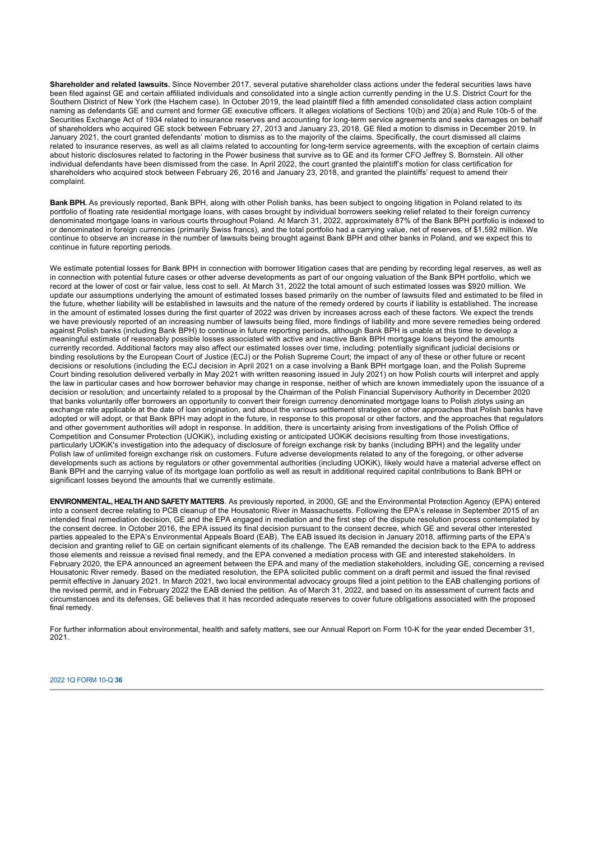**Shareholder and related lawsuits.** Since November 2017, several putative shareholder class actions under the federal securities laws have been filed against GE and certain affiliated individuals and consolidated into a single action currently pending in the U.S. District Court for the Southern District of New York (the Hachem case). In October 2019, the lead plaintiff filed a fifth amended consolidated class action complaint naming as defendants GE and current and former GE executive officers. It alleges violations of Sections 10(b) and 20(a) and Rule 10b-5 of the Securities Exchange Act of 1934 related to insurance reserves and accounting for long-term service agreements and seeks damages on behalf of shareholders who acquired GE stock between February 27, 2013 and January 23, 2018. GE filed a motion to dismiss in December 2019. In January 2021, the court granted defendants' motion to dismiss as to the majority of the claims. Specifically, the court dismissed all claims related to insurance reserves, as well as all claims related to accounting for long-term service agreements, with the exception of certain claims about historic disclosures related to factoring in the Power business that survive as to GE and its former CFO Jeffrey S. Bornstein. All other individual defendants have been dismissed from the case. In April 2022, the court granted the plaintiff's motion for class certification for shareholders who acquired stock between February 26, 2016 and January 23, 2018, and granted the plaintiffs' request to amend their complaint.

**Bank BPH.** As previously reported, Bank BPH, along with other Polish banks, has been subject to ongoing litigation in Poland related to its portfolio of floating rate residential mortgage loans, with cases brought by individual borrowers seeking relief related to their foreign currency denominated mortgage loans in various courts throughout Poland. At March 31, 2022, approximately 87% of the Bank BPH portfolio is indexed to or denominated in foreign currencies (primarily Swiss francs), and the total portfolio had a carrying value, net of reserves, of \$1,592 million. We continue to observe an increase in the number of lawsuits being brought against Bank BPH and other banks in Poland, and we expect this to continue in future reporting periods.

We estimate potential losses for Bank BPH in connection with borrower litigation cases that are pending by recording legal reserves, as well as in connection with potential future cases or other adverse developments as part of our ongoing valuation of the Bank BPH portfolio, which we record at the lower of cost or fair value, less cost to sell. At March 31, 2022 the total amount of such estimated losses was \$920 million. We update our assumptions underlying the amount of estimated losses based primarily on the number of lawsuits filed and estimated to be filed in the future, whether liability will be established in lawsuits and the nature of the remedy ordered by courts if liability is established. The increase in the amount of estimated losses during the first quarter of 2022 was driven by increases across each of these factors. We expect the trends we have previously reported of an increasing number of lawsuits being filed, more findings of liability and more severe remedies being ordered against Polish banks (including Bank BPH) to continue in future reporting periods, although Bank BPH is unable at this time to develop a meaningful estimate of reasonably possible losses associated with active and inactive Bank BPH mortgage loans beyond the amounts currently recorded. Additional factors may also affect our estimated losses over time, including: potentially significant judicial decisions or binding resolutions by the European Court of Justice (ECJ) or the Polish Supreme Court; the impact of any of these or other future or recent decisions or resolutions (including the ECJ decision in April 2021 on a case involving a Bank BPH mortgage loan, and the Polish Supreme Court binding resolution delivered verbally in May 2021 with written reasoning issued in July 2021) on how Polish courts will interpret and apply the law in particular cases and how borrower behavior may change in response, neither of which are known immediately upon the issuance of a decision or resolution; and uncertainty related to a proposal by the Chairman of the Polish Financial Supervisory Authority in December 2020 that banks voluntarily offer borrowers an opportunity to convert their foreign currency denominated mortgage loans to Polish zlotys using an exchange rate applicable at the date of loan origination, and about the various settlement strategies or other approaches that Polish banks have adopted or will adopt, or that Bank BPH may adopt in the future, in response to this proposal or other factors, and the approaches that regulators adopted c. and data to their bank bind of the sponse. In addition, there is uncertainty arising from investigations of the Polish Office of Competition and Consumer Protection (UOKiK), including existing or anticipated UOKiK decisions resulting from those investigations, particularly UOKiK's investigation into the adequacy of disclosure of foreign exchange risk by banks (including BPH) and the legality under Polish law of unlimited foreign exchange risk on customers. Future adverse developments related to any of the foregoing, or other adverse developments such as actions by regulators or other governmental authorities (including UOKiK), likely would have a material adverse effect on Bank BPH and the carrying value of its mortgage loan portfolio as well as result in additional required capital contributions to Bank BPH or significant losses beyond the amounts that we currently estimate.

**ENVIRONMENTAL, HEALTH AND SAFETY MATTERS**. As previously reported, in 2000, GE and the Environmental Protection Agency (EPA) entered into a consent decree relating to PCB cleanup of the Housatonic River in Massachusetts. Following the EPA's release in September 2015 of an intended final remediation decision, GE and the EPA engaged in mediation and the first step of the dispute resolution process contemplated by the consent decree. In October 2016, the EPA issued its final decision pursuant to the consent decree, which GE and several other interested parties appealed to the EPA's Environmental Appeals Board (EAB). The EAB issued its decision in January 2018, affirming parts of the EPA's decision and granting relief to GE on certain significant elements of its challenge. The EAB remanded the decision back to the EPA to address those elements and reissue a revised final remedy, and the EPA convened a mediation process with GE and interested stakeholders. In February 2020, the EPA announced an agreement between the EPA and many of the mediation stakeholders, including GE, concerning a revised Housatonic River remedy. Based on the mediated resolution, the EPA solicited public comment on a draft permit and issued the final revised permit effective in January 2021. In March 2021, two local environmental advocacy groups filed a joint petition to the EAB challenging portions of the revised permit, and in February 2022 the EAB denied the petition. As of March 31, 2022, and based on its assessment of current facts and circumstances and its defenses, GE believes that it has recorded adequate reserves to cover future obligations associated with the proposed final remedy.

<span id="page-35-0"></span>For further information about environmental, health and safety matters, see our Annual Report on Form 10-K for the year ended December 31, 2021.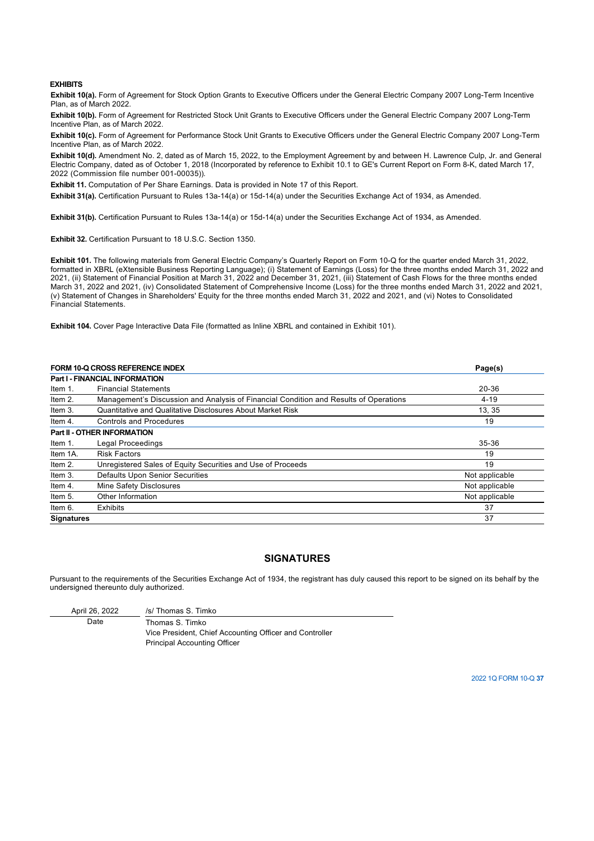#### **EXHIBITS**

**[Exhibit 10\(a\).](http://www.sec.gov/Archives/edgar/data/40545/000004054522000027/ge1q202210qexhibit10a.htm)** [Form of Agreement for Stock Option Grants to Executive Officers under the General Electric Company 2007 Long-Term Incentive](http://www.sec.gov/Archives/edgar/data/40545/000004054522000027/ge1q202210qexhibit10a.htm) Plan, as of March 2022.

**[Exhibit 10\(b\).](http://www.sec.gov/Archives/edgar/data/40545/000004054522000027/ge1q202210qexhibit10b.htm)** [Form of Agreement for Restricted Stock Unit Grants to Executive Officers under the General Electric Company 2007 Long-Term](http://www.sec.gov/Archives/edgar/data/40545/000004054522000027/ge1q202210qexhibit10b.htm) Incentive Plan, as of March 2022.

**[Exhibit 10\(c\).](http://www.sec.gov/Archives/edgar/data/40545/000004054522000027/ge1q202210qexhibit10c.htm)** [Form of Agreement for Performance Stock Unit Grants to Executive Officers under the General Electric Company 2007 Long-Term](http://www.sec.gov/Archives/edgar/data/40545/000004054522000027/ge1q202210qexhibit10c.htm) Incentive Plan[, as of March 2022.](http://www.sec.gov/Archives/edgar/data/40545/000004054522000027/ge1q202210qexhibit10c.htm)

**[Exhibit 10\(d\).](http://www.sec.gov/Archives/edgar/data/40545/000004054522000018/employmentagreementamendme.htm)** [Amendment No. 2,](http://www.sec.gov/Archives/edgar/data/40545/000004054522000018/employmentagreementamendme.htm) dated as of March 15, 2022, to the Employment Agreement by and between H. Lawrence Culp, Jr. and General [Electric Company, dated as of October 1, 2018 \(Incorporated by reference to Exhibit 10.1 to GE's Current Report on Form 8-K, dated March 17,](http://www.sec.gov/Archives/edgar/data/40545/000004054522000018/employmentagreementamendme.htm) 2022 (Commission file number 001-0003[5\)\).](http://www.sec.gov/Archives/edgar/data/40545/000004054522000018/employmentagreementamendme.htm)

**Exhibit 11.** [Computation of Per Share Earnings.](#page-31-2) Data is provided in Note 17 of this Report.

**Exhibit 31(a).** [Certification Pursuant to Rules 13a-14\(a\) or 15d-14\(a\) under the Securities Exchange Act of 1934, as Amended.](http://www.sec.gov/Archives/edgar/data/40545/000004054522000027/ge1q202210qexhibit31a.htm)

**Exhibit 31(b).** [Certification Pursuant to Rules 13a-14\(a\) or 15d-14\(a\) under the Securities Exchange Act of 1934, as Amended.](http://www.sec.gov/Archives/edgar/data/40545/000004054522000027/ge1q202210qexhibit31b.htm)

**Exhibit 32.** [Certification Pursuant to 18 U.S.C. Section 1350.](http://www.sec.gov/Archives/edgar/data/40545/000004054522000027/ge1q202210qexhibit32.htm)

**Exhibit 101.** The following materials from General Electric Company's Quarterly Report on Form 10-Q for the quarter ended March 31, 2022, formatted in XBRL (eXtensible Business Reporting Language); (i) Statement of Earnings (Loss) for the three months ended March 31, 2022 and 2021, (ii) Statement of Financial Position at March 31, 2022 and December 31, 2021, (iii) Statement of Cash Flows for the three months ended March 31, 2022 and 2021, (iv) Consolidated Statement of Comprehensive Income (Loss) for the three months ended March 31, 2022 and 2021, (v) Statement of Changes in Shareholders' Equity for the three months ended March 31, 2022 and 2021, and (vi) Notes to Consolidated Financial Statements.

**Exhibit 104.** Cover Page Interactive Data File (formatted as Inline XBRL and contained in Exhibit 101).

<span id="page-36-0"></span>

|                   | <b>FORM 10-Q CROSS REFERENCE INDEX</b>                                                | Page(s)        |  |
|-------------------|---------------------------------------------------------------------------------------|----------------|--|
|                   | <b>Part I - FINANCIAL INFORMATION</b>                                                 |                |  |
| Item $1$ .        | <b>Financial Statements</b>                                                           | 20-36          |  |
| Item 2.           | Management's Discussion and Analysis of Financial Condition and Results of Operations | 4-19           |  |
| Item 3.           | Quantitative and Qualitative Disclosures About Market Risk                            | 13, 35         |  |
| Item 4.           | <b>Controls and Procedures</b>                                                        | 19             |  |
|                   | Part II - OTHER INFORMATION                                                           |                |  |
| Item $1$ .        | Legal Proceedings                                                                     | 35-36          |  |
| Item 1A.          | <b>Risk Factors</b>                                                                   | 19             |  |
| Item 2.           | Unregistered Sales of Equity Securities and Use of Proceeds                           | 19             |  |
| Item 3.           | <b>Defaults Upon Senior Securities</b>                                                | Not applicable |  |
| Item 4.           | Mine Safety Disclosures                                                               | Not applicable |  |
| Item 5.           | Other Information                                                                     | Not applicable |  |
| Item 6.           | <b>Exhibits</b>                                                                       | 37             |  |
| <b>Signatures</b> |                                                                                       | 37             |  |

## **SIGNATURES**

<span id="page-36-1"></span>Pursuant to the requirements of the Securities Exchange Act of 1934, the registrant has duly caused this report to be signed on its behalf by the undersigned thereunto duly authorized.

| April 26, 2022 | /s/ Thomas S. Timko                                     |
|----------------|---------------------------------------------------------|
| Date           | Thomas S. Timko                                         |
|                | Vice President, Chief Accounting Officer and Controller |
|                | <b>Principal Accounting Officer</b>                     |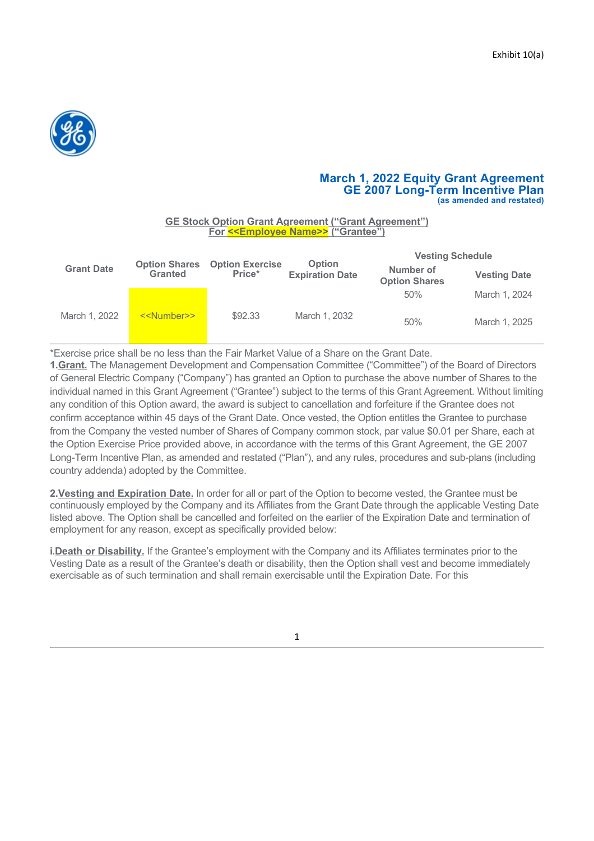

## **March 1, 2022 Equity Grant Agreement GE 2007 Long-Term Incentive Plan (as amended and restated)**

# **GE Stock Option Grant Agreement ("Grant Agreement") For <<Employee Name>> ("Grantee")**

|                   |                                        | <b>Option Exercise</b><br>Price* |                                         | <b>Vesting Schedule</b>           |                     |  |
|-------------------|----------------------------------------|----------------------------------|-----------------------------------------|-----------------------------------|---------------------|--|
| <b>Grant Date</b> | <b>Option Shares</b><br><b>Granted</b> |                                  | <b>Option</b><br><b>Expiration Date</b> | Number of<br><b>Option Shares</b> | <b>Vesting Date</b> |  |
|                   |                                        |                                  |                                         | 50%                               | March 1, 2024       |  |
| March 1, 2022     | < <number>&gt;</number>                | \$92.33                          | March 1, 2032                           | 50%                               | March 1, 2025       |  |

\*Exercise price shall be no less than the Fair Market Value of a Share on the Grant Date. **1.Grant.** The Management Development and Compensation Committee ("Committee") of the Board of Directors of General Electric Company ("Company") has granted an Option to purchase the above number of Shares to the individual named in this Grant Agreement ("Grantee") subject to the terms of this Grant Agreement. Without limiting any condition of this Option award, the award is subject to cancellation and forfeiture if the Grantee does not confirm acceptance within 45 days of the Grant Date. Once vested, the Option entitles the Grantee to purchase from the Company the vested number of Shares of Company common stock, par value \$0.01 per Share, each at the Option Exercise Price provided above, in accordance with the terms of this Grant Agreement, the GE 2007 Long-Term Incentive Plan, as amended and restated ("Plan"), and any rules, procedures and sub-plans (including country addenda) adopted by the Committee.

**2.Vesting and Expiration Date.** In order for all or part of the Option to become vested, the Grantee must be continuously employed by the Company and its Affiliates from the Grant Date through the applicable Vesting Date listed above. The Option shall be cancelled and forfeited on the earlier of the Expiration Date and termination of employment for any reason, except as specifically provided below:

**i.Death or Disability.** If the Grantee's employment with the Company and its Affiliates terminates prior to the Vesting Date as a result of the Grantee's death or disability, then the Option shall vest and become immediately exercisable as of such termination and shall remain exercisable until the Expiration Date. For this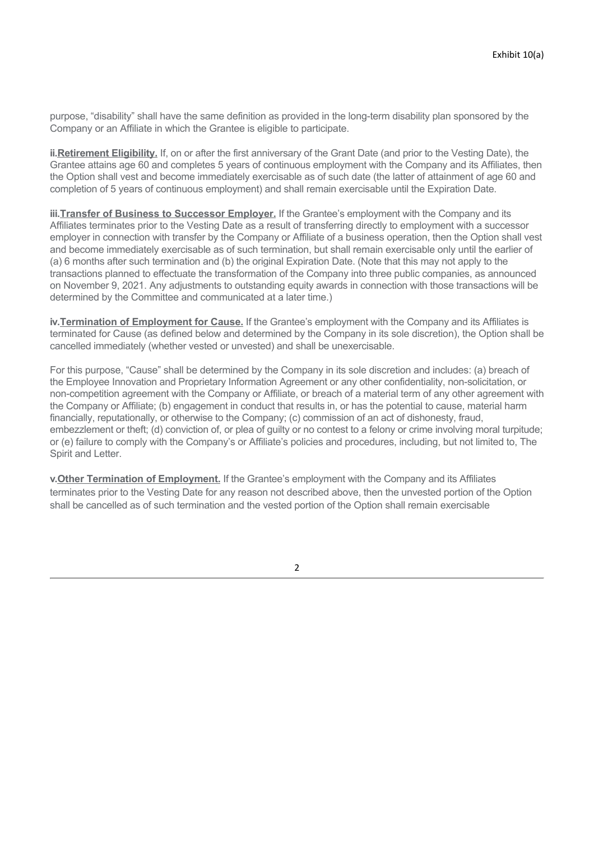purpose, "disability" shall have the same definition as provided in the long-term disability plan sponsored by the Company or an Affiliate in which the Grantee is eligible to participate.

**ii.Retirement Eligibility.** If, on or after the first anniversary of the Grant Date (and prior to the Vesting Date), the Grantee attains age 60 and completes 5 years of continuous employment with the Company and its Affiliates, then the Option shall vest and become immediately exercisable as of such date (the latter of attainment of age 60 and completion of 5 years of continuous employment) and shall remain exercisable until the Expiration Date.

**iii.Transfer of Business to Successor Employer.** If the Grantee's employment with the Company and its Affiliates terminates prior to the Vesting Date as a result of transferring directly to employment with a successor employer in connection with transfer by the Company or Affiliate of a business operation, then the Option shall vest and become immediately exercisable as of such termination, but shall remain exercisable only until the earlier of (a) 6 months after such termination and (b) the original Expiration Date. (Note that this may not apply to the transactions planned to effectuate the transformation of the Company into three public companies, as announced on November 9, 2021. Any adjustments to outstanding equity awards in connection with those transactions will be determined by the Committee and communicated at a later time.)

**iv.Termination of Employment for Cause.** If the Grantee's employment with the Company and its Affiliates is terminated for Cause (as defined below and determined by the Company in its sole discretion), the Option shall be cancelled immediately (whether vested or unvested) and shall be unexercisable.

For this purpose, "Cause" shall be determined by the Company in its sole discretion and includes: (a) breach of the Employee Innovation and Proprietary Information Agreement or any other confidentiality, non-solicitation, or non-competition agreement with the Company or Affiliate, or breach of a material term of any other agreement with the Company or Affiliate; (b) engagement in conduct that results in, or has the potential to cause, material harm financially, reputationally, or otherwise to the Company; (c) commission of an act of dishonesty, fraud, embezzlement or theft; (d) conviction of, or plea of guilty or no contest to a felony or crime involving moral turpitude; or (e) failure to comply with the Company's or Affiliate's policies and procedures, including, but not limited to, The Spirit and Letter.

**v.Other Termination of Employment.** If the Grantee's employment with the Company and its Affiliates terminates prior to the Vesting Date for any reason not described above, then the unvested portion of the Option shall be cancelled as of such termination and the vested portion of the Option shall remain exercisable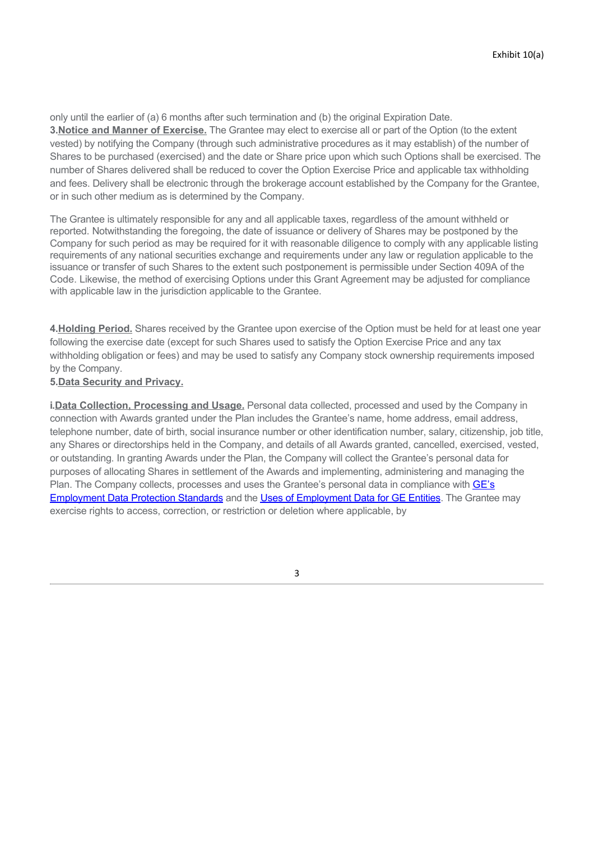only until the earlier of (a) 6 months after such termination and (b) the original Expiration Date. **3.Notice and Manner of Exercise.** The Grantee may elect to exercise all or part of the Option (to the extent vested) by notifying the Company (through such administrative procedures as it may establish) of the number of Shares to be purchased (exercised) and the date or Share price upon which such Options shall be exercised. The number of Shares delivered shall be reduced to cover the Option Exercise Price and applicable tax withholding and fees. Delivery shall be electronic through the brokerage account established by the Company for the Grantee, or in such other medium as is determined by the Company.

The Grantee is ultimately responsible for any and all applicable taxes, regardless of the amount withheld or reported. Notwithstanding the foregoing, the date of issuance or delivery of Shares may be postponed by the Company for such period as may be required for it with reasonable diligence to comply with any applicable listing requirements of any national securities exchange and requirements under any law or regulation applicable to the issuance or transfer of such Shares to the extent such postponement is permissible under Section 409A of the Code. Likewise, the method of exercising Options under this Grant Agreement may be adjusted for compliance with applicable law in the jurisdiction applicable to the Grantee.

**4.Holding Period.** Shares received by the Grantee upon exercise of the Option must be held for at least one year following the exercise date (except for such Shares used to satisfy the Option Exercise Price and any tax withholding obligation or fees) and may be used to satisfy any Company stock ownership requirements imposed by the Company.

# **5.Data Security and Privacy.**

**i.Data Collection, Processing and Usage.** Personal data collected, processed and used by the Company in connection with Awards granted under the Plan includes the Grantee's name, home address, email address, telephone number, date of birth, social insurance number or other identification number, salary, citizenship, job title, any Shares or directorships held in the Company, and details of all Awards granted, cancelled, exercised, vested, or outstanding. In granting Awards under the Plan, the Company will collect the Grantee's personal data for purposes of allocating Shares in settlement of the Awards and implementing, administering and managing the Plan. The Company collects, processes and uses the Grantee's personal data in compliance with GE's Employment Data Protection Standards and the Uses of Employment Data for GE Entities. The Grantee may exercise rights to access, correction, or restriction or deletion where applicable, by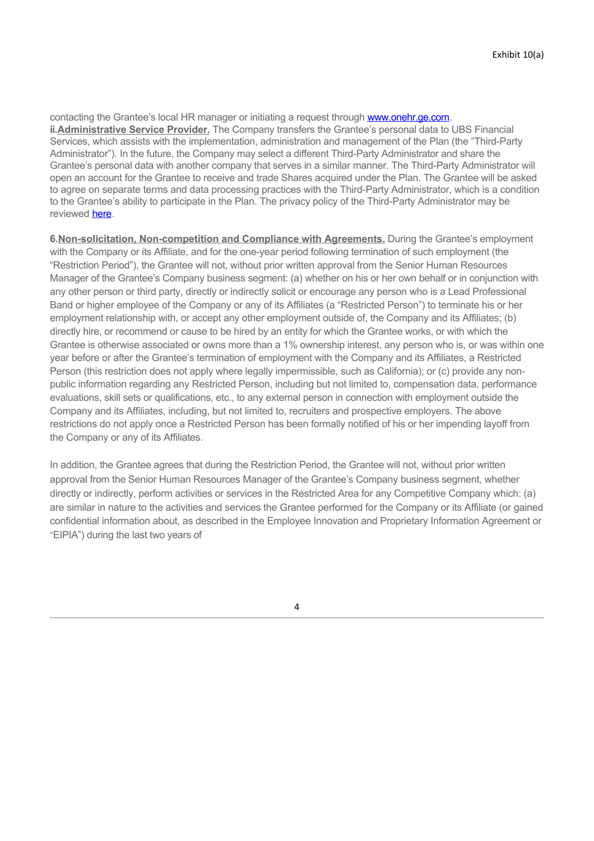contacting the Grantee's local HR manager or initiating a request through www.onehr.ge.com. **ii.Administrative Service Provider.** The Company transfers the Grantee's personal data to UBS Financial Services, which assists with the implementation, administration and management of the Plan (the "Third-Party Administrator"). In the future, the Company may select a different Third-Party Administrator and share the Grantee's personal data with another company that serves in a similar manner. The Third-Party Administrator will open an account for the Grantee to receive and trade Shares acquired under the Plan. The Grantee will be asked to agree on separate terms and data processing practices with the Third-Party Administrator, which is a condition to the Grantee's ability to participate in the Plan. The privacy policy of the Third-Party Administrator may be reviewed **here**.

**6.Non-solicitation, Non-competition and Compliance with Agreements.** During the Grantee's employment with the Company or its Affiliate, and for the one-year period following termination of such employment (the "Restriction Period"), the Grantee will not, without prior written approval from the Senior Human Resources Manager of the Grantee's Company business segment: (a) whether on his or her own behalf or in conjunction with any other person or third party, directly or indirectly solicit or encourage any person who is a Lead Professional Band or higher employee of the Company or any of its Affiliates (a "Restricted Person") to terminate his or her employment relationship with, or accept any other employment outside of, the Company and its Affiliates; (b) directly hire, or recommend or cause to be hired by an entity for which the Grantee works, or with which the Grantee is otherwise associated or owns more than a 1% ownership interest, any person who is, or was within one year before or after the Grantee's termination of employment with the Company and its Affiliates, a Restricted Person (this restriction does not apply where legally impermissible, such as California); or (c) provide any nonpublic information regarding any Restricted Person, including but not limited to, compensation data, performance evaluations, skill sets or qualifications, etc., to any external person in connection with employment outside the Company and its Affiliates, including, but not limited to, recruiters and prospective employers. The above restrictions do not apply once a Restricted Person has been formally notified of his or her impending layoff from the Company or any of its Affiliates.

In addition, the Grantee agrees that during the Restriction Period, the Grantee will not, without prior written approval from the Senior Human Resources Manager of the Grantee's Company business segment, whether directly or indirectly, perform activities or services in the Restricted Area for any Competitive Company which: (a) are similar in nature to the activities and services the Grantee performed for the Company or its Affiliate (or gained confidential information about, as described in the Employee Innovation and Proprietary Information Agreement or "EIPIA") during the last two years of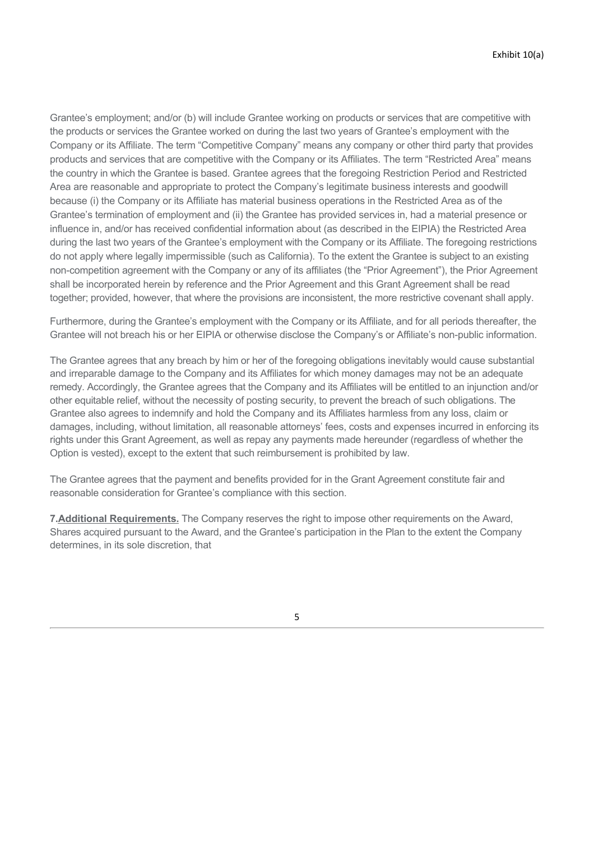Grantee's employment; and/or (b) will include Grantee working on products or services that are competitive with the products or services the Grantee worked on during the last two years of Grantee's employment with the Company or its Affiliate. The term "Competitive Company" means any company or other third party that provides products and services that are competitive with the Company or its Affiliates. The term "Restricted Area" means the country in which the Grantee is based. Grantee agrees that the foregoing Restriction Period and Restricted Area are reasonable and appropriate to protect the Company's legitimate business interests and goodwill because (i) the Company or its Affiliate has material business operations in the Restricted Area as of the Grantee's termination of employment and (ii) the Grantee has provided services in, had a material presence or influence in, and/or has received confidential information about (as described in the EIPIA) the Restricted Area during the last two years of the Grantee's employment with the Company or its Affiliate. The foregoing restrictions do not apply where legally impermissible (such as California). To the extent the Grantee is subject to an existing non-competition agreement with the Company or any of its affiliates (the "Prior Agreement"), the Prior Agreement shall be incorporated herein by reference and the Prior Agreement and this Grant Agreement shall be read together; provided, however, that where the provisions are inconsistent, the more restrictive covenant shall apply.

Furthermore, during the Grantee's employment with the Company or its Affiliate, and for all periods thereafter, the Grantee will not breach his or her EIPIA or otherwise disclose the Company's or Affiliate's non-public information.

The Grantee agrees that any breach by him or her of the foregoing obligations inevitably would cause substantial and irreparable damage to the Company and its Affiliates for which money damages may not be an adequate remedy. Accordingly, the Grantee agrees that the Company and its Affiliates will be entitled to an injunction and/or other equitable relief, without the necessity of posting security, to prevent the breach of such obligations. The Grantee also agrees to indemnify and hold the Company and its Affiliates harmless from any loss, claim or damages, including, without limitation, all reasonable attorneys' fees, costs and expenses incurred in enforcing its rights under this Grant Agreement, as well as repay any payments made hereunder (regardless of whether the Option is vested), except to the extent that such reimbursement is prohibited by law.

The Grantee agrees that the payment and benefits provided for in the Grant Agreement constitute fair and reasonable consideration for Grantee's compliance with this section.

**7.Additional Requirements.** The Company reserves the right to impose other requirements on the Award, Shares acquired pursuant to the Award, and the Grantee's participation in the Plan to the extent the Company determines, in its sole discretion, that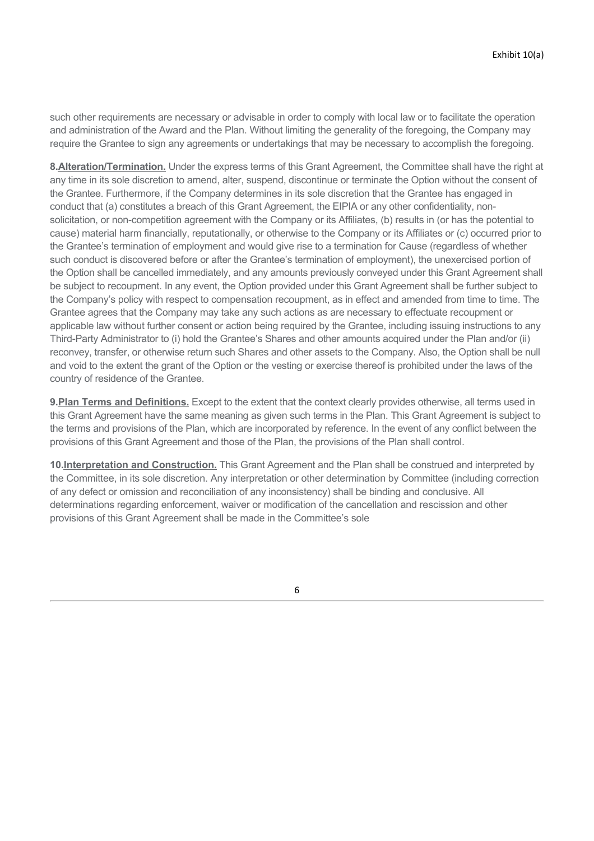such other requirements are necessary or advisable in order to comply with local law or to facilitate the operation and administration of the Award and the Plan. Without limiting the generality of the foregoing, the Company may require the Grantee to sign any agreements or undertakings that may be necessary to accomplish the foregoing.

**8.Alteration/Termination.** Under the express terms of this Grant Agreement, the Committee shall have the right at any time in its sole discretion to amend, alter, suspend, discontinue or terminate the Option without the consent of the Grantee. Furthermore, if the Company determines in its sole discretion that the Grantee has engaged in conduct that (a) constitutes a breach of this Grant Agreement, the EIPIA or any other confidentiality, nonsolicitation, or non-competition agreement with the Company or its Affiliates, (b) results in (or has the potential to cause) material harm financially, reputationally, or otherwise to the Company or its Affiliates or (c) occurred prior to the Grantee's termination of employment and would give rise to a termination for Cause (regardless of whether such conduct is discovered before or after the Grantee's termination of employment), the unexercised portion of the Option shall be cancelled immediately, and any amounts previously conveyed under this Grant Agreement shall be subject to recoupment. In any event, the Option provided under this Grant Agreement shall be further subject to the Company's policy with respect to compensation recoupment, as in effect and amended from time to time. The Grantee agrees that the Company may take any such actions as are necessary to effectuate recoupment or applicable law without further consent or action being required by the Grantee, including issuing instructions to any Third-Party Administrator to (i) hold the Grantee's Shares and other amounts acquired under the Plan and/or (ii) reconvey, transfer, or otherwise return such Shares and other assets to the Company. Also, the Option shall be null and void to the extent the grant of the Option or the vesting or exercise thereof is prohibited under the laws of the country of residence of the Grantee.

**9.Plan Terms and Definitions.** Except to the extent that the context clearly provides otherwise, all terms used in this Grant Agreement have the same meaning as given such terms in the Plan. This Grant Agreement is subject to the terms and provisions of the Plan, which are incorporated by reference. In the event of any conflict between the provisions of this Grant Agreement and those of the Plan, the provisions of the Plan shall control.

**10.Interpretation and Construction.** This Grant Agreement and the Plan shall be construed and interpreted by the Committee, in its sole discretion. Any interpretation or other determination by Committee (including correction of any defect or omission and reconciliation of any inconsistency) shall be binding and conclusive. All determinations regarding enforcement, waiver or modification of the cancellation and rescission and other provisions of this Grant Agreement shall be made in the Committee's sole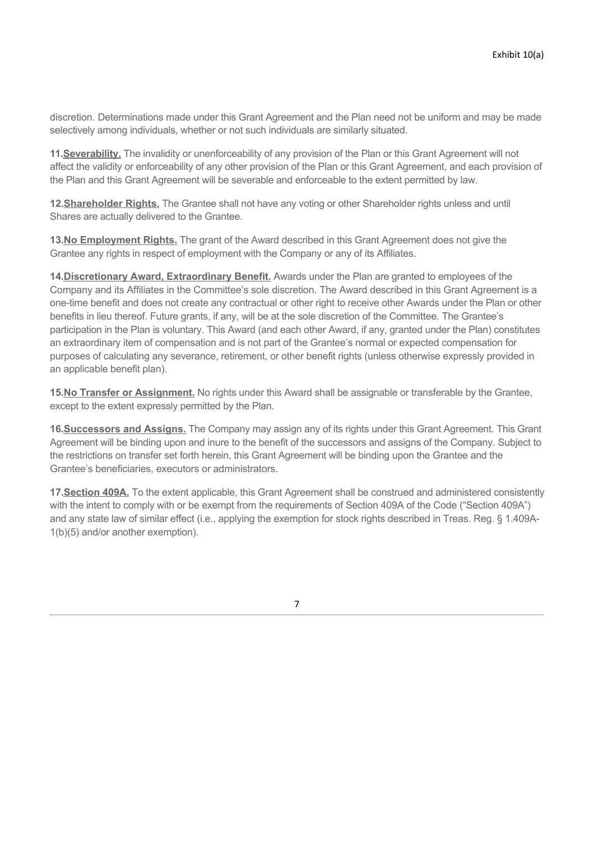discretion. Determinations made under this Grant Agreement and the Plan need not be uniform and may be made selectively among individuals, whether or not such individuals are similarly situated.

**11.Severability.** The invalidity or unenforceability of any provision of the Plan or this Grant Agreement will not affect the validity or enforceability of any other provision of the Plan or this Grant Agreement, and each provision of the Plan and this Grant Agreement will be severable and enforceable to the extent permitted by law.

**12.Shareholder Rights.** The Grantee shall not have any voting or other Shareholder rights unless and until Shares are actually delivered to the Grantee.

**13.No Employment Rights.** The grant of the Award described in this Grant Agreement does not give the Grantee any rights in respect of employment with the Company or any of its Affiliates.

**14.Discretionary Award, Extraordinary Benefit.** Awards under the Plan are granted to employees of the Company and its Affiliates in the Committee's sole discretion. The Award described in this Grant Agreement is a one-time benefit and does not create any contractual or other right to receive other Awards under the Plan or other benefits in lieu thereof. Future grants, if any, will be at the sole discretion of the Committee. The Grantee's participation in the Plan is voluntary. This Award (and each other Award, if any, granted under the Plan) constitutes an extraordinary item of compensation and is not part of the Grantee's normal or expected compensation for purposes of calculating any severance, retirement, or other benefit rights (unless otherwise expressly provided in an applicable benefit plan).

**15.No Transfer or Assignment.** No rights under this Award shall be assignable or transferable by the Grantee, except to the extent expressly permitted by the Plan.

**16.Successors and Assigns.** The Company may assign any of its rights under this Grant Agreement. This Grant Agreement will be binding upon and inure to the benefit of the successors and assigns of the Company. Subject to the restrictions on transfer set forth herein, this Grant Agreement will be binding upon the Grantee and the Grantee's beneficiaries, executors or administrators.

**17.Section 409A.** To the extent applicable, this Grant Agreement shall be construed and administered consistently with the intent to comply with or be exempt from the requirements of Section 409A of the Code ("Section 409A") and any state law of similar effect (i.e., applying the exemption for stock rights described in Treas. Reg. § 1.409A-1(b)(5) and/or another exemption).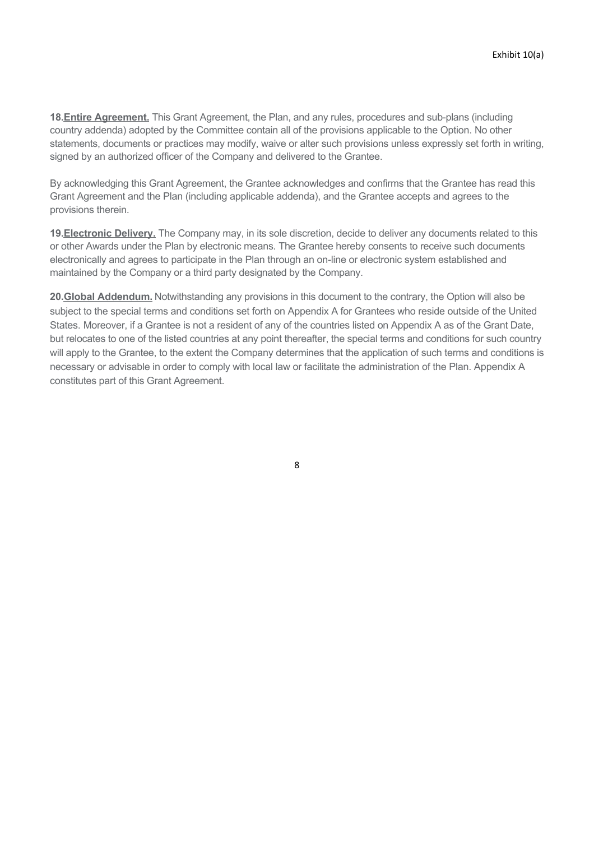**18.Entire Agreement.** This Grant Agreement, the Plan, and any rules, procedures and sub-plans (including country addenda) adopted by the Committee contain all of the provisions applicable to the Option. No other statements, documents or practices may modify, waive or alter such provisions unless expressly set forth in writing, signed by an authorized officer of the Company and delivered to the Grantee.

By acknowledging this Grant Agreement, the Grantee acknowledges and confirms that the Grantee has read this Grant Agreement and the Plan (including applicable addenda), and the Grantee accepts and agrees to the provisions therein.

**19.Electronic Delivery.** The Company may, in its sole discretion, decide to deliver any documents related to this or other Awards under the Plan by electronic means. The Grantee hereby consents to receive such documents electronically and agrees to participate in the Plan through an on-line or electronic system established and maintained by the Company or a third party designated by the Company.

**20.Global Addendum.** Notwithstanding any provisions in this document to the contrary, the Option will also be subject to the special terms and conditions set forth on Appendix A for Grantees who reside outside of the United States. Moreover, if a Grantee is not a resident of any of the countries listed on Appendix A as of the Grant Date, but relocates to one of the listed countries at any point thereafter, the special terms and conditions for such country will apply to the Grantee, to the extent the Company determines that the application of such terms and conditions is necessary or advisable in order to comply with local law or facilitate the administration of the Plan. Appendix A constitutes part of this Grant Agreement.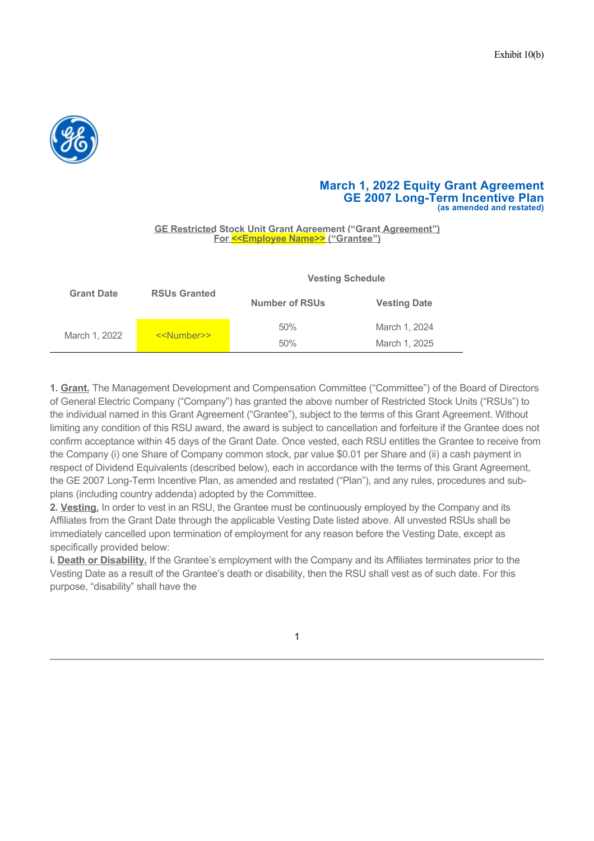

## **March 1, 2022 Equity Grant Agreement GE 2007 Long-Term Incentive Plan (as amended and restated)**

# **GE Restricted Stock Unit Grant Agreement ("Grant Agreement") For <<Employee Name>> ("Grantee")**

|                   |                         | <b>Vesting Schedule</b> |                     |  |  |
|-------------------|-------------------------|-------------------------|---------------------|--|--|
| <b>Grant Date</b> | <b>RSUs Granted</b>     | <b>Number of RSUs</b>   | <b>Vesting Date</b> |  |  |
| March 1, 2022     | < <number>&gt;</number> | 50%                     | March 1, 2024       |  |  |
|                   |                         | 50%                     | March 1, 2025       |  |  |

**1. Grant.** The Management Development and Compensation Committee ("Committee") of the Board of Directors of General Electric Company ("Company") has granted the above number of Restricted Stock Units ("RSUs") to the individual named in this Grant Agreement ("Grantee"), subject to the terms of this Grant Agreement. Without limiting any condition of this RSU award, the award is subject to cancellation and forfeiture if the Grantee does not confirm acceptance within 45 days of the Grant Date. Once vested, each RSU entitles the Grantee to receive from the Company (i) one Share of Company common stock, par value \$0.01 per Share and (ii) a cash payment in respect of Dividend Equivalents (described below), each in accordance with the terms of this Grant Agreement, the GE 2007 Long-Term Incentive Plan, as amended and restated ("Plan"), and any rules, procedures and subplans (including country addenda) adopted by the Committee.

**2. Vesting.** In order to vest in an RSU, the Grantee must be continuously employed by the Company and its Affiliates from the Grant Date through the applicable Vesting Date listed above. All unvested RSUs shall be immediately cancelled upon termination of employment for any reason before the Vesting Date, except as specifically provided below:

**i. Death or Disability.** If the Grantee's employment with the Company and its Affiliates terminates prior to the Vesting Date as a result of the Grantee's death or disability, then the RSU shall vest as of such date. For this purpose, "disability" shall have the

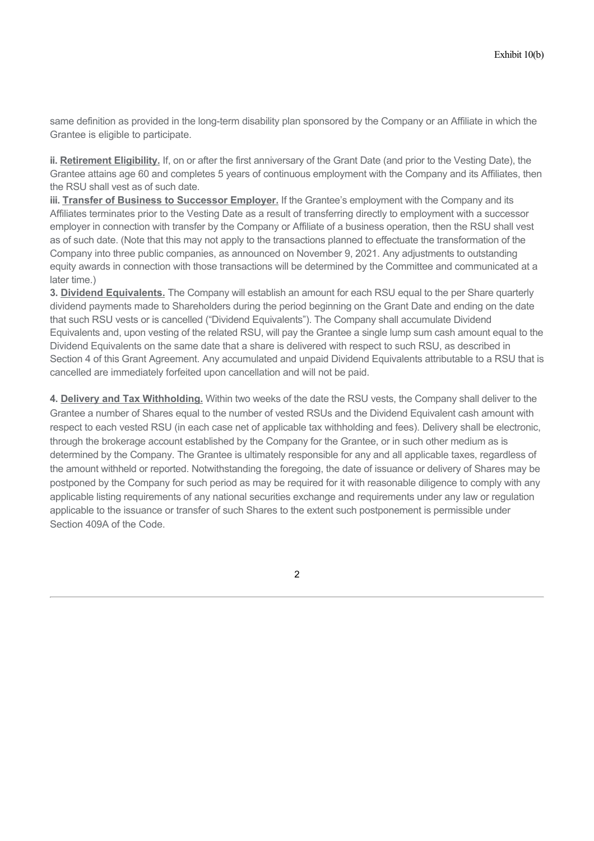same definition as provided in the long-term disability plan sponsored by the Company or an Affiliate in which the Grantee is eligible to participate.

**ii. Retirement Eligibility.** If, on or after the first anniversary of the Grant Date (and prior to the Vesting Date), the Grantee attains age 60 and completes 5 years of continuous employment with the Company and its Affiliates, then the RSU shall vest as of such date.

**iii. Transfer of Business to Successor Employer.** If the Grantee's employment with the Company and its Affiliates terminates prior to the Vesting Date as a result of transferring directly to employment with a successor employer in connection with transfer by the Company or Affiliate of a business operation, then the RSU shall vest as of such date. (Note that this may not apply to the transactions planned to effectuate the transformation of the Company into three public companies, as announced on November 9, 2021. Any adjustments to outstanding equity awards in connection with those transactions will be determined by the Committee and communicated at a later time.)

**3. Dividend Equivalents.** The Company will establish an amount for each RSU equal to the per Share quarterly dividend payments made to Shareholders during the period beginning on the Grant Date and ending on the date that such RSU vests or is cancelled ("Dividend Equivalents"). The Company shall accumulate Dividend Equivalents and, upon vesting of the related RSU, will pay the Grantee a single lump sum cash amount equal to the Dividend Equivalents on the same date that a share is delivered with respect to such RSU, as described in Section 4 of this Grant Agreement. Any accumulated and unpaid Dividend Equivalents attributable to a RSU that is cancelled are immediately forfeited upon cancellation and will not be paid.

**4. Delivery and Tax Withholding.** Within two weeks of the date the RSU vests, the Company shall deliver to the Grantee a number of Shares equal to the number of vested RSUs and the Dividend Equivalent cash amount with respect to each vested RSU (in each case net of applicable tax withholding and fees). Delivery shall be electronic, through the brokerage account established by the Company for the Grantee, or in such other medium as is determined by the Company. The Grantee is ultimately responsible for any and all applicable taxes, regardless of the amount withheld or reported. Notwithstanding the foregoing, the date of issuance or delivery of Shares may be postponed by the Company for such period as may be required for it with reasonable diligence to comply with any applicable listing requirements of any national securities exchange and requirements under any law or regulation applicable to the issuance or transfer of such Shares to the extent such postponement is permissible under Section 409A of the Code.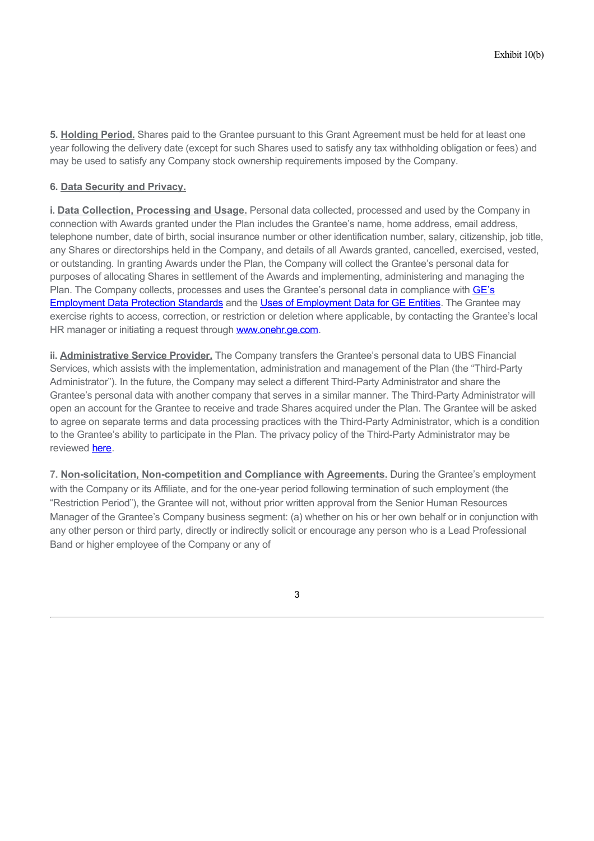**5. Holding Period.** Shares paid to the Grantee pursuant to this Grant Agreement must be held for at least one year following the delivery date (except for such Shares used to satisfy any tax withholding obligation or fees) and may be used to satisfy any Company stock ownership requirements imposed by the Company.

# **6. Data Security and Privacy.**

**i. Data Collection, Processing and Usage.** Personal data collected, processed and used by the Company in connection with Awards granted under the Plan includes the Grantee's name, home address, email address, telephone number, date of birth, social insurance number or other identification number, salary, citizenship, job title, any Shares or directorships held in the Company, and details of all Awards granted, cancelled, exercised, vested, or outstanding. In granting Awards under the Plan, the Company will collect the Grantee's personal data for purposes of allocating Shares in settlement of the Awards and implementing, administering and managing the Plan. The Company collects, processes and uses the Grantee's personal data in compliance with GE's Employment Data Protection Standards and the Uses of Employment Data for GE Entities. The Grantee may exercise rights to access, correction, or restriction or deletion where applicable, by contacting the Grantee's local HR manager or initiating a request through **www.onehr.ge.com**.

**ii. Administrative Service Provider.** The Company transfers the Grantee's personal data to UBS Financial Services, which assists with the implementation, administration and management of the Plan (the "Third-Party Administrator"). In the future, the Company may select a different Third-Party Administrator and share the Grantee's personal data with another company that serves in a similar manner. The Third-Party Administrator will open an account for the Grantee to receive and trade Shares acquired under the Plan. The Grantee will be asked to agree on separate terms and data processing practices with the Third-Party Administrator, which is a condition to the Grantee's ability to participate in the Plan. The privacy policy of the Third-Party Administrator may be reviewed **here**.

**7. Non-solicitation, Non-competition and Compliance with Agreements.** During the Grantee's employment with the Company or its Affiliate, and for the one-year period following termination of such employment (the "Restriction Period"), the Grantee will not, without prior written approval from the Senior Human Resources Manager of the Grantee's Company business segment: (a) whether on his or her own behalf or in conjunction with any other person or third party, directly or indirectly solicit or encourage any person who is a Lead Professional Band or higher employee of the Company or any of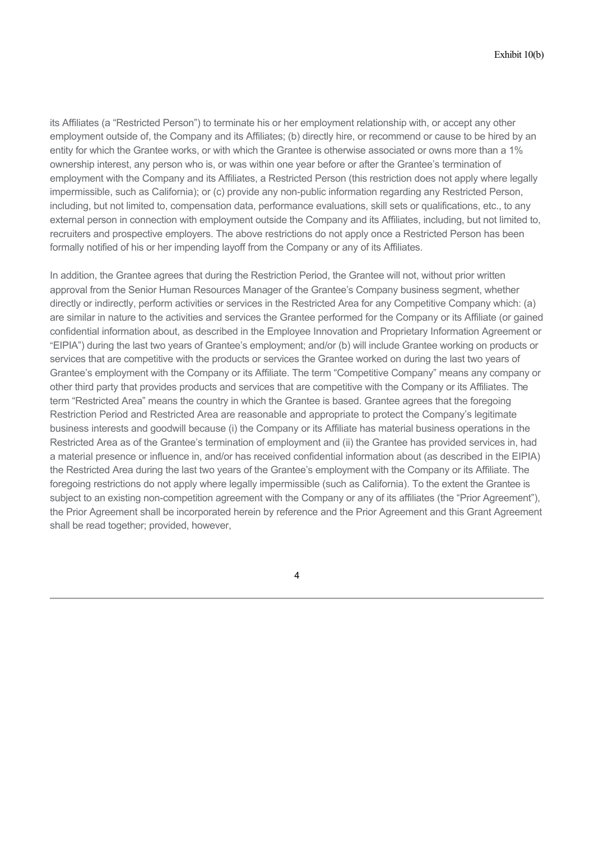its Affiliates (a "Restricted Person") to terminate his or her employment relationship with, or accept any other employment outside of, the Company and its Affiliates; (b) directly hire, or recommend or cause to be hired by an entity for which the Grantee works, or with which the Grantee is otherwise associated or owns more than a 1% ownership interest, any person who is, or was within one year before or after the Grantee's termination of employment with the Company and its Affiliates, a Restricted Person (this restriction does not apply where legally impermissible, such as California); or (c) provide any non-public information regarding any Restricted Person, including, but not limited to, compensation data, performance evaluations, skill sets or qualifications, etc., to any external person in connection with employment outside the Company and its Affiliates, including, but not limited to, recruiters and prospective employers. The above restrictions do not apply once a Restricted Person has been formally notified of his or her impending layoff from the Company or any of its Affiliates.

In addition, the Grantee agrees that during the Restriction Period, the Grantee will not, without prior written approval from the Senior Human Resources Manager of the Grantee's Company business segment, whether directly or indirectly, perform activities or services in the Restricted Area for any Competitive Company which: (a) are similar in nature to the activities and services the Grantee performed for the Company or its Affiliate (or gained confidential information about, as described in the Employee Innovation and Proprietary Information Agreement or "EIPIA") during the last two years of Grantee's employment; and/or (b) will include Grantee working on products or services that are competitive with the products or services the Grantee worked on during the last two years of Grantee's employment with the Company or its Affiliate. The term "Competitive Company" means any company or other third party that provides products and services that are competitive with the Company or its Affiliates. The term "Restricted Area" means the country in which the Grantee is based. Grantee agrees that the foregoing Restriction Period and Restricted Area are reasonable and appropriate to protect the Company's legitimate business interests and goodwill because (i) the Company or its Affiliate has material business operations in the Restricted Area as of the Grantee's termination of employment and (ii) the Grantee has provided services in, had a material presence or influence in, and/or has received confidential information about (as described in the EIPIA) the Restricted Area during the last two years of the Grantee's employment with the Company or its Affiliate. The foregoing restrictions do not apply where legally impermissible (such as California). To the extent the Grantee is subject to an existing non-competition agreement with the Company or any of its affiliates (the "Prior Agreement"), the Prior Agreement shall be incorporated herein by reference and the Prior Agreement and this Grant Agreement shall be read together; provided, however,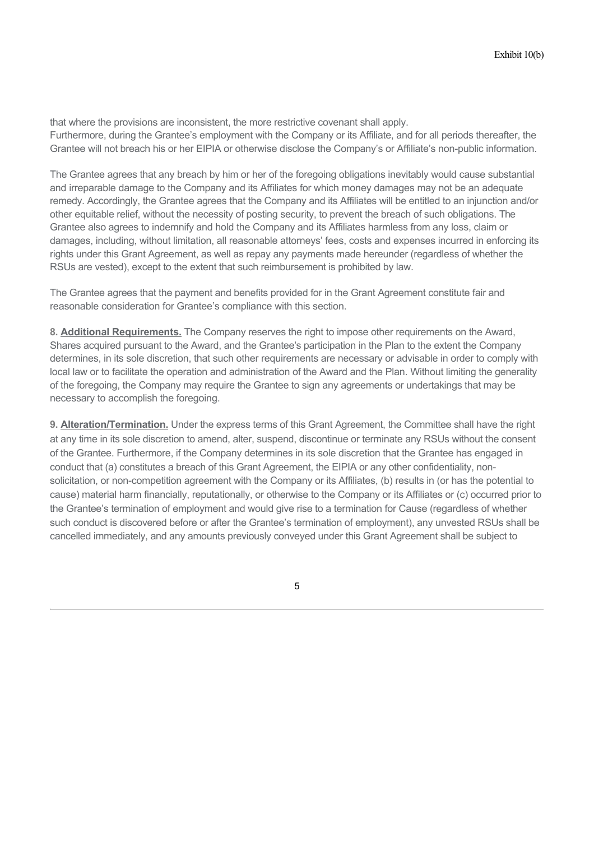that where the provisions are inconsistent, the more restrictive covenant shall apply. Furthermore, during the Grantee's employment with the Company or its Affiliate, and for all periods thereafter, the Grantee will not breach his or her EIPIA or otherwise disclose the Company's or Affiliate's non-public information.

The Grantee agrees that any breach by him or her of the foregoing obligations inevitably would cause substantial and irreparable damage to the Company and its Affiliates for which money damages may not be an adequate remedy. Accordingly, the Grantee agrees that the Company and its Affiliates will be entitled to an injunction and/or other equitable relief, without the necessity of posting security, to prevent the breach of such obligations. The Grantee also agrees to indemnify and hold the Company and its Affiliates harmless from any loss, claim or damages, including, without limitation, all reasonable attorneys' fees, costs and expenses incurred in enforcing its rights under this Grant Agreement, as well as repay any payments made hereunder (regardless of whether the RSUs are vested), except to the extent that such reimbursement is prohibited by law.

The Grantee agrees that the payment and benefits provided for in the Grant Agreement constitute fair and reasonable consideration for Grantee's compliance with this section.

**8. Additional Requirements.** The Company reserves the right to impose other requirements on the Award, Shares acquired pursuant to the Award, and the Grantee's participation in the Plan to the extent the Company determines, in its sole discretion, that such other requirements are necessary or advisable in order to comply with local law or to facilitate the operation and administration of the Award and the Plan. Without limiting the generality of the foregoing, the Company may require the Grantee to sign any agreements or undertakings that may be necessary to accomplish the foregoing.

**9. Alteration/Termination.** Under the express terms of this Grant Agreement, the Committee shall have the right at any time in its sole discretion to amend, alter, suspend, discontinue or terminate any RSUs without the consent of the Grantee. Furthermore, if the Company determines in its sole discretion that the Grantee has engaged in conduct that (a) constitutes a breach of this Grant Agreement, the EIPIA or any other confidentiality, nonsolicitation, or non-competition agreement with the Company or its Affiliates, (b) results in (or has the potential to cause) material harm financially, reputationally, or otherwise to the Company or its Affiliates or (c) occurred prior to the Grantee's termination of employment and would give rise to a termination for Cause (regardless of whether such conduct is discovered before or after the Grantee's termination of employment), any unvested RSUs shall be cancelled immediately, and any amounts previously conveyed under this Grant Agreement shall be subject to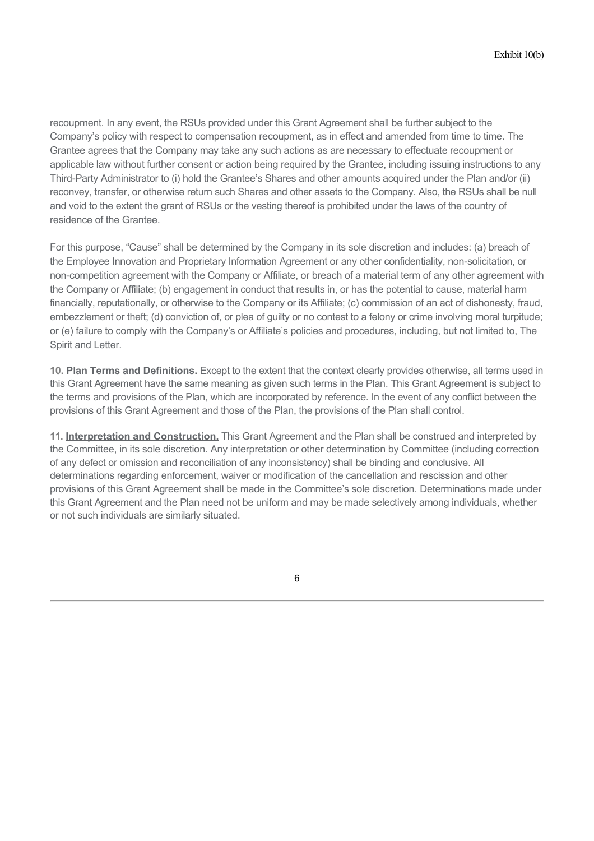recoupment. In any event, the RSUs provided under this Grant Agreement shall be further subject to the Company's policy with respect to compensation recoupment, as in effect and amended from time to time. The Grantee agrees that the Company may take any such actions as are necessary to effectuate recoupment or applicable law without further consent or action being required by the Grantee, including issuing instructions to any Third-Party Administrator to (i) hold the Grantee's Shares and other amounts acquired under the Plan and/or (ii) reconvey, transfer, or otherwise return such Shares and other assets to the Company. Also, the RSUs shall be null and void to the extent the grant of RSUs or the vesting thereof is prohibited under the laws of the country of residence of the Grantee.

For this purpose, "Cause" shall be determined by the Company in its sole discretion and includes: (a) breach of the Employee Innovation and Proprietary Information Agreement or any other confidentiality, non-solicitation, or non-competition agreement with the Company or Affiliate, or breach of a material term of any other agreement with the Company or Affiliate; (b) engagement in conduct that results in, or has the potential to cause, material harm financially, reputationally, or otherwise to the Company or its Affiliate; (c) commission of an act of dishonesty, fraud, embezzlement or theft; (d) conviction of, or plea of guilty or no contest to a felony or crime involving moral turpitude; or (e) failure to comply with the Company's or Affiliate's policies and procedures, including, but not limited to, The Spirit and Letter.

**10. Plan Terms and Definitions.** Except to the extent that the context clearly provides otherwise, all terms used in this Grant Agreement have the same meaning as given such terms in the Plan. This Grant Agreement is subject to the terms and provisions of the Plan, which are incorporated by reference. In the event of any conflict between the provisions of this Grant Agreement and those of the Plan, the provisions of the Plan shall control.

**11. Interpretation and Construction.** This Grant Agreement and the Plan shall be construed and interpreted by the Committee, in its sole discretion. Any interpretation or other determination by Committee (including correction of any defect or omission and reconciliation of any inconsistency) shall be binding and conclusive. All determinations regarding enforcement, waiver or modification of the cancellation and rescission and other provisions of this Grant Agreement shall be made in the Committee's sole discretion. Determinations made under this Grant Agreement and the Plan need not be uniform and may be made selectively among individuals, whether or not such individuals are similarly situated.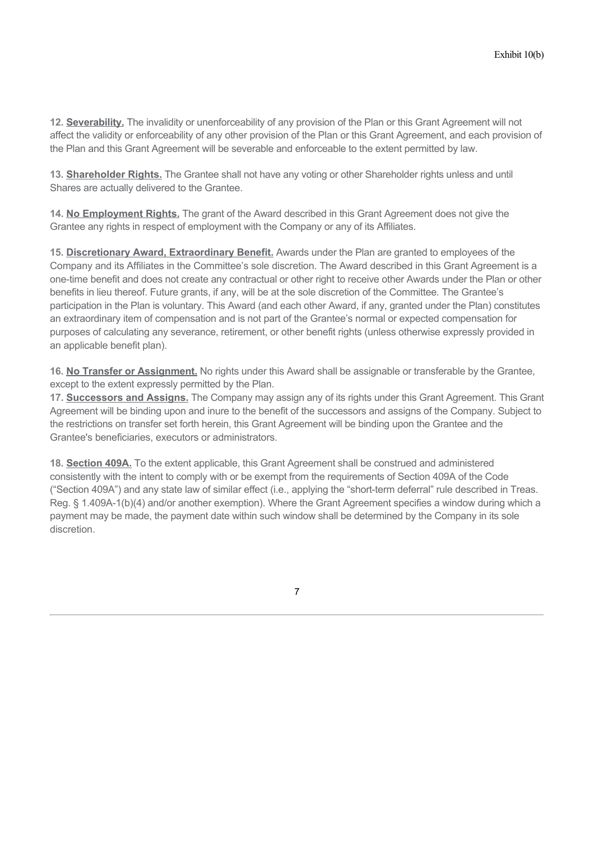**12. Severability.** The invalidity or unenforceability of any provision of the Plan or this Grant Agreement will not affect the validity or enforceability of any other provision of the Plan or this Grant Agreement, and each provision of the Plan and this Grant Agreement will be severable and enforceable to the extent permitted by law.

**13. Shareholder Rights.** The Grantee shall not have any voting or other Shareholder rights unless and until Shares are actually delivered to the Grantee.

**14. No Employment Rights.** The grant of the Award described in this Grant Agreement does not give the Grantee any rights in respect of employment with the Company or any of its Affiliates.

**15. Discretionary Award, Extraordinary Benefit.** Awards under the Plan are granted to employees of the Company and its Affiliates in the Committee's sole discretion. The Award described in this Grant Agreement is a one-time benefit and does not create any contractual or other right to receive other Awards under the Plan or other benefits in lieu thereof. Future grants, if any, will be at the sole discretion of the Committee. The Grantee's participation in the Plan is voluntary. This Award (and each other Award, if any, granted under the Plan) constitutes an extraordinary item of compensation and is not part of the Grantee's normal or expected compensation for purposes of calculating any severance, retirement, or other benefit rights (unless otherwise expressly provided in an applicable benefit plan).

**16. No Transfer or Assignment.** No rights under this Award shall be assignable or transferable by the Grantee, except to the extent expressly permitted by the Plan.

**17. Successors and Assigns.** The Company may assign any of its rights under this Grant Agreement. This Grant Agreement will be binding upon and inure to the benefit of the successors and assigns of the Company. Subject to the restrictions on transfer set forth herein, this Grant Agreement will be binding upon the Grantee and the Grantee's beneficiaries, executors or administrators.

**18. Section 409A.** To the extent applicable, this Grant Agreement shall be construed and administered consistently with the intent to comply with or be exempt from the requirements of Section 409A of the Code ("Section 409A") and any state law of similar effect (i.e., applying the "short-term deferral" rule described in Treas. Reg. § 1.409A-1(b)(4) and/or another exemption). Where the Grant Agreement specifies a window during which a payment may be made, the payment date within such window shall be determined by the Company in its sole discretion.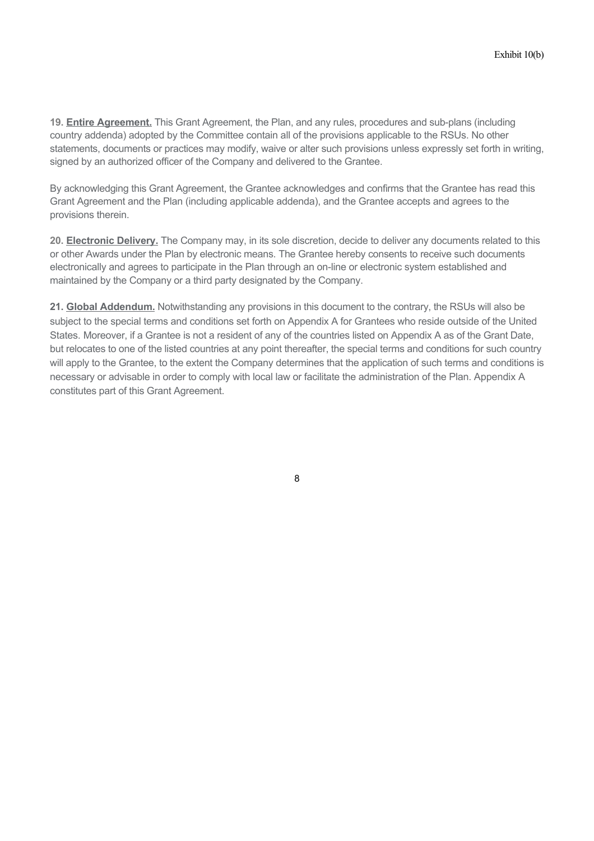**19. Entire Agreement.** This Grant Agreement, the Plan, and any rules, procedures and sub-plans (including country addenda) adopted by the Committee contain all of the provisions applicable to the RSUs. No other statements, documents or practices may modify, waive or alter such provisions unless expressly set forth in writing, signed by an authorized officer of the Company and delivered to the Grantee.

By acknowledging this Grant Agreement, the Grantee acknowledges and confirms that the Grantee has read this Grant Agreement and the Plan (including applicable addenda), and the Grantee accepts and agrees to the provisions therein.

**20. Electronic Delivery.** The Company may, in its sole discretion, decide to deliver any documents related to this or other Awards under the Plan by electronic means. The Grantee hereby consents to receive such documents electronically and agrees to participate in the Plan through an on-line or electronic system established and maintained by the Company or a third party designated by the Company.

**21. Global Addendum.** Notwithstanding any provisions in this document to the contrary, the RSUs will also be subject to the special terms and conditions set forth on Appendix A for Grantees who reside outside of the United States. Moreover, if a Grantee is not a resident of any of the countries listed on Appendix A as of the Grant Date, but relocates to one of the listed countries at any point thereafter, the special terms and conditions for such country will apply to the Grantee, to the extent the Company determines that the application of such terms and conditions is necessary or advisable in order to comply with local law or facilitate the administration of the Plan. Appendix A constitutes part of this Grant Agreement.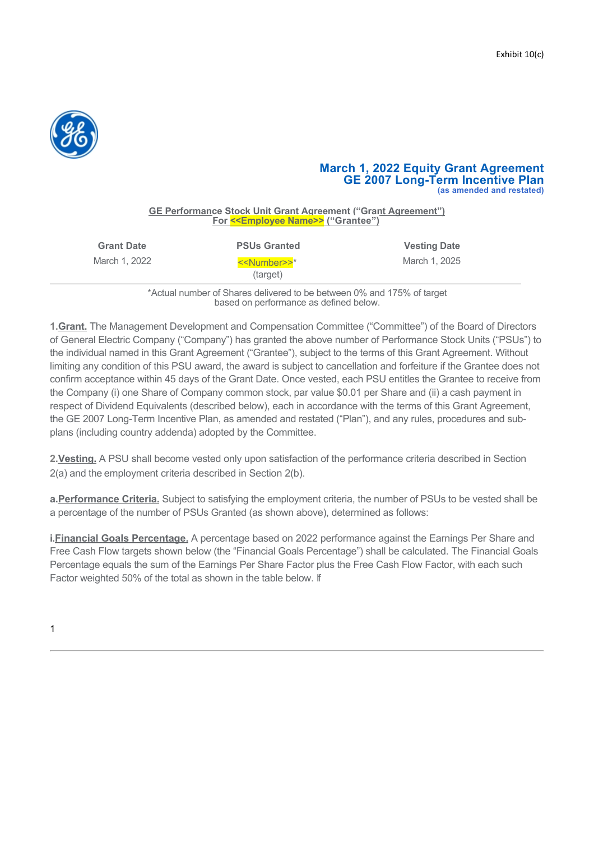

# **March 1, 2022 Equity Grant Agreement GE 2007 Long-Term Incentive Plan (as amended and restated)**

# **GE Performance Stock Unit Grant Agreement ("Grant Agreement") For <<Employee Name>> ("Grantee")**

| <b>Grant Date</b> | <b>PSUs Granted</b>                   | <b>Vesting Date</b> |
|-------------------|---------------------------------------|---------------------|
| March 1, 2022     | < <number>&gt;*<br/>(target)</number> | March 1, 2025       |
|                   |                                       |                     |

\*Actual number of Shares delivered to be between 0% and 175% of target based on performance as defined below.

**1.Grant.** The Management Development and Compensation Committee ("Committee") of the Board of Directors of General Electric Company ("Company") has granted the above number of Performance Stock Units ("PSUs") to the individual named in this Grant Agreement ("Grantee"), subject to the terms of this Grant Agreement. Without limiting any condition of this PSU award, the award is subject to cancellation and forfeiture if the Grantee does not confirm acceptance within 45 days of the Grant Date. Once vested, each PSU entitles the Grantee to receive from the Company (i) one Share of Company common stock, par value \$0.01 per Share and (ii) a cash payment in respect of Dividend Equivalents (described below), each in accordance with the terms of this Grant Agreement, the GE 2007 Long-Term Incentive Plan, as amended and restated ("Plan"), and any rules, procedures and subplans (including country addenda) adopted by the Committee.

**2.Vesting.** A PSU shall become vested only upon satisfaction of the performance criteria described in Section 2(a) and the employment criteria described in Section 2(b).

**a.Performance Criteria.** Subject to satisfying the employment criteria, the number of PSUs to be vested shall be a percentage of the number of PSUs Granted (as shown above), determined as follows:

**i.Financial Goals Percentage.** A percentage based on 2022 performance against the Earnings Per Share and Free Cash Flow targets shown below (the "Financial Goals Percentage") shall be calculated. The Financial Goals Percentage equals the sum of the Earnings Per Share Factor plus the Free Cash Flow Factor, with each such Factor weighted 50% of the total as shown in the table below. If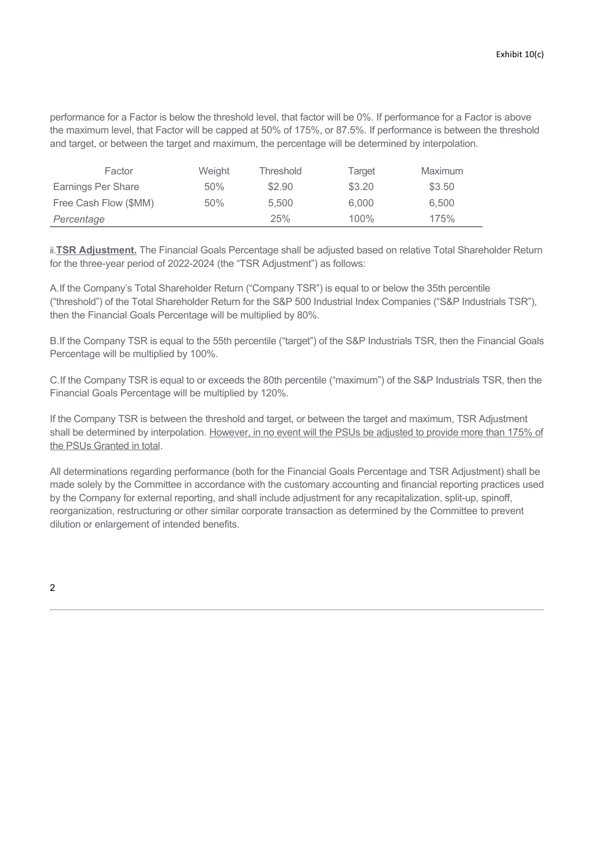performance for a Factor is below the threshold level, that factor will be 0%. If performance for a Factor is above the maximum level, that Factor will be capped at 50% of 175%, or 87.5%. If performance is between the threshold and target, or between the target and maximum, the percentage will be determined by interpolation.

| Factor                    | Weight | Threshold | Target | Maximum |
|---------------------------|--------|-----------|--------|---------|
| <b>Earnings Per Share</b> | 50%    | \$2.90    | \$3.20 | \$3.50  |
| Free Cash Flow (\$MM)     | 50%    | 5.500     | 6.000  | 6.500   |
| Percentage                |        | 25%       | 100%   | 175%    |

ii.**TSR Adjustment.** The Financial Goals Percentage shall be adjusted based on relative Total Shareholder Return for the three-year period of 2022-2024 (the "TSR Adjustment") as follows:

A.If the Company's Total Shareholder Return ("Company TSR") is equal to or below the 35th percentile ("threshold") of the Total Shareholder Return for the S&P 500 Industrial Index Companies ("S&P Industrials TSR"), then the Financial Goals Percentage will be multiplied by 80%.

B.If the Company TSR is equal to the 55th percentile ("target") of the S&P Industrials TSR, then the Financial Goals Percentage will be multiplied by 100%.

C.If the Company TSR is equal to or exceeds the 80th percentile ("maximum") of the S&P Industrials TSR, then the Financial Goals Percentage will be multiplied by 120%.

If the Company TSR is between the threshold and target, or between the target and maximum, TSR Adjustment shall be determined by interpolation. However, in no event will the PSUs be adjusted to provide more than 175% of the PSUs Granted in total.

All determinations regarding performance (both for the Financial Goals Percentage and TSR Adjustment) shall be made solely by the Committee in accordance with the customary accounting and financial reporting practices used by the Company for external reporting, and shall include adjustment for any recapitalization, split-up, spinoff, reorganization, restructuring or other similar corporate transaction as determined by the Committee to prevent dilution or enlargement of intended benefits.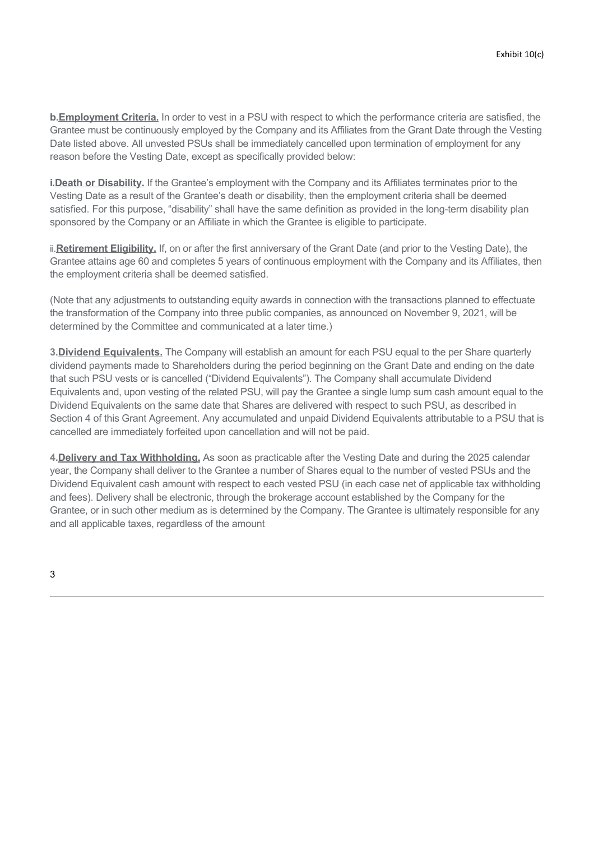**b.Employment Criteria.** In order to vest in a PSU with respect to which the performance criteria are satisfied, the Grantee must be continuously employed by the Company and its Affiliates from the Grant Date through the Vesting Date listed above. All unvested PSUs shall be immediately cancelled upon termination of employment for any reason before the Vesting Date, except as specifically provided below:

**i.Death or Disability.** If the Grantee's employment with the Company and its Affiliates terminates prior to the Vesting Date as a result of the Grantee's death or disability, then the employment criteria shall be deemed satisfied. For this purpose, "disability" shall have the same definition as provided in the long-term disability plan sponsored by the Company or an Affiliate in which the Grantee is eligible to participate.

ii.**Retirement Eligibility.** If, on or after the first anniversary of the Grant Date (and prior to the Vesting Date), the Grantee attains age 60 and completes 5 years of continuous employment with the Company and its Affiliates, then the employment criteria shall be deemed satisfied.

(Note that any adjustments to outstanding equity awards in connection with the transactions planned to effectuate the transformation of the Company into three public companies, as announced on November 9, 2021, will be determined by the Committee and communicated at a later time.)

**3.Dividend Equivalents.** The Company will establish an amount for each PSU equal to the per Share quarterly dividend payments made to Shareholders during the period beginning on the Grant Date and ending on the date that such PSU vests or is cancelled ("Dividend Equivalents"). The Company shall accumulate Dividend Equivalents and, upon vesting of the related PSU, will pay the Grantee a single lump sum cash amount equal to the Dividend Equivalents on the same date that Shares are delivered with respect to such PSU, as described in Section 4 of this Grant Agreement. Any accumulated and unpaid Dividend Equivalents attributable to a PSU that is cancelled are immediately forfeited upon cancellation and will not be paid.

**4.Delivery and Tax Withholding.** As soon as practicable after the Vesting Date and during the 2025 calendar year, the Company shall deliver to the Grantee a number of Shares equal to the number of vested PSUs and the Dividend Equivalent cash amount with respect to each vested PSU (in each case net of applicable tax withholding and fees). Delivery shall be electronic, through the brokerage account established by the Company for the Grantee, or in such other medium as is determined by the Company. The Grantee is ultimately responsible for any and all applicable taxes, regardless of the amount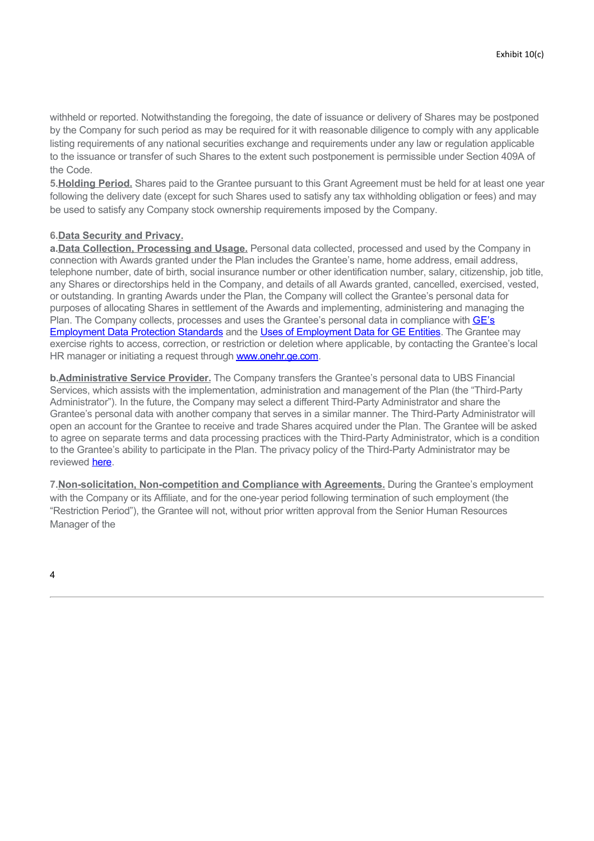withheld or reported. Notwithstanding the foregoing, the date of issuance or delivery of Shares may be postponed by the Company for such period as may be required for it with reasonable diligence to comply with any applicable listing requirements of any national securities exchange and requirements under any law or regulation applicable to the issuance or transfer of such Shares to the extent such postponement is permissible under Section 409A of the Code.

**5.Holding Period.** Shares paid to the Grantee pursuant to this Grant Agreement must be held for at least one year following the delivery date (except for such Shares used to satisfy any tax withholding obligation or fees) and may be used to satisfy any Company stock ownership requirements imposed by the Company.

# **6.Data Security and Privacy.**

**a.Data Collection, Processing and Usage.** Personal data collected, processed and used by the Company in connection with Awards granted under the Plan includes the Grantee's name, home address, email address, telephone number, date of birth, social insurance number or other identification number, salary, citizenship, job title, any Shares or directorships held in the Company, and details of all Awards granted, cancelled, exercised, vested, or outstanding. In granting Awards under the Plan, the Company will collect the Grantee's personal data for purposes of allocating Shares in settlement of the Awards and implementing, administering and managing the Plan. The Company collects, processes and uses the Grantee's personal data in compliance with GE's Employment Data Protection Standards and the Uses of Employment Data for GE Entities. The Grantee may exercise rights to access, correction, or restriction or deletion where applicable, by contacting the Grantee's local HR manager or initiating a request through www.onehr.ge.com.

**b.Administrative Service Provider.** The Company transfers the Grantee's personal data to UBS Financial Services, which assists with the implementation, administration and management of the Plan (the "Third-Party Administrator"). In the future, the Company may select a different Third-Party Administrator and share the Grantee's personal data with another company that serves in a similar manner. The Third-Party Administrator will open an account for the Grantee to receive and trade Shares acquired under the Plan. The Grantee will be asked to agree on separate terms and data processing practices with the Third-Party Administrator, which is a condition to the Grantee's ability to participate in the Plan. The privacy policy of the Third-Party Administrator may be reviewed **here**.

**7.Non-solicitation, Non-competition and Compliance with Agreements.** During the Grantee's employment with the Company or its Affiliate, and for the one-year period following termination of such employment (the "Restriction Period"), the Grantee will not, without prior written approval from the Senior Human Resources Manager of the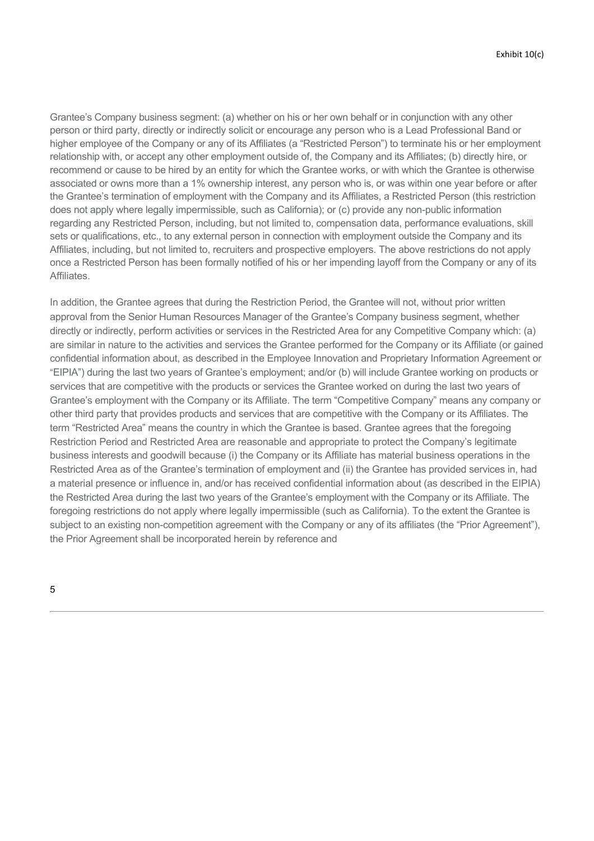Grantee's Company business segment: (a) whether on his or her own behalf or in conjunction with any other person or third party, directly or indirectly solicit or encourage any person who is a Lead Professional Band or higher employee of the Company or any of its Affiliates (a "Restricted Person") to terminate his or her employment relationship with, or accept any other employment outside of, the Company and its Affiliates; (b) directly hire, or recommend or cause to be hired by an entity for which the Grantee works, or with which the Grantee is otherwise associated or owns more than a 1% ownership interest, any person who is, or was within one year before or after the Grantee's termination of employment with the Company and its Affiliates, a Restricted Person (this restriction does not apply where legally impermissible, such as California); or (c) provide any non-public information regarding any Restricted Person, including, but not limited to, compensation data, performance evaluations, skill sets or qualifications, etc., to any external person in connection with employment outside the Company and its Affiliates, including, but not limited to, recruiters and prospective employers. The above restrictions do not apply once a Restricted Person has been formally notified of his or her impending layoff from the Company or any of its **Affiliates** 

In addition, the Grantee agrees that during the Restriction Period, the Grantee will not, without prior written approval from the Senior Human Resources Manager of the Grantee's Company business segment, whether directly or indirectly, perform activities or services in the Restricted Area for any Competitive Company which: (a) are similar in nature to the activities and services the Grantee performed for the Company or its Affiliate (or gained confidential information about, as described in the Employee Innovation and Proprietary Information Agreement or "EIPIA") during the last two years of Grantee's employment; and/or (b) will include Grantee working on products or services that are competitive with the products or services the Grantee worked on during the last two years of Grantee's employment with the Company or its Affiliate. The term "Competitive Company" means any company or other third party that provides products and services that are competitive with the Company or its Affiliates. The term "Restricted Area" means the country in which the Grantee is based. Grantee agrees that the foregoing Restriction Period and Restricted Area are reasonable and appropriate to protect the Company's legitimate business interests and goodwill because (i) the Company or its Affiliate has material business operations in the Restricted Area as of the Grantee's termination of employment and (ii) the Grantee has provided services in, had a material presence or influence in, and/or has received confidential information about (as described in the EIPIA) the Restricted Area during the last two years of the Grantee's employment with the Company or its Affiliate. The foregoing restrictions do not apply where legally impermissible (such as California). To the extent the Grantee is subject to an existing non-competition agreement with the Company or any of its affiliates (the "Prior Agreement"), the Prior Agreement shall be incorporated herein by reference and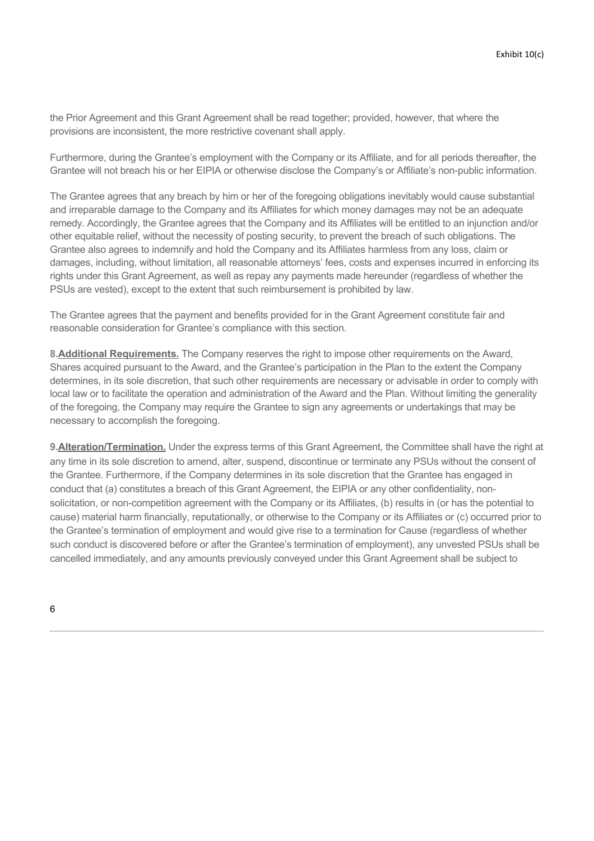the Prior Agreement and this Grant Agreement shall be read together; provided, however, that where the provisions are inconsistent, the more restrictive covenant shall apply.

Furthermore, during the Grantee's employment with the Company or its Affiliate, and for all periods thereafter, the Grantee will not breach his or her EIPIA or otherwise disclose the Company's or Affiliate's non-public information.

The Grantee agrees that any breach by him or her of the foregoing obligations inevitably would cause substantial and irreparable damage to the Company and its Affiliates for which money damages may not be an adequate remedy. Accordingly, the Grantee agrees that the Company and its Affiliates will be entitled to an injunction and/or other equitable relief, without the necessity of posting security, to prevent the breach of such obligations. The Grantee also agrees to indemnify and hold the Company and its Affiliates harmless from any loss, claim or damages, including, without limitation, all reasonable attorneys' fees, costs and expenses incurred in enforcing its rights under this Grant Agreement, as well as repay any payments made hereunder (regardless of whether the PSUs are vested), except to the extent that such reimbursement is prohibited by law.

The Grantee agrees that the payment and benefits provided for in the Grant Agreement constitute fair and reasonable consideration for Grantee's compliance with this section.

**8.Additional Requirements.** The Company reserves the right to impose other requirements on the Award, Shares acquired pursuant to the Award, and the Grantee's participation in the Plan to the extent the Company determines, in its sole discretion, that such other requirements are necessary or advisable in order to comply with local law or to facilitate the operation and administration of the Award and the Plan. Without limiting the generality of the foregoing, the Company may require the Grantee to sign any agreements or undertakings that may be necessary to accomplish the foregoing.

**9.Alteration/Termination.** Under the express terms of this Grant Agreement, the Committee shall have the right at any time in its sole discretion to amend, alter, suspend, discontinue or terminate any PSUs without the consent of the Grantee. Furthermore, if the Company determines in its sole discretion that the Grantee has engaged in conduct that (a) constitutes a breach of this Grant Agreement, the EIPIA or any other confidentiality, nonsolicitation, or non-competition agreement with the Company or its Affiliates, (b) results in (or has the potential to cause) material harm financially, reputationally, or otherwise to the Company or its Affiliates or (c) occurred prior to the Grantee's termination of employment and would give rise to a termination for Cause (regardless of whether such conduct is discovered before or after the Grantee's termination of employment), any unvested PSUs shall be cancelled immediately, and any amounts previously conveyed under this Grant Agreement shall be subject to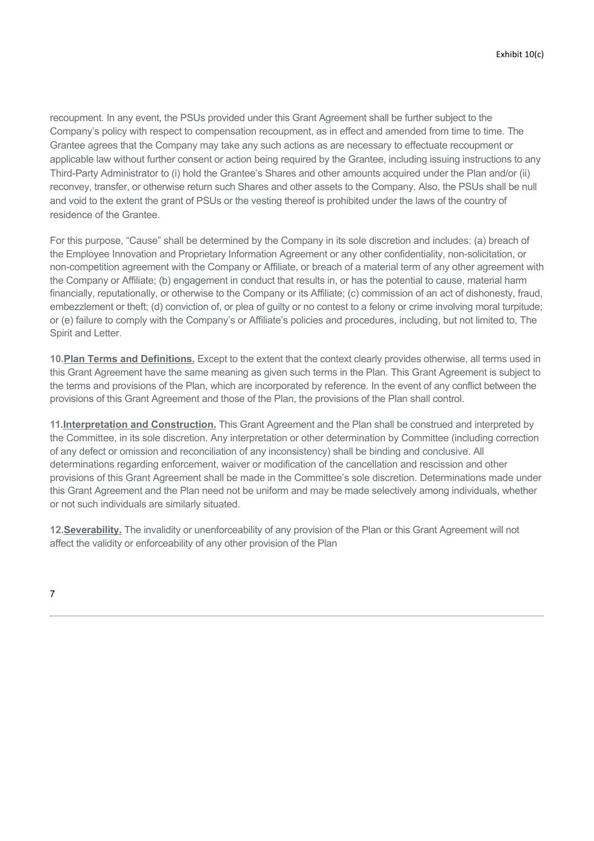recoupment. In any event, the PSUs provided under this Grant Agreement shall be further subject to the Company's policy with respect to compensation recoupment, as in effect and amended from time to time. The Grantee agrees that the Company may take any such actions as are necessary to effectuate recoupment or applicable law without further consent or action being required by the Grantee, including issuing instructions to any Third-Party Administrator to (i) hold the Grantee's Shares and other amounts acquired under the Plan and/or (ii) reconvey, transfer, or otherwise return such Shares and other assets to the Company. Also, the PSUs shall be null and void to the extent the grant of PSUs or the vesting thereof is prohibited under the laws of the country of residence of the Grantee.

For this purpose, "Cause" shall be determined by the Company in its sole discretion and includes: (a) breach of the Employee Innovation and Proprietary Information Agreement or any other confidentiality, non-solicitation, or non-competition agreement with the Company or Affiliate, or breach of a material term of any other agreement with the Company or Affiliate; (b) engagement in conduct that results in, or has the potential to cause, material harm financially, reputationally, or otherwise to the Company or its Affiliate; (c) commission of an act of dishonesty, fraud, embezzlement or theft; (d) conviction of, or plea of guilty or no contest to a felony or crime involving moral turpitude; or (e) failure to comply with the Company's or Affiliate's policies and procedures, including, but not limited to, The Spirit and Letter.

**10.Plan Terms and Definitions.** Except to the extent that the context clearly provides otherwise, all terms used in this Grant Agreement have the same meaning as given such terms in the Plan. This Grant Agreement is subject to the terms and provisions of the Plan, which are incorporated by reference. In the event of any conflict between the provisions of this Grant Agreement and those of the Plan, the provisions of the Plan shall control.

**11.Interpretation and Construction.** This Grant Agreement and the Plan shall be construed and interpreted by the Committee, in its sole discretion. Any interpretation or other determination by Committee (including correction of any defect or omission and reconciliation of any inconsistency) shall be binding and conclusive. All determinations regarding enforcement, waiver or modification of the cancellation and rescission and other provisions of this Grant Agreement shall be made in the Committee's sole discretion. Determinations made under this Grant Agreement and the Plan need not be uniform and may be made selectively among individuals, whether or not such individuals are similarly situated.

**12.Severability.** The invalidity or unenforceability of any provision of the Plan or this Grant Agreement will not affect the validity or enforceability of any other provision of the Plan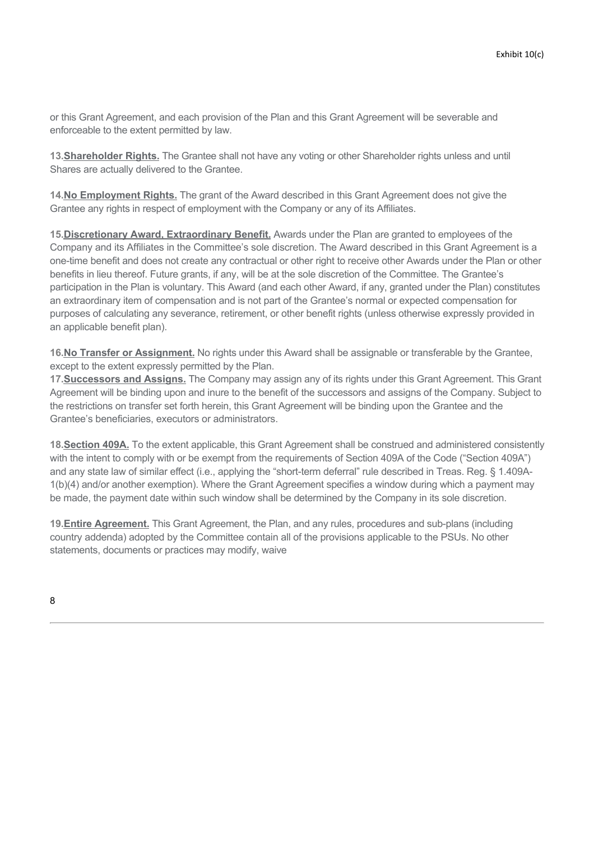or this Grant Agreement, and each provision of the Plan and this Grant Agreement will be severable and enforceable to the extent permitted by law.

**13.Shareholder Rights.** The Grantee shall not have any voting or other Shareholder rights unless and until Shares are actually delivered to the Grantee.

**14.No Employment Rights.** The grant of the Award described in this Grant Agreement does not give the Grantee any rights in respect of employment with the Company or any of its Affiliates.

**15.Discretionary Award, Extraordinary Benefit.** Awards under the Plan are granted to employees of the Company and its Affiliates in the Committee's sole discretion. The Award described in this Grant Agreement is a one-time benefit and does not create any contractual or other right to receive other Awards under the Plan or other benefits in lieu thereof. Future grants, if any, will be at the sole discretion of the Committee. The Grantee's participation in the Plan is voluntary. This Award (and each other Award, if any, granted under the Plan) constitutes an extraordinary item of compensation and is not part of the Grantee's normal or expected compensation for purposes of calculating any severance, retirement, or other benefit rights (unless otherwise expressly provided in an applicable benefit plan).

**16.No Transfer or Assignment.** No rights under this Award shall be assignable or transferable by the Grantee, except to the extent expressly permitted by the Plan.

**17.Successors and Assigns.** The Company may assign any of its rights under this Grant Agreement. This Grant Agreement will be binding upon and inure to the benefit of the successors and assigns of the Company. Subject to the restrictions on transfer set forth herein, this Grant Agreement will be binding upon the Grantee and the Grantee's beneficiaries, executors or administrators.

**18.Section 409A.** To the extent applicable, this Grant Agreement shall be construed and administered consistently with the intent to comply with or be exempt from the requirements of Section 409A of the Code ("Section 409A") and any state law of similar effect (i.e., applying the "short-term deferral" rule described in Treas. Reg. § 1.409A-1(b)(4) and/or another exemption). Where the Grant Agreement specifies a window during which a payment may be made, the payment date within such window shall be determined by the Company in its sole discretion.

**19.Entire Agreement.** This Grant Agreement, the Plan, and any rules, procedures and sub-plans (including country addenda) adopted by the Committee contain all of the provisions applicable to the PSUs. No other statements, documents or practices may modify, waive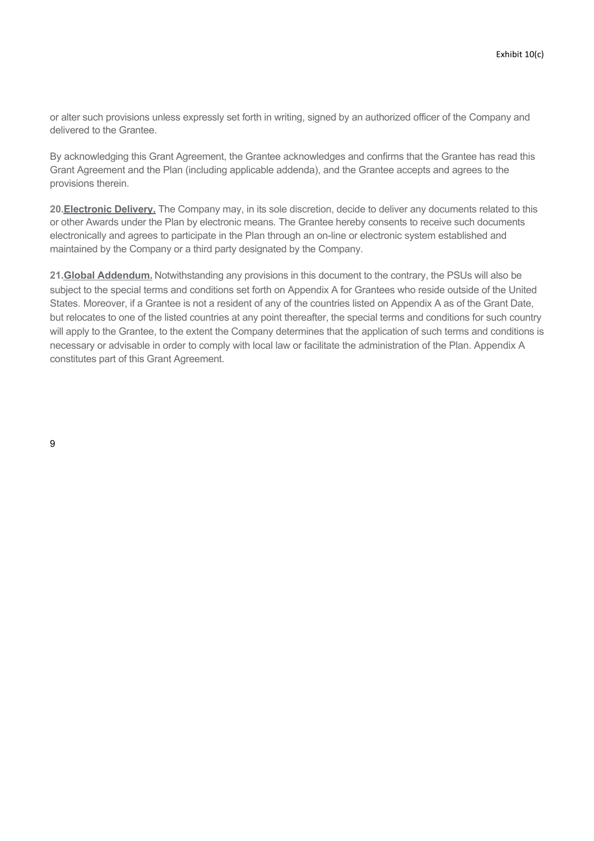or alter such provisions unless expressly set forth in writing, signed by an authorized officer of the Company and delivered to the Grantee.

By acknowledging this Grant Agreement, the Grantee acknowledges and confirms that the Grantee has read this Grant Agreement and the Plan (including applicable addenda), and the Grantee accepts and agrees to the provisions therein.

**20.Electronic Delivery.** The Company may, in its sole discretion, decide to deliver any documents related to this or other Awards under the Plan by electronic means. The Grantee hereby consents to receive such documents electronically and agrees to participate in the Plan through an on-line or electronic system established and maintained by the Company or a third party designated by the Company.

**21.Global Addendum.** Notwithstanding any provisions in this document to the contrary, the PSUs will also be subject to the special terms and conditions set forth on Appendix A for Grantees who reside outside of the United States. Moreover, if a Grantee is not a resident of any of the countries listed on Appendix A as of the Grant Date, but relocates to one of the listed countries at any point thereafter, the special terms and conditions for such country will apply to the Grantee, to the extent the Company determines that the application of such terms and conditions is necessary or advisable in order to comply with local law or facilitate the administration of the Plan. Appendix A constitutes part of this Grant Agreement.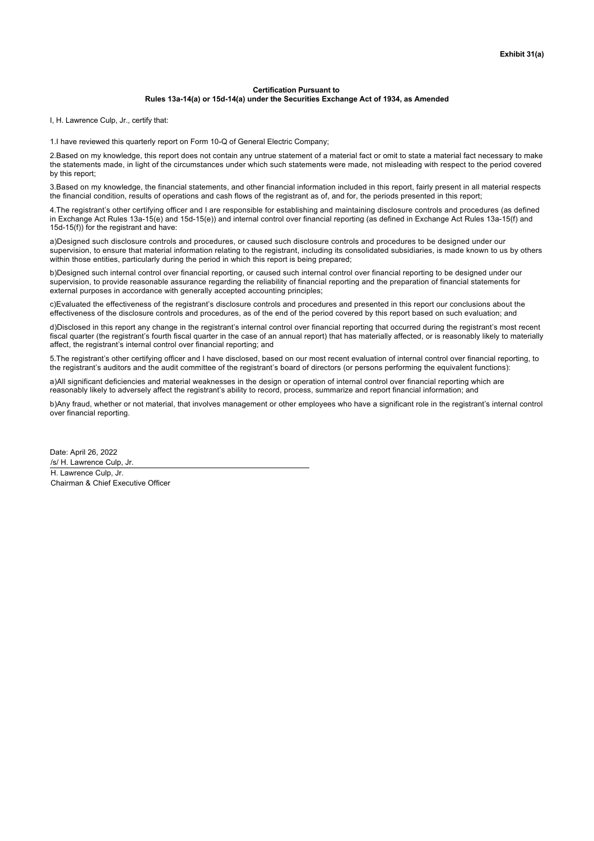#### **Certification Pursuant to Rules 13a-14(a) or 15d-14(a) under the Securities Exchange Act of 1934, as Amended**

I, H. Lawrence Culp, Jr., certify that:

1.I have reviewed this quarterly report on Form 10-Q of General Electric Company;

2.Based on my knowledge, this report does not contain any untrue statement of a material fact or omit to state a material fact necessary to make the statements made, in light of the circumstances under which such statements were made, not misleading with respect to the period covered by this report;

3.Based on my knowledge, the financial statements, and other financial information included in this report, fairly present in all material respects the financial condition, results of operations and cash flows of the registrant as of, and for, the periods presented in this report;

4.The registrant's other certifying officer and I are responsible for establishing and maintaining disclosure controls and procedures (as defined in Exchange Act Rules 13a-15(e) and 15d-15(e)) and internal control over financial reporting (as defined in Exchange Act Rules 13a-15(f) and 15d-15(f)) for the registrant and have:

a)Designed such disclosure controls and procedures, or caused such disclosure controls and procedures to be designed under our supervision, to ensure that material information relating to the registrant, including its consolidated subsidiaries, is made known to us by others within those entities, particularly during the period in which this report is being prepared;

b)Designed such internal control over financial reporting, or caused such internal control over financial reporting to be designed under our supervision, to provide reasonable assurance regarding the reliability of financial reporting and the preparation of financial statements for external purposes in accordance with generally accepted accounting principles;

c)Evaluated the effectiveness of the registrant's disclosure controls and procedures and presented in this report our conclusions about the effectiveness of the disclosure controls and procedures, as of the end of the period covered by this report based on such evaluation; and

d)Disclosed in this report any change in the registrant's internal control over financial reporting that occurred during the registrant's most recent fiscal quarter (the registrant's fourth fiscal quarter in the case of an annual report) that has materially affected, or is reasonably likely to materially affect, the registrant's internal control over financial reporting; and

5.The registrant's other certifying officer and I have disclosed, based on our most recent evaluation of internal control over financial reporting, to the registrant's auditors and the audit committee of the registrant's board of directors (or persons performing the equivalent functions):

a)All significant deficiencies and material weaknesses in the design or operation of internal control over financial reporting which are reasonably likely to adversely affect the registrant's ability to record, process, summarize and report financial information; and

b)Any fraud, whether or not material, that involves management or other employees who have a significant role in the registrant's internal control over financial reporting.

Date: April 26, 2022 /s/ H. Lawrence Culp, Jr. H. Lawrence Culp, Jr. Chairman & Chief Executive Officer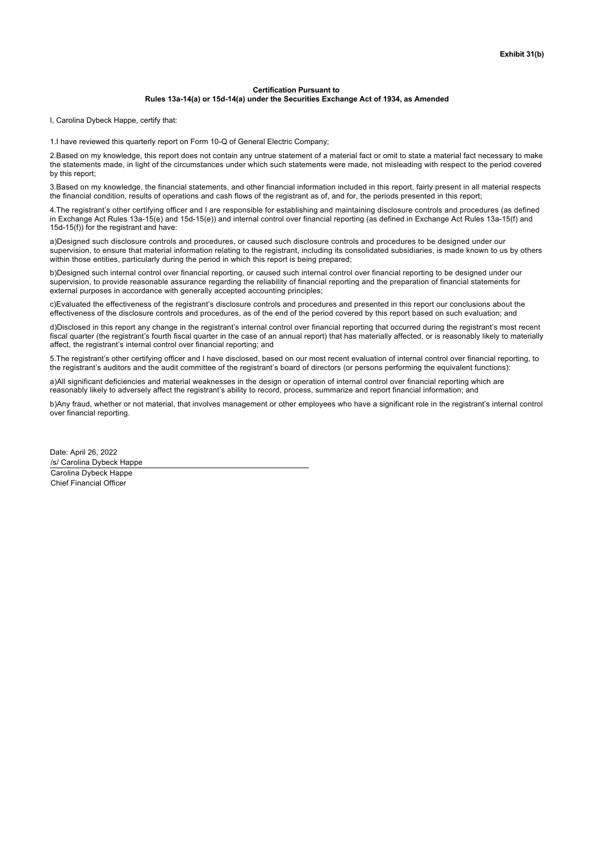#### **Certification Pursuant to Rules 13a-14(a) or 15d-14(a) under the Securities Exchange Act of 1934, as Amended**

I, Carolina Dybeck Happe, certify that:

1.I have reviewed this quarterly report on Form 10-Q of General Electric Company;

2.Based on my knowledge, this report does not contain any untrue statement of a material fact or omit to state a material fact necessary to make the statements made, in light of the circumstances under which such statements were made, not misleading with respect to the period covered by this report;

3.Based on my knowledge, the financial statements, and other financial information included in this report, fairly present in all material respects the financial condition, results of operations and cash flows of the registrant as of, and for, the periods presented in this report;

4.The registrant's other certifying officer and I are responsible for establishing and maintaining disclosure controls and procedures (as defined in Exchange Act Rules 13a-15(e) and 15d-15(e)) and internal control over financial reporting (as defined in Exchange Act Rules 13a-15(f) and 15d-15(f)) for the registrant and have:

a)Designed such disclosure controls and procedures, or caused such disclosure controls and procedures to be designed under our supervision, to ensure that material information relating to the registrant, including its consolidated subsidiaries, is made known to us by others within those entities, particularly during the period in which this report is being prepared;

b)Designed such internal control over financial reporting, or caused such internal control over financial reporting to be designed under our supervision, to provide reasonable assurance regarding the reliability of financial reporting and the preparation of financial statements for external purposes in accordance with generally accepted accounting principles;

c)Evaluated the effectiveness of the registrant's disclosure controls and procedures and presented in this report our conclusions about the effectiveness of the disclosure controls and procedures, as of the end of the period covered by this report based on such evaluation; and

d)Disclosed in this report any change in the registrant's internal control over financial reporting that occurred during the registrant's most recent fiscal quarter (the registrant's fourth fiscal quarter in the case of an annual report) that has materially affected, or is reasonably likely to materially affect, the registrant's internal control over financial reporting; and

5.The registrant's other certifying officer and I have disclosed, based on our most recent evaluation of internal control over financial reporting, to the registrant's auditors and the audit committee of the registrant's board of directors (or persons performing the equivalent functions):

a)All significant deficiencies and material weaknesses in the design or operation of internal control over financial reporting which are reasonably likely to adversely affect the registrant's ability to record, process, summarize and report financial information; and

b)Any fraud, whether or not material, that involves management or other employees who have a significant role in the registrant's internal control over financial reporting.

Date: April 26, 2022 /s/ Carolina Dybeck Happe Carolina Dybeck Happe Chief Financial Officer